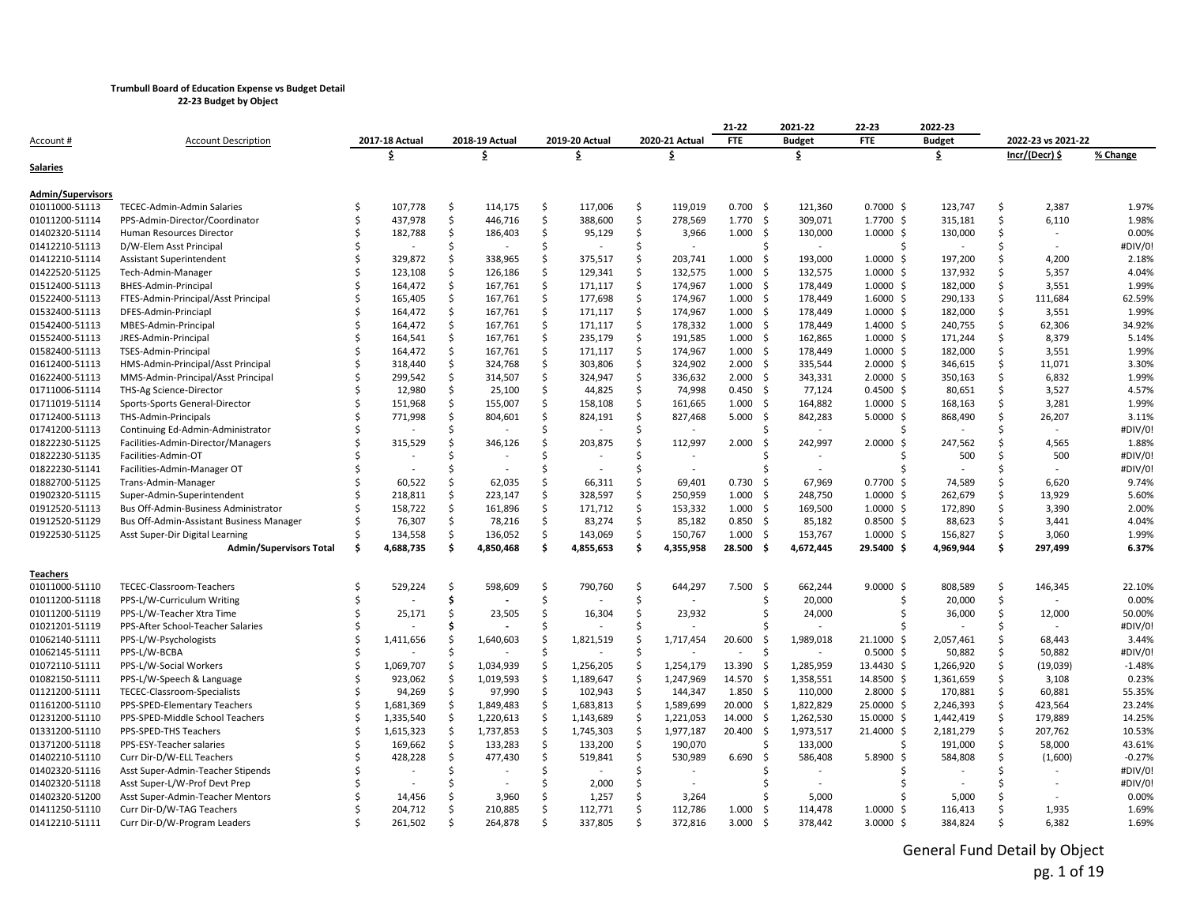**22-23 Budget by Object**

|                          |                                          |   |                |    |                |         |                |    |                | 21-22            | 2021-22           | 22-23                | 2022-23       |    |                          |          |
|--------------------------|------------------------------------------|---|----------------|----|----------------|---------|----------------|----|----------------|------------------|-------------------|----------------------|---------------|----|--------------------------|----------|
| Account #                | <b>Account Description</b>               |   | 2017-18 Actual |    | 2018-19 Actual |         | 2019-20 Actual |    | 2020-21 Actual | <b>FTE</b>       | <b>Budget</b>     | <b>FTE</b>           | <b>Budget</b> |    | 2022-23 vs 2021-22       |          |
|                          |                                          |   | \$             |    | \$             |         | \$             |    | \$             |                  | \$                |                      | \$            |    | Incr/(Decr) \$           | % Change |
| Salaries                 |                                          |   |                |    |                |         |                |    |                |                  |                   |                      |               |    |                          |          |
| <b>Admin/Supervisors</b> |                                          |   |                |    |                |         |                |    |                |                  |                   |                      |               |    |                          |          |
| 01011000-51113           | TECEC-Admin-Admin Salaries               |   | 107,778        | \$ | 114,175        | \$      | 117,006        | Ŝ. | 119,019        | $0.700$ \$       | 121,360           | $0.7000$ \$          | 123,747       | Ś. | 2,387                    | 1.97%    |
| 01011200-51114           | PPS-Admin-Director/Coordinator           |   | 437,978        | \$ | 446,716        | \$      | 388,600        | \$ | 278,569        | $1.770 \quad$ \$ | 309,071           | 1.7700 \$            | 315,181       | Ś. | 6,110                    | 1.98%    |
| 01402320-51114           | Human Resources Director                 |   | 182,788        | \$ | 186,403        | Ŝ.      | 95,129         | Ŝ  | 3,966          | $1.000 \quad$ \$ | 130,000           | $1.0000 \;$ \$       | 130,000       | Ŝ. |                          | 0.00%    |
| 01412210-51113           | D/W-Elem Asst Principal                  |   |                | Ś  |                | Ś       |                | Ś  |                |                  |                   | Ŝ                    |               | Ŝ  |                          | #DIV/0!  |
| 01412210-51114           | <b>Assistant Superintendent</b>          |   | 329,872        | \$ | 338,965        | $\zeta$ | 375,517        | Ś  | 203,741        | 1.000            | 193,000<br>-Ś     | $1.0000 \;$ \$       | 197,200       | \$ | 4,200                    | 2.18%    |
| 01422520-51125           | Tech-Admin-Manager                       |   | 123,108        | Ś. | 126,186        | \$      | 129,341        | Ŝ. | 132,575        | 1.000            | 132,575<br>-S     | $1.0000 \;$ \$       | 137,932       | Ś  | 5,357                    | 4.04%    |
| 01512400-51113           | BHES-Admin-Principal                     |   | 164,472        | Ś. | 167,761        | Ś.      | 171,117        | Ŝ. | 174,967        | $1.000 \quad $$  | 178,449           | $1.0000 \; \text{S}$ | 182,000       | \$ | 3,551                    | 1.99%    |
| 01522400-51113           | FTES-Admin-Principal/Asst Principal      |   | 165,405        | Ś. | 167,761        | \$      | 177,698        | \$ | 174,967        | 1.000            | 178,449<br>-\$    | $1.6000 \;$ \$       | 290,133       | \$ | 111,684                  | 62.59%   |
| 01532400-51113           | DFES-Admin-Princiapl                     |   | 164,472        | Ś  | 167,761        | \$      | 171,117        | Ś  | 174,967        | $1.000 \quad $$  | 178,449           | $1.0000 \,$ \$       | 182,000       | Ś. | 3,551                    | 1.99%    |
| 01542400-51113           | MBES-Admin-Principal                     |   | 164,472        | Ś  | 167,761        | \$      | 171,117        | \$ | 178,332        | $1.000 \div$     | 178,449           | $1.4000 \div$        | 240,755       | \$ | 62,306                   | 34.92%   |
| 01552400-51113           | JRES-Admin-Principal                     |   | 164,541        | Ś. | 167,761        | \$      | 235,179        | \$ | 191,585        | 1.000            | 162,865<br>-S     | $1.0000 \;$ \$       | 171,244       | \$ | 8,379                    | 5.14%    |
| 01582400-51113           | TSES-Admin-Principal                     |   | 164,472        | Ś. | 167,761        | Ś.      | 171,117        | \$ | 174,967        | $1.000 \quad $$  | 178,449           | $1.0000 \; \text{S}$ | 182,000       | Ŝ. | 3,551                    | 1.99%    |
| 01612400-51113           | HMS-Admin-Principal/Asst Principal       |   | 318,440        | Ś  | 324,768        | \$      | 303,806        | \$ | 324,902        | 2.000            | 335,544<br>-\$    | $2.0000 \;$ \$       | 346,615       | \$ | 11,071                   | 3.30%    |
| 01622400-51113           | MMS-Admin-Principal/Asst Principal       |   | 299,542        | Ś. | 314,507        | \$      | 324,947        | \$ | 336,632        | 2.000            | 343,331<br>-Ś     | $2.0000 \;$ \$       | 350,163       | Ŝ. | 6,832                    | 1.99%    |
| 01711006-51114           | THS-Ag Science-Director                  |   | 12,980         | Ś  | 25,100         | Ś.      | 44,825         | Ś  | 74,998         | $0.450$ \$       | 77,124            | $0.4500$ \$          | 80,651        | Ś  | 3,527                    | 4.57%    |
| 01711019-51114           | Sports-Sports General-Director           |   | 151,968        | \$ | 155,007        | \$      | 158,108        | \$ | 161,665        | 1.000            | 164,882<br>-Ś     | 1.0000<br>-S         | 168,163       | \$ | 3,281                    | 1.99%    |
| 01712400-51113           | THS-Admin-Principals                     |   | 771,998        | Ś  | 804,601        | \$      | 824,191        | \$ | 827,468        | 5.000            | 842,283<br>-S     | $5.0000$ \$          | 868,490       | Ŝ. | 26,207                   | 3.11%    |
| 01741200-51113           | Continuing Ed-Admin-Administrator        |   |                | Ś  |                | Ś       |                | Ś  |                |                  |                   | Ŝ.                   |               | Ś  | $\overline{\phantom{a}}$ | #DIV/0!  |
| 01822230-51125           | Facilities-Admin-Director/Managers       |   | 315,529        | Ś  | 346,126        | \$      | 203,875        | Ŝ  | 112,997        | 2.000            | 242,997<br>S,     | 2.0000<br>-Ś         | 247,562       | Ŝ  | 4,565                    | 1.88%    |
| 01822230-51135           | Facilities-Admin-OT                      |   |                |    |                | Ś       |                |    |                |                  |                   |                      | 500           | Ŝ  | 500                      | #DIV/0!  |
| 01822230-51141           | Facilities-Admin-Manager OT              |   |                |    |                | Ś       |                | Ś  |                |                  |                   | Ŝ.                   |               | \$ |                          | #DIV/0!  |
| 01882700-51125           | Trans-Admin-Manager                      |   | 60,522         | Ś  | 62,035         | Ŝ.      | 66,311         | Ś  | 69,401         | 0.730            | 67,969<br>-S      | $0.7700$ \$          | 74,589        | Ŝ  | 6,620                    | 9.74%    |
| 01902320-51115           | Super-Admin-Superintendent               |   | 218,811        | Ś  | 223,147        | Ś       | 328,597        | Ś  | 250,959        | 1.000            | 248,750<br>- S    | $1.0000 \; \text{S}$ | 262,679       | \$ | 13,929                   | 5.60%    |
| 01912520-51113           | Bus Off-Admin-Business Administrator     |   | 158,722        | Ś  | 161,896        | Ś.      | 171,712        | Ŝ. | 153,332        | 1.000            | 169,500<br>-Ś     | $1.0000 \;$ \$       | 172,890       | Ś. | 3,390                    | 2.00%    |
| 01912520-51129           | Bus Off-Admin-Assistant Business Manager |   | 76,307         | Ś. | 78,216         | Ŝ.      | 83,274         | Ŝ  | 85,182         | $0.850$ \$       | 85,182            | $0.8500$ \$          | 88,623        | Ŝ  | 3,441                    | 4.04%    |
| 01922530-51125           | Asst Super-Dir Digital Learning          |   | 134,558        | Ś  | 136,052        | Ś.      | 143,069        | \$ | 150,767        | 1.000            | 153,767<br>-Ś     | $1.0000 \; \text{S}$ | 156,827       | Ś. | 3,060                    | 1.99%    |
|                          | <b>Admin/Supervisors Total</b>           | Ŝ | 4,688,735      | \$ | 4,850,468      | Ś.      | 4,855,653      | \$ | 4,355,958      | 28.500           | 4,672,445<br>Ŝ.   | 29.5400 \$           | 4,969,944     | \$ | 297,499                  | 6.37%    |
| Teachers                 |                                          |   |                |    |                |         |                |    |                |                  |                   |                      |               |    |                          |          |
| 01011000-51110           | TECEC-Classroom-Teachers                 |   | 529,224        | Ś  | 598,609        | Ś.      | 790,760        | Ŝ. | 644,297        | 7.500            | 662,244<br>-\$    | $9.0000$ \$          | 808,589       | Ś. | 146,345                  | 22.10%   |
| 01011200-51118           | PPS-L/W-Curriculum Writing               |   |                | Ŝ  |                | -Ś      |                |    |                |                  | 20,000            | .S                   | 20,000        | \$ |                          | 0.00%    |
| 01011200-51119           | PPS-L/W-Teacher Xtra Time                |   | 25,171         | Ś  | 23,505         | Ś.      | 16,304         | Ŝ. | 23,932         |                  | 24,000            | Ŝ                    | 36,000        | \$ | 12,000                   | 50.00%   |
| 01021201-51119           | PPS-After School-Teacher Salaries        |   |                |    |                |         |                |    |                |                  |                   |                      |               |    |                          | #DIV/0!  |
| 01062140-51111           | PPS-L/W-Psychologists                    |   | 1,411,656      |    | 1,640,603      | Ŝ       | 1,821,519      |    | 1,717,454      | 20.600           | 1,989,018<br>-Ś   | 21.1000 \$           | 2,057,461     | Ŝ  | 68,443                   | 3.44%    |
| 01062145-51111           | PPS-L/W-BCBA                             |   |                |    |                |         |                |    |                |                  |                   | $0.5000$ \$          | 50,882        | \$ | 50,882                   | #DIV/0!  |
| 01072110-51111           | PPS-L/W-Social Workers                   |   | 1,069,707      |    | 1,034,939      | Ŝ.      | 1,256,205      | Ś  | 1,254,179      | 13.390           | 1,285,959<br>- \$ | 13.4430 \$           | 1,266,920     | Ŝ. | (19, 039)                | $-1.48%$ |
| 01082150-51111           | PPS-L/W-Speech & Language                |   | 923,062        |    | 1,019,593      | Ŝ.      | 1,189,647      | Ŝ  | 1,247,969      | 14.570           | 1,358,551<br>-S   | 14.8500 \$           | 1,361,659     | Ŝ. | 3,108                    | 0.23%    |
| 01121200-51111           | TECEC-Classroom-Specialists              |   | 94,269         | Ś  | 97,990         | \$      | 102,943        | Ŝ  | 144,347        | $1.850$ \$       | 110,000           | $2.8000 \div$        | 170,881       | Ŝ. | 60,881                   | 55.35%   |
| 01161200-51110           | PPS-SPED-Elementary Teachers             |   | 1,681,369      |    | 1,849,483      | Ŝ.      | 1,683,813      | \$ | 1,589,699      | $20.000$ \$      | 1,822,829         | 25.0000 \$           | 2,246,393     | \$ | 423,564                  | 23.24%   |
| 01231200-51110           | PPS-SPED-Middle School Teachers          |   | 1,335,540      | Ś  | 1,220,613      | Ś.      | 1,143,689      | Ŝ  | 1,221,053      | 14.000           | 1,262,530<br>- S  | 15.0000 \$           | 1,442,419     | \$ | 179,889                  | 14.25%   |
| 01331200-51110           | PPS-SPED-THS Teachers                    |   | 1,615,323      |    | 1,737,853      | \$      | 1,745,303      | \$ | 1,977,187      | $20.400$ \$      | 1,973,517         | 21.4000 \$           | 2,181,279     | \$ | 207,762                  | 10.53%   |
| 01371200-51118           | PPS-ESY-Teacher salaries                 |   | 169,662        | Ś  | 133,283        | Ś.      | 133,200        | Ŝ. | 190,070        |                  | 133,000           | Ŝ.                   | 191,000       | \$ | 58,000                   | 43.61%   |
| 01402210-51110           | Curr Dir-D/W-ELL Teachers                |   | 428,228        | Ś  | 477,430        | Ś.      | 519,841        | Ŝ. | 530,989        | 6.690            | 586,408<br>-Ś     | 5.8900<br>S,         | 584,808       | Ś. | (1,600)                  | $-0.27%$ |
| 01402320-51116           | Asst Super-Admin-Teacher Stipends        |   |                | Ś  |                | Ś       |                |    |                |                  |                   |                      |               |    |                          | #DIV/0!  |
| 01402320-51118           | Asst Super-L/W-Prof Devt Prep            |   |                |    |                | Ś       | 2,000          | \$ |                |                  |                   |                      |               | Ŝ  |                          | #DIV/0!  |
| 01402320-51200           | Asst Super-Admin-Teacher Mentors         |   | 14,456         | Ś  | 3,960          | Ś.      | 1,257          | Ś  | 3,264          |                  | 5,000             |                      | 5,000         | Ś  |                          | 0.00%    |
| 01411250-51110           | Curr Dir-D/W-TAG Teachers                |   | 204,712        |    | 210,885        | Ś       | 112,771        | Ś  | 112,786        | 1.000            | 114,478<br>S,     | $1.0000$ \$          | 116,413       | Ŝ  | 1,935                    | 1.69%    |
| 01412210-51111           | Curr Dir-D/W-Program Leaders             |   | 261,502        | Ś  | 264,878        | Ŝ.      | 337,805        | Ŝ. | 372,816        | 3.000            | 378,442<br>-S     | $3.0000$ \$          | 384,824       | Ś. | 6,382                    | 1.69%    |
|                          |                                          |   |                |    |                |         |                |    |                |                  |                   |                      |               |    |                          |          |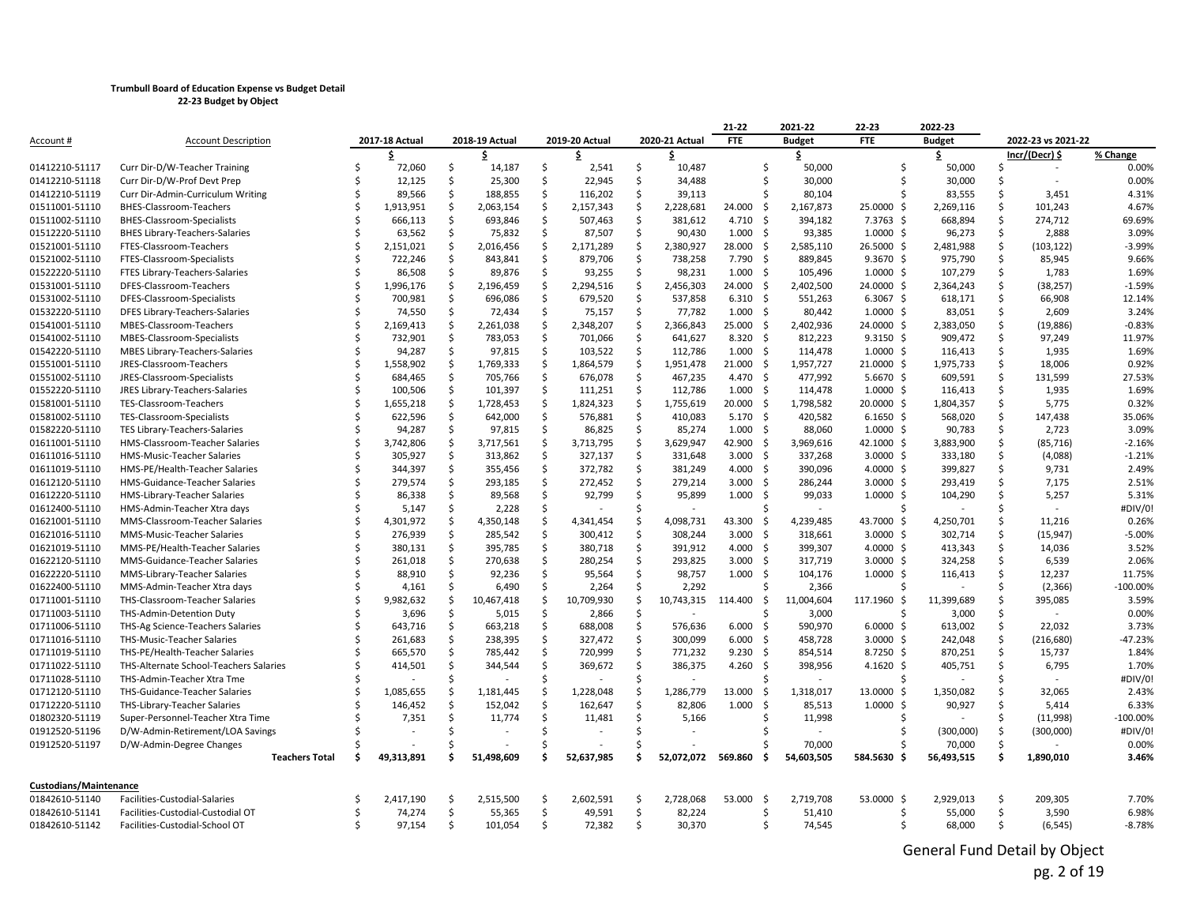|                        |                                        |    |                |     |                |     |                |    |                | 21-22           |      | 2021-22       | 22-23           | 2022-23       |          |                    |                       |
|------------------------|----------------------------------------|----|----------------|-----|----------------|-----|----------------|----|----------------|-----------------|------|---------------|-----------------|---------------|----------|--------------------|-----------------------|
| Account #              | <b>Account Description</b>             |    | 2017-18 Actual |     | 2018-19 Actual |     | 2019-20 Actual |    | 2020-21 Actual | <b>FTE</b>      |      | <b>Budget</b> | <b>FTE</b>      | <b>Budget</b> |          | 2022-23 vs 2021-22 |                       |
|                        |                                        |    |                |     | s              |     |                |    | s              |                 |      | \$            |                 | Ŝ.            |          | Incr/(Decr) \$     | % Change              |
| 01412210-51117         | Curr Dir-D/W-Teacher Training          | Ŝ. | 72,060         | \$  | 14,187         | \$  | 2,541          | \$ | 10,487         |                 | \$   | 50,000        | Ŝ.              | 50,000        | Ŝ        | $\sim$             | 0.00%                 |
| 01412210-51118         | Curr Dir-D/W-Prof Devt Prep            |    | 12,125         | Ś.  | 25,300         | \$  | 22,945         | \$ | 34,488         |                 | Ŝ.   | 30,000        | Ŝ.              | 30,000        | Ŝ.       |                    | 0.00%                 |
| 01412210-51119         | Curr Dir-Admin-Curriculum Writing      |    | 89,566         | Ŝ.  | 188,855        | \$  | 116,202        | \$ | 39,113         |                 | Ś    | 80,104        |                 | 83,555        | Ŝ        | 3,451              | 4.31%                 |
| 01511001-51110         | BHES-Classroom-Teachers                |    | 1,913,951      | \$  | 2,063,154      | \$  | 2,157,343      | \$ | 2,228,681      | 24.000          | -\$  | 2,167,873     | 25.0000 \$      | 2,269,116     | \$       | 101,243            | 4.67%                 |
| 01511002-51110         | BHES-Classroom-Specialists             |    | 666,113        | Ŝ.  | 693,846        | \$  | 507,463        | \$ | 381,612        | 4.710           | - \$ | 394,182       | 7.3763 \$       | 668,894       | Ŝ.       | 274,712            | 69.69%                |
| 01512220-51110         | <b>BHES Library-Teachers-Salaries</b>  |    | 63,562         | Ŝ.  | 75,832         | Ś.  | 87,507         | \$ | 90,430         | 1.000           | -\$  | 93,385        | $1.0000 \;$ \$  | 96,273        | \$       | 2,888              | 3.09%                 |
| 01521001-51110         | FTES-Classroom-Teachers                |    | 2,151,021      | \$  | 2,016,456      | \$  | 2,171,289      | \$ | 2,380,927      | 28.000          | -\$  | 2,585,110     | 26.5000 \$      | 2,481,988     | \$       | (103, 122)         | $-3.99%$              |
| 01521002-51110         | FTES-Classroom-Specialists             |    | 722,246        | Ŝ.  | 843,841        | \$  | 879,706        | \$ | 738,258        | 7.790           | -\$  | 889,845       | $9.3670$ \$     | 975,790       | \$       | 85,945             | 9.66%                 |
| 01522220-51110         | FTES Library-Teachers-Salaries         |    | 86,508         | Ś.  | 89,876         | \$  | 93,255         | \$ | 98,231         | 1.000           | -\$  | 105,496       | $1.0000 \,$ \$  | 107,279       | \$       | 1,783              | 1.69%                 |
| 01531001-51110         | DFES-Classroom-Teachers                |    | 1,996,176      | Ŝ.  | 2,196,459      | \$  | 2,294,516      | \$ | 2,456,303      | 24.000          | -\$  | 2,402,500     | 24.0000 \$      | 2,364,243     | \$       | (38, 257)          | $-1.59%$              |
| 01531002-51110         | DFES-Classroom-Specialists             |    | 700,981        | \$  | 696,086        | \$  | 679,520        | \$ | 537,858        | $6.310 \quad $$ |      | 551,263       | $6.3067$ \$     | 618,171       | Ŝ        | 66,908             | 12.14%                |
| 01532220-51110         | DFES Library-Teachers-Salaries         |    | 74,550         | \$  | 72,434         | \$  | 75,157         | \$ | 77,782         | $1.000 \quad $$ |      | 80,442        | $1.0000 \;$ \$  | 83,051        | \$       | 2,609              | 3.24%                 |
| 01541001-51110         | MBES-Classroom-Teachers                |    | 2,169,413      | \$. | 2,261,038      | \$  | 2,348,207      | \$ | 2,366,843      | 25.000          | - Ś  | 2,402,936     | 24.0000 \$      | 2,383,050     | Ŝ.       | (19, 886)          | $-0.83%$              |
| 01541002-51110         | MBES-Classroom-Specialists             |    | 732,901        | \$  | 783,053        | \$  | 701,066        | \$ | 641,627        | $8.320$ \$      |      | 812,223       | $9.3150 \;$ \$  | 909,472       | Ŝ        | 97,249             | 11.97%                |
| 01542220-51110         | MBES Library-Teachers-Salaries         |    | 94,287         | \$  | 97,815         | \$  | 103,522        | \$ | 112,786        | 1.000           | -\$  | 114,478       | $1.0000 \;$ \$  | 116,413       | Ŝ.       | 1,935              | 1.69%                 |
| 01551001-51110         | JRES-Classroom-Teachers                |    | 1,558,902      | Ŝ.  | 1,769,333      | Ś.  | 1,864,579      | \$ | 1,951,478      | 21.000          | -\$  | 1,957,727     | $21.0000 \;$ \$ | 1,975,733     | Ŝ        | 18,006             | 0.92%                 |
| 01551002-51110         | JRES-Classroom-Specialists             |    | 684,465        | \$. | 705,766        | \$  | 676,078        | \$ | 467,235        | 4.470 \$        |      | 477,992       | $5.6670$ \$     | 609,591       | Ŝ.       | 131,599            | 27.53%                |
| 01552220-51110         | JRES Library-Teachers-Salaries         |    | 100,506        | \$  | 101,397        | \$  | 111,251        | \$ | 112,786        | 1.000           | - Ś  | 114,478       | $1.0000 \;$ \$  | 116,413       | \$       | 1,935              | 1.69%                 |
| 01581001-51110         | TES-Classroom-Teachers                 |    | 1,655,218      | Ŝ   | 1,728,453      | Ś.  | 1,824,323      | \$ | 1,755,619      | 20.000          | -Ś   | 1,798,582     | 20.0000 \$      | 1,804,357     | Ŝ        | 5,775              | 0.32%                 |
| 01581002-51110         | TES-Classroom-Specialists              |    | 622,596        | Ś.  | 642,000        | \$  | 576,881        | \$ | 410,083        | $5.170$ \$      |      | 420,582       | $6.1650$ \$     | 568,020       | Ŝ.       | 147,438            | 35.06%                |
| 01582220-51110         | <b>TES Library-Teachers-Salaries</b>   |    | 94,287         | Ŝ.  | 97,815         | \$  | 86,825         | \$ | 85,274         | $1.000 \div$    |      | 88,060        | $1.0000 \;$ \$  | 90,783        | \$       | 2,723              | 3.09%                 |
| 01611001-51110         | HMS-Classroom-Teacher Salaries         |    | 3,742,806      | Ś   | 3,717,561      | Ś.  | 3,713,795      | \$ | 3,629,947      | 42.900          | -S   | 3,969,616     | 42.1000 \$      | 3,883,900     | Ŝ        | (85, 716)          | $-2.16%$              |
| 01611016-51110         | HMS-Music-Teacher Salaries             |    | 305,927        | Ŝ.  | 313,862        | \$  | 327,137        | \$ | 331,648        | 3.000           | -\$  | 337,268       | $3.0000$ \$     | 333,180       | \$       | (4,088)            | $-1.21%$              |
| 01611019-51110         | HMS-PE/Health-Teacher Salaries         |    | 344,397        | Ś.  | 355,456        | \$  | 372,782        | Ś. | 381,249        | $4.000$ \$      |      | 390,096       | $4.0000 \;$ \$  | 399,827       | Ŝ.       | 9,731              | 2.49%                 |
| 01612120-51110         | HMS-Guidance-Teacher Salaries          |    | 279,574        | Ŝ.  | 293,185        | \$. | 272,452        | \$ | 279,214        | 3.000           | - Ś  | 286,244       | $3.0000$ \$     | 293,419       | Ŝ        | 7,175              | 2.51%                 |
| 01612220-51110         | HMS-Library-Teacher Salaries           |    | 86,338         | \$  | 89,568         | \$  | 92,799         | \$ | 95,899         | 1.000           | -\$  | 99,033        | $1.0000 \,$ \$  | 104,290       | Ŝ        | 5,257              | 5.31%                 |
| 01612400-51110         | HMS-Admin-Teacher Xtra days            |    | 5,147          | Ŝ.  | 2,228          | \$  |                | Ŝ. |                |                 |      |               |                 |               | S.       |                    | #DIV/0!               |
| 01621001-51110         | MMS-Classroom-Teacher Salaries         |    | 4,301,972      | Ŝ.  | 4,350,148      | Ś.  | 4,341,454      | \$ | 4,098,731      | 43.300          | -\$  | 4,239,485     | 43.7000 \$      | 4,250,701     | Ŝ        | 11,216             | 0.26%                 |
| 01621016-51110         | MMS-Music-Teacher Salaries             |    | 276,939        | \$  | 285,542        | \$  | 300,412        | \$ | 308,244        | 3.000           | -\$  | 318,661       | $3.0000$ \$     | 302,714       | \$       | (15, 947)          | $-5.00%$              |
| 01621019-51110         | MMS-PE/Health-Teacher Salaries         |    | 380,131        | \$  | 395,785        | \$  | 380,718        | \$ | 391,912        | 4.000           | -\$  | 399,307       | $4.0000$ \$     | 413,343       | Ŝ        | 14,036             | 3.52%                 |
| 01622120-51110         | MMS-Guidance-Teacher Salaries          |    | 261,018        | \$  | 270,638        | \$  | 280,254        | \$ | 293,825        | 3.000           | -\$  | 317,719       | $3.0000$ \$     | 324,258       | \$       | 6,539              | 2.06%                 |
| 01622220-51110         | MMS-Library-Teacher Salaries           |    | 88,910         | \$. | 92,236         | \$  | 95,564         | \$ | 98,757         | 1.000           | - Ś  | 104,176       | $1.0000 \;$ \$  | 116,413       | Ŝ.       | 12,237             | 11.75%                |
| 01622400-51110         | MMS-Admin-Teacher Xtra days            |    | 4,161          | \$  | 6,490          | Ś.  | 2,264          | \$ | 2,292          |                 | ς    | 2,366         |                 |               | Ŝ        | (2,366)            | $-100.00%$            |
| 01711001-51110         | THS-Classroom-Teacher Salaries         |    | 9,982,632      | \$  | 10,467,418     | \$  | 10,709,930     | \$ | 10,743,315     | 114.400         | -\$  | 11,004,604    | 117.1960 \$     | 11,399,689    | \$       | 395,085            | 3.59%                 |
| 01711003-51110         | THS-Admin-Detention Duty               |    | 3,696          | Ŝ.  | 5,015          | \$  | 2,866          | \$ |                |                 |      | 3,000         |                 | 3,000         | Ŝ        |                    | 0.00%                 |
| 01711006-51110         | THS-Ag Science-Teachers Salaries       |    | 643,716        | \$  | 663,218        | \$  | 688,008        | \$ | 576,636        | 6.000           | - Ś  | 590,970       | $6.0000$ \$     | 613,002       | Ŝ        | 22,032             | 3.73%                 |
| 01711016-51110         | THS-Music-Teacher Salaries             |    | 261,683        | \$  | 238,395        | \$  | 327,472        | \$ | 300,099        | 6.000           | -\$  | 458,728       | $3.0000$ \$     | 242,048       | \$       | (216, 680)         | $-47.23%$             |
| 01711019-51110         | THS-PE/Health-Teacher Salaries         |    | 665,570        | Ŝ.  | 785,442        | \$  | 720,999        | \$ | 771,232        | 9.230           | - Ś  | 854,514       | $8.7250$ \$     | 870,251       | \$       | 15,737             | 1.84%                 |
| 01711022-51110         | THS-Alternate School-Teachers Salaries |    | 414,501        | Ŝ.  | 344,544        | \$  | 369,672        | \$ | 386,375        | 4.260           | -\$  | 398,956       | 4.1620 \$       | 405,751       | Ŝ        | 6,795              | 1.70%                 |
| 01711028-51110         | THS-Admin-Teacher Xtra Tme             |    |                | ς.  |                | Ś.  |                | Ŝ. |                |                 | \$   |               |                 |               | Ŝ        |                    | #DIV/0!               |
| 01712120-51110         | THS-Guidance-Teacher Salaries          |    | 1,085,655      | Ŝ   | 1,181,445      | Ś.  | 1,228,048      | \$ | 1,286,779      | 13.000          | - Ś  | 1,318,017     | 13.0000 \$      | 1,350,082     | Ŝ        | 32,065             | 2.43%                 |
| 01712220-51110         | THS-Library-Teacher Salaries           |    | 146,452        | \$  | 152,042        | \$  | 162,647        | Ś. | 82,806         | 1.000           | Ŝ.   | 85,513        | 1.0000S         | 90,927        | Ŝ        | 5,414              | 6.33%                 |
|                        |                                        |    |                | Ŝ.  |                | Ś.  |                | Ś  |                |                 | Ś    |               |                 |               | Ŝ        |                    |                       |
| 01802320-51119         | Super-Personnel-Teacher Xtra Time      |    | 7,351          | \$  | 11,774         | \$. | 11,481         | Ś  | 5,166          |                 |      | 11,998        |                 |               |          | (11,998)           | $-100.00%$<br>#DIV/0! |
| 01912520-51196         | D/W-Admin-Retirement/LOA Savings       |    |                | Ŝ   |                | Ś.  |                | Ś  |                |                 |      |               |                 | (300,000)     | \$<br>\$ | (300,000)          |                       |
| 01912520-51197         | D/W-Admin-Degree Changes               | Ŝ  |                |     |                | Ś   |                |    |                |                 | -Ś   | 70,000        |                 | 70,000        |          |                    | 0.00%<br>3.46%        |
|                        | <b>Teachers Total</b>                  |    | 49,313,891     |     | 51,498,609     |     | 52,637,985     |    | 52,072,072     | 569.860         |      | 54,603,505    | 584.5630 \$     | 56,493,515    | \$.      | 1,890,010          |                       |
| Custodians/Maintenance |                                        |    |                |     |                |     |                |    |                |                 |      |               |                 |               |          |                    |                       |
| 01842610-51140         | Facilities-Custodial-Salaries          |    | 2,417,190      | .S  | 2,515,500      | \$  | 2,602,591      | \$ | 2,728,068      | 53.000          | -\$  | 2,719,708     | 53.0000 \$      | 2,929,013     | Ŝ        | 209,305            | 7.70%                 |
| 01842610-51141         | Facilities-Custodial-Custodial OT      |    | 74,274         | \$  | 55,365         | \$  | 49,591         | \$ | 82,224         |                 | Ś    | 51,410        | Š.              | 55,000        | \$       | 3,590              | 6.98%                 |
| 01842610-51142         | Facilities-Custodial-School OT         | Š. | 97,154         | \$  | 101,054        | \$  | 72,382         | \$ | 30,370         |                 | Ś    | 74,545        | Ŝ.              | 68,000        | Ŝ        | (6, 545)           | $-8.78%$              |
|                        |                                        |    |                |     |                |     |                |    |                |                 |      |               |                 |               |          |                    |                       |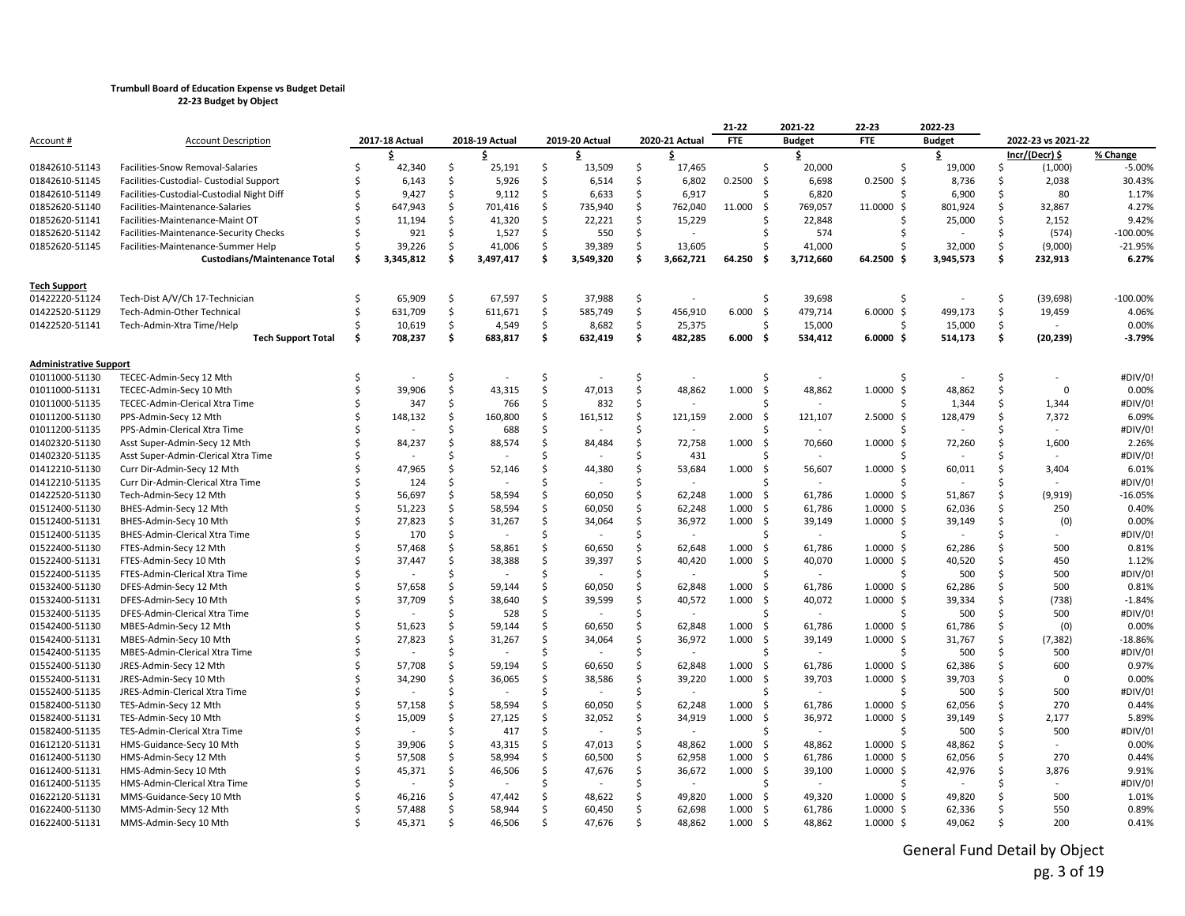|                               |                                           |    |                          |     |                |    |                |    |                          | 21-22         | 2021-22       |           | 22-23                | 2022-23       |               |                    |            |
|-------------------------------|-------------------------------------------|----|--------------------------|-----|----------------|----|----------------|----|--------------------------|---------------|---------------|-----------|----------------------|---------------|---------------|--------------------|------------|
| Account #                     | <b>Account Description</b>                |    | 2017-18 Actual           |     | 2018-19 Actual |    | 2019-20 Actual |    | 2020-21 Actual           | <b>FTE</b>    | <b>Budget</b> |           | <b>FTE</b>           | <b>Budget</b> |               | 2022-23 vs 2021-22 |            |
|                               |                                           |    | s                        |     | s              |    | s              |    | s                        |               | \$            |           |                      | \$            |               | Incr/(Decr) \$     | % Change   |
| 01842610-51143                | Facilities-Snow Removal-Salaries          | \$ | 42,340                   | \$  | 25,191         | \$ | 13,509         | \$ | 17,465                   |               | \$            | 20,000    | ς.                   | 19,000        | \$            | (1,000)            | $-5.00%$   |
| 01842610-51145                | Facilities-Custodial- Custodial Support   | Ŝ. | 6,143                    | Ŝ.  | 5,926          | Ś. | 6,514          | Ŝ  | 6,802                    | $0.2500$ \$   |               | 6,698     | $0.2500$ \$          | 8,736         | Ŝ             | 2,038              | 30.43%     |
| 01842610-51149                | Facilities-Custodial-Custodial Night Diff |    | 9,427                    | Ŝ.  | 9,112          | \$ | 6,633          | Ś. | 6,917                    |               | Ś             | 6,820     | ς.                   | 6,900         | Ŝ.            | 80                 | 1.17%      |
| 01852620-51140                | Facilities-Maintenance-Salaries           |    | 647,943                  | \$  | 701,416        | Ŝ. | 735,940        | Ŝ  | 762,040                  | 11.000        | -Ś            | 769,057   | 11.0000<br>S,        | 801,924       | Ŝ             | 32,867             | 4.27%      |
| 01852620-51141                | Facilities-Maintenance-Maint OT           |    | 11,194                   | Ŝ.  | 41,320         | Ś. | 22,221         | \$ | 15,229                   |               | Ś             | 22,848    |                      | 25,000        | \$            | 2,152              | 9.42%      |
| 01852620-51142                | Facilities-Maintenance-Security Checks    |    | 921                      | Ŝ.  | 1,527          | Ś. | 550            | Ś. |                          |               | Ś             | 574       |                      |               | <sup>\$</sup> | (574)              | $-100.00%$ |
| 01852620-51145                | Facilities-Maintenance-Summer Help        | S, | 39,226                   | Ŝ.  | 41,006         | \$ | 39,389         | \$ | 13.605                   |               | Ś             | 41,000    |                      | 32,000        | Ŝ.            | (9,000)            | $-21.95%$  |
|                               | <b>Custodians/Maintenance Total</b>       | Ś. | 3,345,812                | \$. | 3,497,417      | \$ | 3,549,320      | \$ | 3,662,721                | 64.250        | Ś.            | 3,712,660 | 64.2500              | 3,945,573     | \$            | 232,913            | 6.27%      |
| <b>Tech Support</b>           |                                           |    |                          |     |                |    |                |    |                          |               |               |           |                      |               |               |                    |            |
| 01422220-51124                | Tech-Dist A/V/Ch 17-Technician            | Ŝ. | 65.909                   | Ŝ.  | 67,597         | \$ | 37.988         | \$ |                          |               | Ś             | 39,698    | S.                   |               | Ŝ             | (39, 698)          | $-100.00%$ |
| 01422520-51129                | Tech-Admin-Other Technical                | Ś  | 631,709                  | \$  | 611,671        | \$ | 585,749        | \$ | 456,910                  | 6.000<br>- \$ |               | 479,714   | $6.0000$ \$          | 499,173       | \$            | 19,459             | 4.06%      |
| 01422520-51141                | Tech-Admin-Xtra Time/Help                 |    | 10,619                   | \$  | 4,549          | \$ | 8,682          | \$ | 25,375                   |               | Ś             | 15,000    |                      | 15,000        | \$            |                    | 0.00%      |
|                               | <b>Tech Support Total</b>                 | Ŝ. | 708,237                  | \$  | 683,817        | \$ | 632,419        | \$ | 482,285                  | 6.000<br>-\$  |               | 534,412   | $6.0000$ \$          | 514,173       | \$            | (20, 239)          | $-3.79%$   |
| <b>Administrative Support</b> |                                           |    |                          |     |                |    |                |    |                          |               |               |           |                      |               |               |                    |            |
| 01011000-51130                | TECEC-Admin-Secy 12 Mth                   |    |                          | Ŝ.  |                | Ś. |                | Ś. |                          |               | Ś             |           |                      |               | Ŝ.            |                    | #DIV/0!    |
| 01011000-51131                | TECEC-Admin-Secy 10 Mth                   | ς. | 39,906                   | Ŝ.  | 43,315         | Ś. | 47,013         | Ŝ. | 48,862                   | 1.000         | -\$           | 48,862    | 1.0000<br>Ŝ.         | 48,862        | Ŝ             | $\mathbf{0}$       | 0.00%      |
| 01011000-51135                | TECEC-Admin-Clerical Xtra Time            |    | 347                      | \$  | 766            | \$ | 832            | \$ |                          |               | Ś             |           |                      | 1,344         | \$            | 1,344              | #DIV/0!    |
| 01011200-51130                | PPS-Admin-Secy 12 Mth                     |    | 148,132                  | Ŝ.  | 160,800        | \$ | 161,512        | \$ | 121,159                  | 2.000         | -\$           | 121,107   | 2.5000<br>-S         | 128,479       | Ŝ.            | 7,372              | 6.09%      |
| 01011200-51135                | PPS-Admin-Clerical Xtra Time              |    |                          | Ŝ.  | 688            | Ś  |                | Ŝ. |                          |               |               |           |                      |               | Ŝ             |                    | #DIV/0!    |
| 01402320-51130                | Asst Super-Admin-Secy 12 Mth              |    | 84,237                   | Ŝ.  | 88,574         | Ś. | 84,484         | \$ | 72,758                   | 1.000         | -\$           | 70,660    | 1.0000<br>-S         | 72,260        | Ŝ             | 1,600              | 2.26%      |
| 01402320-51135                | Asst Super-Admin-Clerical Xtra Time       |    |                          |     |                | Ŝ. |                | Ŝ  | 431                      |               |               |           |                      |               |               |                    | #DIV/0!    |
| 01412210-51130                | Curr Dir-Admin-Secy 12 Mth                |    | 47,965                   | Ŝ.  | 52,146         | Ś  | 44,380         | Ś  | 53,684                   | 1.000         | -\$           | 56,607    | $1.0000 \;$ \$       | 60,011        | Ŝ             | 3,404              | 6.01%      |
| 01412210-51135                | Curr Dir-Admin-Clerical Xtra Time         |    | 124                      | Ŝ.  |                | Ŝ  |                | Ŝ. |                          |               | ς             |           | Ś.                   |               |               |                    | #DIV/0!    |
| 01422520-51130                | Tech-Admin-Secy 12 Mth                    |    | 56,697                   | Ŝ.  | 58,594         | Ś. | 60,050         | Ŝ. | 62,248                   | $1.000$ \$    |               | 61,786    | $1.0000$ \$          | 51,867        | Ŝ             | (9, 919)           | $-16.05%$  |
| 01512400-51130                | BHES-Admin-Secy 12 Mth                    |    | 51,223                   | \$  | 58,594         | Ś  | 60,050         | Ś. | 62,248                   | 1.000<br>- \$ |               | 61,786    | $1.0000 \,$ \$       | 62,036        | Ŝ.            | 250                | 0.40%      |
| 01512400-51131                | BHES-Admin-Secy 10 Mth                    |    | 27,823                   | \$  | 31,267         | Ś  | 34,064         | \$ | 36,972                   | - \$<br>1.000 |               | 39,149    | $1.0000 \,$ \$       | 39,149        | Ŝ             | (0)                | 0.00%      |
| 01512400-51135                | BHES-Admin-Clerical Xtra Time             |    | 170                      | \$  |                | Ś. |                | Ŝ  | $\overline{a}$           |               | Ś             |           |                      |               |               | $\sim$             | #DIV/0!    |
| 01522400-51130                | FTES-Admin-Secy 12 Mth                    |    | 57,468                   | \$  | 58,861         | \$ | 60,650         | \$ | 62,648                   | 1.000         | -Ś            | 61,786    | 1.0000<br>-S         | 62,286        | Ŝ             | 500                | 0.81%      |
| 01522400-51131                | FTES-Admin-Secy 10 Mth                    |    | 37,447                   | Ŝ.  | 38,388         | Ś. | 39,397         | Ŝ. | 40,420                   | 1.000<br>- \$ |               | 40,070    | $1.0000$ \$          | 40,520        | Ŝ             | 450                | 1.12%      |
| 01522400-51135                | FTES-Admin-Clerical Xtra Time             |    |                          | \$  |                | Ŝ. |                | Ŝ. |                          |               | Ś             |           |                      | 500           | Ŝ             | 500                | #DIV/0!    |
| 01532400-51130                | DFES-Admin-Secy 12 Mth                    |    | 57,658                   | \$  | 59,144         | Ś. | 60,050         | Ś. | 62,848                   | 1.000         | -\$           | 61,786    | $1.0000 \,$ \$       | 62,286        | <sup>\$</sup> | 500                | 0.81%      |
| 01532400-51131                | DFES-Admin-Secy 10 Mth                    |    | 37,709                   | Ŝ.  | 38,640         | Ś. | 39,599         | Ŝ  | 40,572                   | 1.000<br>- \$ |               | 40,072    | $1.0000$ \$          | 39,334        | Ŝ             | (738)              | $-1.84%$   |
| 01532400-51135                | DFES-Admin-Clerical Xtra Time             |    |                          | ς.  | 528            | Ś. |                | Ŝ  | $\overline{\phantom{a}}$ |               | Ś             |           |                      | 500           | Ŝ             | 500                | #DIV/0!    |
| 01542400-51130                | MBES-Admin-Secy 12 Mth                    |    | 51,623                   | \$  | 59,144         | \$ | 60,650         | \$ | 62,848                   | 1.000         | -\$           | 61,786    | $1.0000 \; \text{S}$ | 61,786        | Ŝ             | (0)                | 0.00%      |
| 01542400-51131                | MBES-Admin-Secy 10 Mth                    |    | 27,823                   | Ŝ.  | 31,267         | Ś. | 34,064         | Ŝ  | 36,972                   | 1.000<br>- \$ |               | 39,149    | $1.0000 \,$ \$       | 31,767        | Ŝ             | (7, 382)           | $-18.86%$  |
| 01542400-51135                | MBES-Admin-Clerical Xtra Time             |    |                          | Ś   |                | Ŝ. |                | Ś. |                          |               | Ś             |           |                      | 500           | Ŝ             | 500                | #DIV/0!    |
| 01552400-51130                | JRES-Admin-Secy 12 Mth                    |    | 57,708                   | ς.  | 59,194         | Ś. | 60,650         | Ŝ  | 62,848                   | 1.000<br>- \$ |               | 61,786    | $1.0000$ \$          | 62,386        | Ŝ             | 600                | 0.97%      |
| 01552400-51131                | JRES-Admin-Secy 10 Mth                    |    | 34,290                   | Ŝ.  | 36,065         | \$ | 38,586         | \$ | 39,220                   | 1.000         | -\$           | 39,703    | $1.0000 \; \text{S}$ | 39,703        | Ŝ             | $\mathbf 0$        | 0.00%      |
| 01552400-51135                | JRES-Admin-Clerical Xtra Time             |    |                          | \$  |                | Ś  |                | Ŝ. | $\overline{\phantom{a}}$ |               | Ś             |           |                      | 500           | <sup>\$</sup> | 500                | #DIV/0!    |
| 01582400-51130                | TES-Admin-Secy 12 Mth                     |    | 57,158                   | Ŝ.  | 58,594         | Ŝ. | 60,050         | Ŝ  | 62,248                   | 1.000<br>- \$ |               | 61,786    | $1.0000 \;$ \$       | 62,056        | Ŝ             | 270                | 0.44%      |
| 01582400-51131                | TES-Admin-Secy 10 Mth                     |    | 15,009                   | \$  | 27,125         | \$ | 32,052         | \$ | 34,919                   | 1.000         | -\$           | 36,972    | $1.0000 \;$ \$       | 39,149        | Ŝ             | 2,177              | 5.89%      |
| 01582400-51135                | TES-Admin-Clerical Xtra Time              |    | $\overline{\phantom{a}}$ | Ŝ.  | 417            | Ś. | $\sim$         | Ŝ  | $\sim$                   |               | Ś             | $\sim$    |                      | 500           | Ŝ             | 500                | #DIV/0!    |
| 01612120-51131                | HMS-Guidance-Secy 10 Mth                  |    | 39,906                   | Ŝ.  | 43,315         | Ś  | 47,013         | Ś. | 48,862                   | 1.000<br>- \$ |               | 48,862    | $1.0000 \,$ \$       | 48,862        | <sup>\$</sup> | $\sim$             | 0.00%      |
| 01612400-51130                | HMS-Admin-Secy 12 Mth                     |    | 57,508                   | \$  | 58,994         | \$ | 60,500         | \$ | 62,958                   | 1.000<br>- \$ |               | 61,786    | $1.0000 \; \text{S}$ | 62,056        | Ŝ             | 270                | 0.44%      |
| 01612400-51131                | HMS-Admin-Secy 10 Mth                     |    | 45,371                   | Ŝ.  | 46,506         | Ś. | 47,676         | \$ | 36,672                   | 1.000<br>- \$ |               | 39,100    | $1.0000$ \$          | 42,976        | Ŝ             | 3,876              | 9.91%      |
| 01612400-51135                | HMS-Admin-Clerical Xtra Time              |    |                          | \$  |                | Ś. |                | Ŝ  |                          |               | Ś             |           |                      |               | Ŝ             |                    | #DIV/0!    |
| 01622120-51131                | MMS-Guidance-Secy 10 Mth                  |    | 46,216                   | Ŝ.  | 47,442         | Ś. | 48,622         | Ŝ. | 49.820                   | 1.000<br>- \$ |               | 49,320    | 1.0000 S             | 49,820        | Ŝ             | 500                | 1.01%      |
| 01622400-51130                | MMS-Admin-Secy 12 Mth                     |    | 57,488                   | Ŝ.  | 58,944         | Ŝ. | 60,450         | Ŝ  | 62,698                   | 1.000<br>- \$ |               | 61,786    | $1.0000 \; \text{S}$ | 62,336        | Ŝ             | 550                | 0.89%      |
| 01622400-51131                | MMS-Admin-Secy 10 Mth                     | ς. | 45,371                   | Ŝ.  | 46,506         | Ś. | 47,676         | Ś. | 48,862                   | 1.000<br>- \$ |               | 48,862    | $1.0000 \,$ \$       | 49,062        | Ŝ             | 200                | 0.41%      |
|                               |                                           |    |                          |     |                |    |                |    |                          |               |               |           |                      |               |               |                    |            |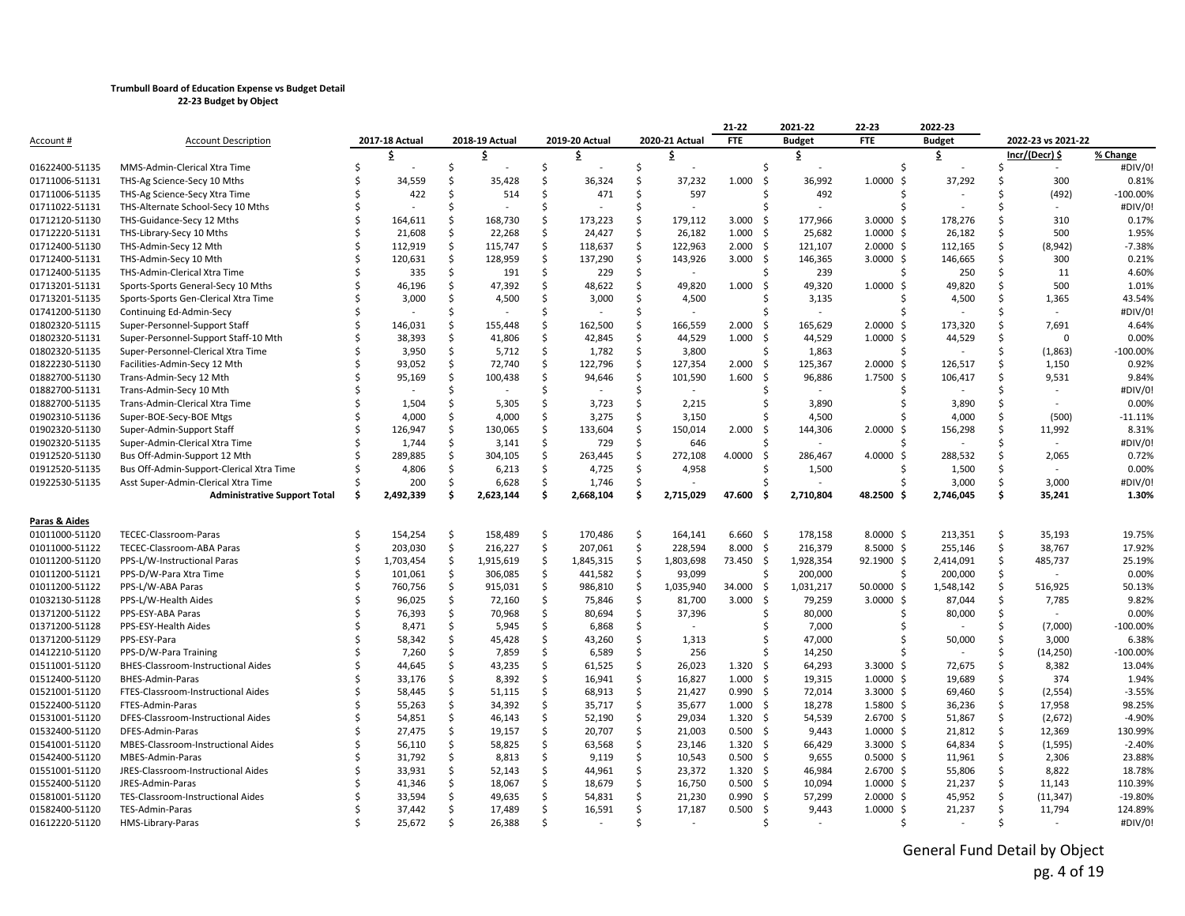|                                  |                                                        |         |                    |          |                          |          |                    |          |                          | 21-22               |            | 2021-22                  | 22-23                             | 2022-23              |          |                    |                     |
|----------------------------------|--------------------------------------------------------|---------|--------------------|----------|--------------------------|----------|--------------------|----------|--------------------------|---------------------|------------|--------------------------|-----------------------------------|----------------------|----------|--------------------|---------------------|
| Account #                        | <b>Account Description</b>                             |         | 2017-18 Actual     |          | 2018-19 Actual           |          | 2019-20 Actual     |          | 2020-21 Actual           | <b>FTE</b>          |            | <b>Budget</b>            | <b>FTE</b>                        | <b>Budget</b>        |          | 2022-23 vs 2021-22 |                     |
|                                  |                                                        |         | s                  |          | s                        |          | s                  |          | s                        |                     |            | \$.                      |                                   | Ş.                   |          | Incr/(Decr) \$     | % Change            |
| 01622400-51135                   | MMS-Admin-Clerical Xtra Time                           |         |                    | Ŝ        |                          | \$       |                    | \$       |                          |                     | Ś          |                          | Ŝ.                                |                      | Ŝ        | $\sim$             | #DIV/0!             |
| 01711006-51131                   | THS-Ag Science-Secy 10 Mths                            |         | 34,559             | Ŝ.       | 35,428                   | Ś.       | 36,324             | Ś        | 37,232                   | 1.000               | -\$        | 36,992                   | $1.0000$ \$                       | 37,292               | Ŝ        | 300                | 0.81%               |
| 01711006-51135                   | THS-Ag Science-Secy Xtra Time                          |         | 422                | \$       | 514                      | \$       | 471                | \$       | 597                      |                     | Ś          | 492                      | Ŝ.                                |                      | Ŝ        | (492)              | $-100.00%$          |
| 01711022-51131                   | THS-Alternate School-Secy 10 Mths                      |         |                    | Ŝ.       |                          | Ś.       |                    | Ŝ.       | ٠                        |                     | \$         |                          | Š.                                |                      |          |                    | #DIV/0!             |
| 01712120-51130                   | THS-Guidance-Secy 12 Mths                              |         | 164,611            | \$       | 168,730                  | \$       | 173,223            | \$       | 179,112                  | 3.000               | - Ś        | 177,966                  | $3.0000$ \$                       | 178,276              | Ŝ        | 310                | 0.17%               |
| 01712220-51131                   | THS-Library-Secy 10 Mths                               |         | 21,608             | \$       | 22,268                   | \$       | 24,427             | \$       | 26,182                   | 1.000               | -\$        | 25,682                   | $1.0000$ \$                       | 26,182               | Ŝ        | 500                | 1.95%               |
| 01712400-51130                   | THS-Admin-Secy 12 Mth                                  |         | 112,919            | \$       | 115,747                  | \$       | 118,637            | \$       | 122,963                  | 2.000               | - Ś        | 121,107                  | $2.0000 \,$ \$                    | 112,165              | Ŝ.       | (8,942)            | $-7.38%$            |
| 01712400-51131                   | THS-Admin-Secy 10 Mth                                  |         | 120,631            | Ŝ.       | 128,959                  | \$       | 137,290            | \$       | 143,926                  | 3.000               | -\$        | 146,365                  | $3.0000$ \$                       | 146,665              | Ŝ        | 300                | 0.21%               |
| 01712400-51135                   | THS-Admin-Clerical Xtra Time                           |         | 335                | \$       | 191                      | \$       | 229                | \$       |                          |                     | Ś          | 239                      | Ŝ.                                | 250                  | Ŝ        | 11                 | 4.60%               |
| 01713201-51131                   | Sports-Sports General-Secy 10 Mths                     |         | 46,196             | Ś.       | 47,392                   | \$       | 48,622             | \$       | 49,820                   | 1.000               | -Ś         | 49,320                   | 1.0000<br>-S                      | 49,820               | Ŝ        | 500                | 1.01%               |
| 01713201-51135                   | Sports-Sports Gen-Clerical Xtra Time                   |         | 3,000              | Ŝ.       | 4,500                    | \$       | 3,000              | \$       | 4,500                    |                     | Ś          | 3,135                    |                                   | 4,500                | Ŝ        | 1,365              | 43.54%              |
| 01741200-51130                   | Continuing Ed-Admin-Secy                               |         |                    | Ŝ.       |                          | Ś.       |                    | Ś.       | $\overline{\phantom{a}}$ |                     |            |                          |                                   |                      |          | $\overline{a}$     | #DIV/0!             |
| 01802320-51115                   | Super-Personnel-Support Staff                          |         | 146,031            | Ŝ.       | 155,448                  | \$       | 162,500            | \$       | 166,559                  | 2.000               | -Ś         | 165,629                  | $2.0000 \,$ \$                    | 173,320              | Ŝ        | 7,691              | 4.64%               |
| 01802320-51131                   | Super-Personnel-Support Staff-10 Mth                   |         | 38,393             | \$       | 41,806                   | \$       | 42,845             | \$       | 44,529                   | 1.000               | -Ś         | 44,529                   | $1.0000 \;$ \$                    | 44,529               | Ŝ        | 0                  | 0.00%               |
| 01802320-51135                   | Super-Personnel-Clerical Xtra Time                     |         | 3,950              | \$       | 5,712                    | \$       | 1,782              | \$       | 3,800                    |                     | Ś          | 1,863                    |                                   |                      | Ŝ        | (1,863)            | $-100.00%$          |
| 01822230-51130                   | Facilities-Admin-Secy 12 Mth                           |         | 93,052             | \$       | 72,740                   | \$       | 122,796            | \$       | 127,354                  | 2.000               | -Ś         | 125,367                  | $2.0000 \,$ \$                    | 126,517              | Ŝ.       | 1,150              | 0.92%               |
| 01882700-51130                   | Trans-Admin-Secy 12 Mth                                |         | 95,169             | Ś.       | 100,438                  | \$       | 94,646             | \$       | 101,590                  | 1.600               | -Ś         | 96,886                   | $1.7500$ \$                       | 106,417              | Ŝ        | 9,531              | 9.84%               |
| 01882700-51131                   | Trans-Admin-Secy 10 Mth                                |         | $\sim$             | \$       | $\overline{\phantom{a}}$ | \$.      |                    | Ŝ.       | $\sim$                   |                     |            | $\overline{\phantom{a}}$ |                                   |                      | Ŝ.       |                    | #DIV/0!             |
| 01882700-51135                   | Trans-Admin-Clerical Xtra Time                         |         | 1,504              | \$       | 5,305                    | \$       | 3,723              | \$       | 2,215                    |                     | Ś          | 3,890                    |                                   | 3,890                | \$       |                    | 0.00%               |
| 01902310-51136                   | Super-BOE-Secy-BOE Mtgs                                |         | 4,000              | Ś.       | 4,000                    | \$       | 3,275              | Ś.       | 3,150                    |                     |            | 4,500                    |                                   | 4,000                | Ŝ        | (500)              | $-11.11%$           |
| 01902320-51130                   | Super-Admin-Support Staff                              |         | 126,947            | Ŝ.       | 130,065                  | \$       | 133,604            | \$       | 150,014                  | 2.000               | Ś.         | 144,306                  | $2.0000 \;$ \$                    | 156,298              | Ŝ        | 11,992             | 8.31%               |
| 01902320-51135                   | Super-Admin-Clerical Xtra Time                         |         | 1,744              | \$       | 3,141                    | \$       | 729                | \$       | 646                      |                     |            |                          |                                   |                      | Ŝ        |                    | #DIV/0!             |
| 01912520-51130                   | Bus Off-Admin-Support 12 Mth                           |         | 289,885            | Ŝ.       | 304,105                  | \$       | 263,445            | \$       | 272,108                  | 4.0000              | -Ś         | 286,467                  | 4.0000<br>Ŝ.                      | 288,532              | Ŝ        | 2,065              | 0.72%               |
| 01912520-51135                   | Bus Off-Admin-Support-Clerical Xtra Time               |         | 4,806              | \$.      | 6,213                    | \$       | 4,725              | Ś.       | 4,958                    |                     | Ś          | 1,500                    | Ŝ.                                | 1,500                | Ŝ        |                    | 0.00%               |
| 01922530-51135                   | Asst Super-Admin-Clerical Xtra Time                    |         | 200                | Ŝ.       | 6,628                    | \$       | 1,746              | \$       |                          |                     |            |                          |                                   | 3,000                | Ŝ        | 3,000              | #DIV/0!             |
|                                  | <b>Administrative Support Total</b>                    | Ŝ       | 2,492,339          | Ś        | 2,623,144                | \$       | 2,668,104          | \$       | 2,715,029                | 47.600              | .S         | 2,710,804                | 48.2500 \$                        | 2,746,045            | \$       | 35,241             | 1.30%               |
|                                  |                                                        |         |                    |          |                          |          |                    |          |                          |                     |            |                          |                                   |                      |          |                    |                     |
| Paras & Aides                    |                                                        |         |                    |          |                          |          |                    |          |                          |                     |            |                          |                                   |                      | Ŝ        |                    | 19.75%              |
| 01011000-51120<br>01011000-51122 | TECEC-Classroom-Paras                                  | .S<br>Ŝ | 154,254<br>203,030 | \$<br>\$ | 158,489                  | \$<br>\$ | 170,486            | \$       | 164,141<br>228,594       | $6.660$ \$<br>8.000 |            | 178,158<br>216,379       | $8.0000 \,$ \$<br>8.5000 \$       | 213,351              |          | 35,193<br>38,767   | 17.92%              |
| 01011200-51120                   | TECEC-Classroom-ABA Paras                              | Ŝ.      |                    | \$       | 216,227                  | Ś.       | 207,061            | \$       |                          |                     | -\$<br>-\$ |                          |                                   | 255,146              | \$<br>Ŝ. |                    | 25.19%              |
|                                  | PPS-L/W-Instructional Paras                            | Ŝ       | 1,703,454          |          | 1,915,619                | \$       | 1,845,315          | \$       | 1,803,698                | 73.450              | Ś          | 1,928,354                | 92.1900 \$<br>Ŝ.                  | 2,414,091            | Ŝ        | 485,737            |                     |
| 01011200-51121<br>01011200-51122 | PPS-D/W-Para Xtra Time                                 |         | 101,061<br>760,756 | \$<br>Ś. | 306,085<br>915,031       | \$       | 441,582<br>986,810 | \$<br>\$ | 93,099<br>1,035,940      | 34.000              | -\$        | 200,000<br>1,031,217     | 50.0000 \$                        | 200,000<br>1,548,142 | \$       | 516,925            | 0.00%<br>50.13%     |
| 01032130-51128                   | PPS-L/W-ABA Paras<br>PPS-L/W-Health Aides              |         | 96,025             | \$       | 72,160                   | \$       | 75,846             | \$       | 81,700                   | 3.000               | - Ś        | 79,259                   | $3.0000$ \$                       | 87,044               | \$       | 7,785              | 9.82%               |
| 01371200-51122                   | PPS-ESY-ABA Paras                                      |         | 76,393             | \$       | 70,968                   | \$       | 80,694             | \$       | 37,396                   |                     | Ś          | 80,000                   |                                   | 80,000               | Ŝ        |                    | 0.00%               |
| 01371200-51128                   | PPS-ESY-Health Aides                                   |         | 8,471              | Ŝ.       |                          | \$       | 6,868              | \$       |                          |                     |            | 7,000                    |                                   |                      | Ŝ        | (7,000)            | $-100.00%$          |
| 01371200-51129                   | PPS-ESY-Para                                           |         | 58,342             | \$       | 5,945<br>45,428          | \$       | 43,260             | \$       | 1,313                    |                     | Ś          | 47,000                   |                                   | 50,000               | Ŝ        | 3,000              | 6.38%               |
| 01412210-51120                   | PPS-D/W-Para Training                                  |         | 7,260              | \$.      | 7,859                    | \$       | 6,589              | \$       | 256                      |                     |            | 14,250                   |                                   |                      | Ŝ        | (14, 250)          | $-100.00%$          |
| 01511001-51120                   | BHES-Classroom-Instructional Aides                     |         | 44,645             | Ŝ.       | 43,235                   | Ś.       | 61,525             | Ŝ.       | 26,023                   | 1.320               | - Ś        | 64,293                   | $3.3000 \div$                     | 72,675               | Ŝ        | 8,382              | 13.04%              |
|                                  | BHES-Admin-Paras                                       |         | 33,176             | \$       | 8,392                    | \$       |                    | \$       | 16,827                   | 1.000               | -\$        |                          | $1.0000$ \$                       |                      | \$       | 374                | 1.94%               |
| 01512400-51120<br>01521001-51120 | FTES-Classroom-Instructional Aides                     |         | 58,445             | Ś.       | 51,115                   | \$       | 16,941<br>68,913   | Ś.       | 21,427                   | 0.990               | -\$        | 19,315<br>72,014         | $3.3000 \;$ \$                    | 19,689<br>69,460     | \$       | (2, 554)           | $-3.55%$            |
| 01522400-51120                   | FTES-Admin-Paras                                       |         | 55,263             | \$       | 34,392                   | \$       | 35,717             | Ŝ.       | 35,677                   | 1.000               | - Ś        | 18,278                   | $1.5800 \text{ }$                 | 36,236               | Ŝ        | 17,958             | 98.25%              |
|                                  | DFES-Classroom-Instructional Aides                     |         | 54,851             | \$       |                          | \$       | 52,190             | \$       | 29,034                   | 1.320               | -\$        | 54,539                   | $2.6700$ \$                       |                      | Ŝ        | (2,672)            | $-4.90%$            |
| 01531001-51120                   |                                                        |         |                    |          | 46,143                   |          |                    |          |                          |                     |            |                          |                                   | 51,867               |          |                    |                     |
| 01532400-51120<br>01541001-51120 | DFES-Admin-Paras<br>MBES-Classroom-Instructional Aides |         | 27,475<br>56,110   | Ŝ.<br>Ś. | 19,157<br>58,825         | \$<br>\$ | 20,707<br>63,568   | \$<br>\$ | 21,003<br>23,146         | 0.500<br>1.320      | - Ś<br>-\$ | 9,443<br>66,429          | $1.0000 \; \text{S}$<br>3.3000 \$ | 21,812<br>64,834     | \$<br>\$ | 12,369<br>(1, 595) | 130.99%<br>$-2.40%$ |
|                                  |                                                        |         |                    | \$       |                          |          |                    |          |                          |                     |            |                          |                                   |                      |          |                    |                     |
| 01542400-51120                   | MBES-Admin-Paras                                       |         | 31,792             | \$       | 8,813                    | \$<br>Ś. | 9,119              | \$       | 10,543                   | 0.500<br>1.320      | -\$        | 9,655<br>46,984          | $0.5000$ \$                       | 11,961               | \$       | 2,306<br>8,822     | 23.88%<br>18.78%    |
| 01551001-51120                   | JRES-Classroom-Instructional Aides<br>JRES-Admin-Paras |         | 33,931<br>41,346   |          | 52,143                   | \$       | 44,961             | \$<br>\$ | 23,372<br>16,750         | 0.500               | -\$<br>-\$ | 10,094                   | $2.6700$ \$                       | 55,806               | \$<br>\$ |                    | 110.39%             |
| 01552400-51120                   |                                                        |         |                    | \$<br>Ŝ. | 18,067                   | Ś.       | 18,679             |          |                          |                     | - \$       |                          | $1.0000 \; \text{S}$              | 21,237               |          | 11,143             |                     |
| 01581001-51120                   | TES-Classroom-Instructional Aides                      |         | 33,594             |          | 49,635                   | \$       | 54,831             | Ŝ.       | 21,230                   | 0.990               | -\$        | 57,299                   | $2.0000 \;$ \$                    | 45,952               | Ŝ<br>Ŝ   | (11, 347)          | $-19.80%$           |
| 01582400-51120                   | TES-Admin-Paras                                        | $\zeta$ | 37,442             | \$       | 17,489                   |          | 16,591             | \$       | 17,187                   | 0.500               |            | 9,443                    | $1.0000 \; \text{S}$              | 21,237               |          | 11,794             | 124.89%             |
| 01612220-51120                   | HMS-Library-Paras                                      |         | 25,672             | \$       | 26,388                   | \$       |                    | Ś        |                          |                     | Ś          |                          | Ŝ.                                |                      | Ŝ        |                    | #DIV/0!             |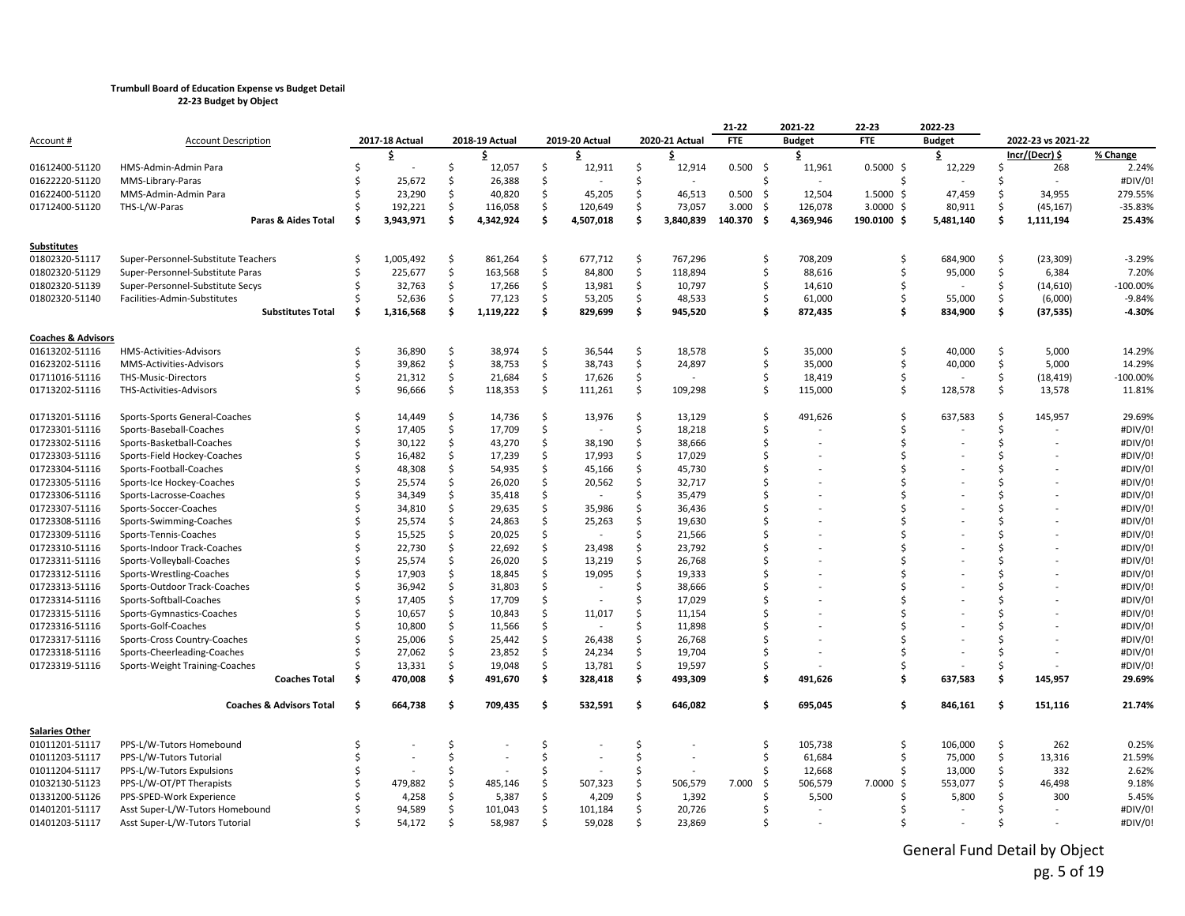|                               |                                     |     |                |                     |                |               |                |     |                          | 21-22          | 2021-22       | 22-23         | 2022-23       |     |                    |            |
|-------------------------------|-------------------------------------|-----|----------------|---------------------|----------------|---------------|----------------|-----|--------------------------|----------------|---------------|---------------|---------------|-----|--------------------|------------|
| Account #                     | <b>Account Description</b>          |     | 2017-18 Actual |                     | 2018-19 Actual |               | 2019-20 Actual |     | 2020-21 Actual           | <b>FTE</b>     | <b>Budget</b> | <b>FTE</b>    | <b>Budget</b> |     | 2022-23 vs 2021-22 |            |
|                               |                                     |     | \$             |                     | Ŝ              |               | s.             |     | \$                       |                | \$            |               | \$            |     | Incr/(Decr) \$     | % Change   |
| 01612400-51120                | HMS-Admin-Admin Para                | Ś   |                | Ś                   | 12,057         | Ś.            | 12,911         | Ŝ   | 12,914                   | $0.500$ \$     | 11,961        | 0.5000S       | 12,229        | Ŝ   | 268                | 2.24%      |
| 01622220-51120                | MMS-Library-Paras                   |     | 25,672         | Ŝ.                  | 26,388         | Ś.            |                | Ŝ   | $\overline{\phantom{a}}$ | Ś              |               | <sup>\$</sup> |               |     | $\sim$             | #DIV/0!    |
| 01622400-51120                | MMS-Admin-Admin Para                | Ś   | 23,290         | \$                  | 40,820         | \$            | 45,205         | \$  | 46,513                   | 0.500<br>- \$  | 12,504        | $1.5000$ \$   | 47,459        | Ŝ   | 34,955             | 279.55%    |
| 01712400-51120                | THS-L/W-Paras                       | \$  | 192,221        | \$                  | 116,058        | \$            | 120,649        | \$  | 73,057                   | 3.000<br>- \$  | 126,078       | $3.0000$ \$   | 80,911        | Ŝ.  | (45, 167)          | -35.83%    |
|                               | Paras & Aides Total                 | \$  | 3,943,971      | Ś                   | 4,342,924      | Ŝ.            | 4,507,018      | Ŝ   | 3,840,839                | 140.370<br>- Ś | 4,369,946     | 190.0100 \$   | 5,481,140     | Ŝ   | 1,111,194          | 25.43%     |
| Substitutes                   |                                     |     |                |                     |                |               |                |     |                          |                |               |               |               |     |                    |            |
| 01802320-51117                | Super-Personnel-Substitute Teachers | Ś   | 1,005,492      | \$                  | 861,264        | \$            | 677,712        | \$  | 767,296                  | \$             | 708,209       | Ŝ.            | 684,900       | Ŝ.  | (23, 309)          | $-3.29%$   |
| 01802320-51129                | Super-Personnel-Substitute Paras    | Ś   | 225,677        | \$                  | 163,568        | \$            | 84,800         | \$  | 118,894                  | Ś.             | 88,616        | Ŝ.            | 95,000        | \$  | 6,384              | 7.20%      |
| 01802320-51139                | Super-Personnel-Substitute Secys    | Ś   | 32,763         | Ś                   | 17,266         | \$            | 13,981         | \$  | 10,797                   | \$             | 14,610        | Ś             |               | \$  | (14, 610)          | $-100.00%$ |
| 01802320-51140                | Facilities-Admin-Substitutes        | Ś   | 52,636         | \$                  | 77,123         | \$            | 53,205         | \$  | 48,533                   | \$             | 61,000        | Ŝ.            | 55,000        | \$  | (6,000)            | $-9.84%$   |
|                               | <b>Substitutes Total</b>            | Ś   | 1,316,568      | Ś                   | 1,119,222      | \$            | 829,699        | \$  | 945,520                  | \$             | 872,435       | Ś.            | 834,900       | \$  | (37, 535)          | $-4.30%$   |
| <b>Coaches &amp; Advisors</b> |                                     |     |                |                     |                |               |                |     |                          |                |               |               |               |     |                    |            |
| 01613202-51116                | HMS-Activities-Advisors             | Ś   | 36,890         | Ŝ.                  | 38,974         | Ś.            | 36,544         | Ŝ.  | 18,578                   | \$             | 35,000        | Ś             | 40,000        | Ŝ.  | 5,000              | 14.29%     |
| 01623202-51116                | MMS-Activities-Advisors             | Ś   | 39,862         | $\ddot{\mathsf{S}}$ | 38,753         | \$            | 38,743         | \$  | 24,897                   | Ŝ.             | 35,000        | Ś             | 40,000        | \$  | 5,000              | 14.29%     |
| 01711016-51116                | THS-Music-Directors                 | Ś   | 21,312         | \$                  | 21,684         | \$            | 17,626         | \$  |                          | Ś.             | 18,419        | Ś             |               | \$  | (18, 419)          | $-100.00%$ |
| 01713202-51116                | THS-Activities-Advisors             | Ś   | 96,666         | \$                  | 118,353        | \$            | 111,261        | \$  | 109,298                  | Ś.             | 115,000       | Ŝ.            | 128,578       | \$  | 13,578             | 11.81%     |
| 01713201-51116                | Sports-Sports General-Coaches       | Ŝ   | 14,449         | \$                  | 14,736         | \$            | 13,976         | Ŝ.  | 13,129                   | Ś              | 491,626       | Ś             | 637,583       | Ŝ.  | 145,957            | 29.69%     |
| 01723301-51116                | Sports-Baseball-Coaches             | Ś   | 17,405         | \$                  | 17,709         | \$            |                | \$  | 18,218                   | Ś              |               | Ś             |               | \$  |                    | #DIV/0!    |
| 01723302-51116                | Sports-Basketball-Coaches           | Ś   | 30,122         | \$                  | 43,270         | \$            | 38,190         | \$  | 38,666                   | Ś              |               | ς             |               | ς.  |                    | #DIV/0!    |
| 01723303-51116                | Sports-Field Hockey-Coaches         |     | 16,482         | \$                  | 17,239         | Ś.            | 17,993         | Ŝ.  | 17,029                   | Ś              |               | ς             |               |     |                    | #DIV/0!    |
| 01723304-51116                | Sports-Football-Coaches             |     | 48,308         | \$                  | 54,935         | \$            | 45,166         | Ś   | 45,730                   | Ś              |               | Ś             |               |     |                    | #DIV/0!    |
| 01723305-51116                | Sports-Ice Hockey-Coaches           |     | 25,574         | Ś.                  | 26,020         | \$            | 20,562         | Ŝ.  | 32,717                   |                |               | ς             |               |     |                    | #DIV/0!    |
| 01723306-51116                | Sports-Lacrosse-Coaches             |     | 34,349         | \$                  | 35,418         | \$            |                | Ŝ.  | 35,479                   | ς              |               | ς             |               |     |                    | #DIV/0!    |
| 01723307-51116                | Sports-Soccer-Coaches               | Ś   | 34,810         | \$                  | 29,635         | \$            | 35,986         | Ŝ.  | 36,436                   | Ś              |               | ς             |               |     |                    | #DIV/0!    |
| 01723308-51116                | Sports-Swimming-Coaches             |     | 25,574         | Ś                   | 24,863         | \$            | 25,263         | Ŝ   | 19,630                   | Ś              |               | ς             |               |     |                    | #DIV/0!    |
| 01723309-51116                | Sports-Tennis-Coaches               |     | 15,525         | \$                  | 20,025         | \$            |                | Ŝ   | 21,566                   | ς              |               |               |               |     |                    | #DIV/0!    |
| 01723310-51116                | Sports-Indoor Track-Coaches         | Ś   | 22,730         | Ś.                  | 22,692         | \$            | 23,498         | Ŝ.  | 23,792                   | Ś              |               | ς             |               |     |                    | #DIV/0!    |
| 01723311-51116                | Sports-Volleyball-Coaches           |     | 25,574         | \$                  | 26,020         | \$            | 13,219         | Ŝ   | 26,768                   | Ś              |               | ς             |               |     |                    | #DIV/0!    |
| 01723312-51116                | Sports-Wrestling-Coaches            |     | 17,903         | Ś.                  | 18,845         | \$            | 19,095         | Ŝ   | 19,333                   | Ś              |               |               |               |     |                    | #DIV/0!    |
| 01723313-51116                | Sports-Outdoor Track-Coaches        |     | 36,942         | \$                  | 31,803         | \$            |                | Ŝ.  | 38,666                   | ς              |               | ς             |               |     |                    | #DIV/0!    |
| 01723314-51116                | Sports-Softball-Coaches             |     | 17,405         | \$                  | 17,709         | \$            |                | Ŝ   | 17,029                   |                |               | Ś             |               |     |                    | #DIV/0!    |
| 01723315-51116                | Sports-Gymnastics-Coaches           |     | 10,657         | \$                  | 10,843         | \$            | 11,017         | Ŝ.  | 11,154                   | \$             |               |               |               |     |                    | #DIV/0!    |
| 01723316-51116                | Sports-Golf-Coaches                 |     | 10,800         | \$                  | 11,566         | <sup>\$</sup> |                |     | 11,898                   | Ś              |               |               |               |     |                    | #DIV/0!    |
| 01723317-51116                | Sports-Cross Country-Coaches        |     | 25,006         | \$                  | 25,442         | \$            | 26,438         | \$  | 26,768                   | \$             |               |               |               |     |                    | #DIV/0!    |
| 01723318-51116                | Sports-Cheerleading-Coaches         | Ś   | 27,062         | \$                  | 23,852         | \$            | 24,234         | \$  | 19,704                   | Ś              |               | Ś             |               |     |                    | #DIV/0!    |
| 01723319-51116                | Sports-Weight Training-Coaches      |     | 13,331         | \$                  | 19,048         | \$            | 13,781         | \$  | 19,597                   | Ś              |               |               |               | Ŝ   |                    | #DIV/0!    |
|                               | <b>Coaches Total</b>                | -\$ | 470,008        | \$.                 | 491,670        | \$            | 328,418        | \$  | 493,309                  | \$             | 491,626       | Ŝ             | 637,583       | \$. | 145,957            | 29.69%     |
|                               | <b>Coaches &amp; Advisors Total</b> | Ś.  | 664,738        | -\$                 | 709,435        | \$            | 532,591        | \$  | 646,082                  | Ś              | 695,045       | Ś.            | 846,161       | \$  | 151,116            | 21.74%     |
| <b>Salaries Other</b>         |                                     |     |                |                     |                |               |                |     |                          |                |               |               |               |     |                    |            |
| 01011201-51117                | PPS-L/W-Tutors Homebound            | Ś   |                | \$                  |                | \$            |                | \$  |                          | \$             | 105,738       | Ś             | 106,000       | \$  | 262                | 0.25%      |
| 01011203-51117                | PPS-L/W-Tutors Tutorial             | Ś   |                | Ś                   |                | Ś.            |                | Ś   |                          | \$             | 61,684        | Ś             | 75,000        | \$  | 13,316             | 21.59%     |
| 01011204-51117                | PPS-L/W-Tutors Expulsions           |     |                | Ś                   |                | Ŝ.            |                | Ŝ.  |                          | Ś              | 12,668        | Ś             | 13,000        | \$  | 332                | 2.62%      |
| 01032130-51123                | PPS-L/W-OT/PT Therapists            |     | 479,882        | Ś                   | 485,146        | Ŝ.            | 507,323        | .\$ | 506,579                  | 7.000<br>Ŝ.    | 506,579       | 7.0000<br>Ŝ.  | 553,077       | Ŝ   | 46,498             | 9.18%      |
| 01331200-51126                | PPS-SPED-Work Experience            |     | 4,258          | Ś                   | 5,387          | Ś.            | 4,209          | Ŝ   | 1,392                    | Ś              | 5,500         |               | 5,800         | ς.  | 300                | 5.45%      |
| 01401201-51117                | Asst Super-L/W-Tutors Homebound     |     | 94,589         | Ś                   | 101,043        | \$            | 101,184        | \$  | 20,726                   | Ś              |               |               |               |     |                    | #DIV/0!    |
| 01401203-51117                | Asst Super-L/W-Tutors Tutorial      | \$  | 54,172         | \$                  | 58,987         | Ŝ.            | 59,028         | Ŝ.  | 23,869                   | Ś              |               |               |               | ¢.  |                    | #DIV/0!    |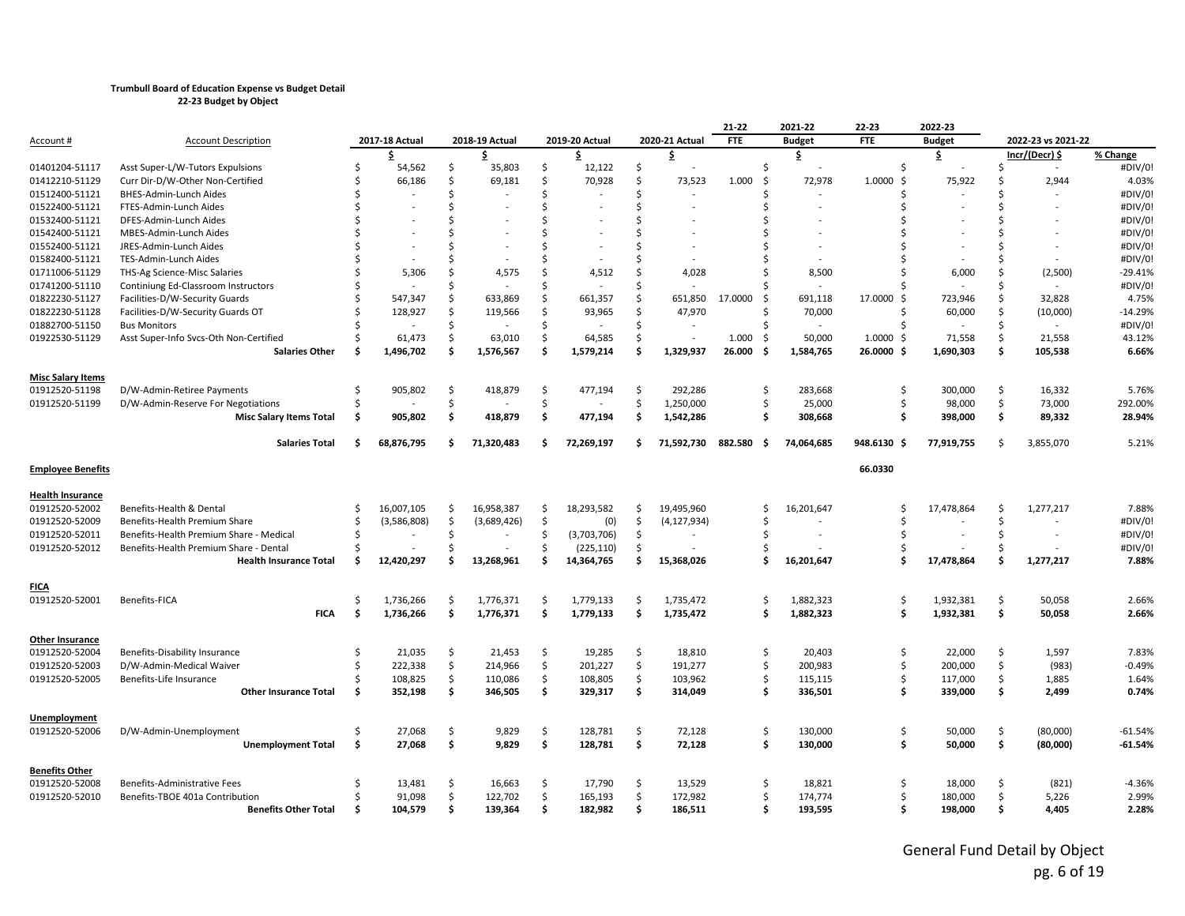|                          |                                         |     |                |     |                |    |                |     |                | 21-22          | 2021-22         | 22-23             | 2022-23       |     |                    |           |
|--------------------------|-----------------------------------------|-----|----------------|-----|----------------|----|----------------|-----|----------------|----------------|-----------------|-------------------|---------------|-----|--------------------|-----------|
| Account #                | <b>Account Description</b>              |     | 2017-18 Actual |     | 2018-19 Actual |    | 2019-20 Actual |     | 2020-21 Actual | <b>FTE</b>     | <b>Budget</b>   | <b>FTE</b>        | <b>Budget</b> |     | 2022-23 vs 2021-22 |           |
|                          |                                         |     | \$             |     | \$             |    | \$             |     | \$             |                | \$              |                   | \$            |     | Incr/(Decr) \$     | % Change  |
| 01401204-51117           | Asst Super-L/W-Tutors Expulsions        |     | 54,562         | \$  | 35,803         | \$ | 12,122         | \$  |                | Ś              |                 | Ś.                |               | Ŝ.  | $\sim$             | #DIV/0!   |
| 01412210-51129           | Curr Dir-D/W-Other Non-Certified        |     | 66,186         | \$  | 69,181         | Ś. | 70,928         | \$  | 73,523         | 1.000<br>-Ś    | 72,978          | 1.0000<br>$\zeta$ | 75,922        | Ŝ.  | 2,944              | 4.03%     |
| 01512400-51121           | BHES-Admin-Lunch Aides                  |     |                | Ŝ.  |                | Ś  |                | Ś.  |                | Ś              |                 | ς.                |               | Š.  |                    | #DIV/0!   |
| 01522400-51121           | FTES-Admin-Lunch Aides                  |     |                | Ś   |                | Ś  |                | Ś.  |                |                |                 | \$                |               | -Ŝ  |                    | #DIV/0!   |
| 01532400-51121           | DFES-Admin-Lunch Aides                  |     |                | Ś   |                | Ś  |                | Ś   |                |                |                 |                   |               |     |                    | #DIV/0!   |
| 01542400-51121           | MBES-Admin-Lunch Aides                  |     |                | \$  |                | \$ |                | Ś   |                |                |                 |                   |               |     |                    | #DIV/0!   |
| 01552400-51121           | JRES-Admin-Lunch Aides                  |     |                | Ś   |                |    |                | \$  |                |                |                 |                   |               | ς.  |                    | #DIV/0!   |
| 01582400-51121           | TES-Admin-Lunch Aides                   |     |                | Ś   |                |    |                | Ś   |                |                |                 |                   |               | Š.  |                    | #DIV/0!   |
| 01711006-51129           | THS-Ag Science-Misc Salaries            |     | 5,306          | Ś.  | 4,575          | Ś  | 4,512          | Ś.  | 4,028          |                | 8,500           |                   | 6,000         | Ŝ.  | (2,500)            | $-29.41%$ |
| 01741200-51110           | Continiung Ed-Classroom Instructors     |     |                | Ś   |                | Ś  |                | \$  |                |                |                 |                   |               | Ŝ.  |                    | #DIV/0!   |
| 01822230-51127           | Facilities-D/W-Security Guards          |     | 547,347        | Ś.  | 633,869        | Ś. | 661,357        | \$  | 651,850        | 17.0000<br>\$  | 691,118         | 17.0000<br>Ŝ.     | 723,946       | Ŝ.  | 32,828             | 4.75%     |
| 01822230-51128           | Facilities-D/W-Security Guards OT       |     | 128,927        | \$. | 119,566        | \$ | 93,965         | Ś   | 47,970         | ς              | 70,000          | Ś,                | 60,000        | -\$ | (10,000)           | $-14.29%$ |
| 01882700-51150           | <b>Bus Monitors</b>                     |     |                | Ś   |                | Ś  |                | Ś.  |                |                |                 | $\zeta$           |               | Ŝ.  |                    | #DIV/0!   |
| 01922530-51129           | Asst Super-Info Svcs-Oth Non-Certified  |     | 61,473         | Ś.  | 63,010         | Ŝ. | 64,585         | \$  |                | 1.000<br>-Ś    | 50,000          | 1.0000<br>Ŝ.      | 71,558        | Ŝ.  | 21,558             | 43.12%    |
|                          | <b>Salaries Other</b>                   | S   | 1,496,702      | \$. | 1,576,567      | Ś  | 1,579,214      | \$  | 1,329,937      | 26.000<br>Ś    | 1,584,765       | 26.0000<br>Ŝ.     | 1,690,303     | \$  | 105,538            | 6.66%     |
|                          |                                         |     |                |     |                |    |                |     |                |                |                 |                   |               |     |                    |           |
| <b>Misc Salary Items</b> |                                         |     |                |     |                |    |                |     |                |                |                 |                   |               |     |                    |           |
| 01912520-51198           | D/W-Admin-Retiree Payments              | ς   | 905,802        | \$  | 418,879        | Ŝ. | 477,194        | Ś.  | 292,286        | Ś.             | 283,668         | Ŝ.                | 300,000       | Ŝ.  | 16,332             | 5.76%     |
| 01912520-51199           | D/W-Admin-Reserve For Negotiations      |     |                | Ś.  |                | Ś. |                | \$  | 1,250,000      | Ś.             | 25,000          | Ś,                | 98,000        | Ŝ.  | 73,000             | 292.00%   |
|                          | <b>Misc Salary Items Total</b>          | Ŝ   | 905,802        | \$  | 418,879        | \$ | 477,194        | \$  | 1,542,286      | Ś              | 308,668         | . Ś               | 398,000       | \$  | 89,332             | 28.94%    |
|                          |                                         |     |                |     |                |    |                |     |                |                |                 |                   |               |     |                    |           |
|                          | <b>Salaries Total</b>                   | Ŝ   | 68,876,795     | \$  | 71,320,483     | Ś  | 72,269,197     | \$. | 71,592,730     | 882.580<br>\$. | 74,064,685      | 948.6130 \$       | 77,919,755    | Ŝ.  | 3,855,070          | 5.21%     |
|                          |                                         |     |                |     |                |    |                |     |                |                |                 |                   |               |     |                    |           |
| <b>Employee Benefits</b> |                                         |     |                |     |                |    |                |     |                |                |                 | 66.0330           |               |     |                    |           |
| <b>Health Insurance</b>  |                                         |     |                |     |                |    |                |     |                |                |                 |                   |               |     |                    |           |
| 01912520-52002           | Benefits-Health & Dental                | Ŝ.  | 16,007,105     | \$  | 16,958,387     | \$ | 18,293,582     | \$  | 19,495,960     | \$             | 16,201,647      | Ś                 | 17,478,864    | -\$ | 1,277,217          | 7.88%     |
| 01912520-52009           | Benefits-Health Premium Share           | S,  | (3,586,808)    | \$  | (3,689,426)    | \$ | (0)            | \$  | (4, 127, 934)  | Ś              |                 | Ś.                |               | Ŝ.  |                    | #DIV/0!   |
| 01912520-52011           | Benefits-Health Premium Share - Medical | ς.  |                | \$  |                | Ŝ  | (3,703,706)    | \$  |                | Ś              |                 |                   |               | Ŝ.  |                    | #DIV/0!   |
| 01912520-52012           | Benefits-Health Premium Share - Dental  |     |                | Ŝ   |                | Ŝ. | (225, 110)     | Ś.  |                | Ś              |                 |                   |               | Ŝ.  |                    | #DIV/0!   |
|                          | <b>Health Insurance Total</b>           | Ŝ   | 12,420,297     | \$  | 13,268,961     | Ś  | 14,364,765     | \$  | 15,368,026     | \$             | 16,201,647      | Ś.                | 17,478,864    | Ŝ.  | 1,277,217          | 7.88%     |
|                          |                                         |     |                |     |                |    |                |     |                |                |                 |                   |               |     |                    |           |
| <b>FICA</b>              |                                         |     |                |     |                |    |                |     |                |                |                 |                   |               |     |                    |           |
| 01912520-52001           | Benefits-FICA                           | ς   | 1,736,266      | Ś.  | 1,776,371      | Ś  | 1,779,133      | Ś   | 1,735,472      | Ś.             | 1,882,323       | Ŝ.                | 1,932,381     | Ŝ.  | 50,058             | 2.66%     |
|                          | <b>FICA</b>                             | -\$ | 1,736,266      | \$  | 1,776,371      | \$ | 1,779,133      | \$  | 1,735,472      |                | \$<br>1,882,323 | . Ś               | 1,932,381     | \$  | 50,058             | 2.66%     |
|                          |                                         |     |                |     |                |    |                |     |                |                |                 |                   |               |     |                    |           |
| <b>Other Insurance</b>   |                                         |     |                |     |                |    |                |     |                |                |                 |                   |               |     |                    |           |
| 01912520-52004           | Benefits-Disability Insurance           | Ŝ   | 21,035         | \$  | 21,453         | \$ | 19,285         | \$  | 18,810         | \$             | 20,403          | \$                | 22,000        | Ŝ.  | 1,597              | 7.83%     |
| 01912520-52003           | D/W-Admin-Medical Waiver                |     | 222,338        | \$  | 214,966        | \$ | 201,227        | \$  | 191,277        | Ś.             | 200,983         | \$                | 200,000       | Ŝ.  | (983)              | $-0.49%$  |
| 01912520-52005           | Benefits-Life Insurance                 |     | 108,825        | \$  | 110,086        | \$ | 108,805        | \$  | 103,962        | \$             | 115,115         | -Ś                | 117,000       | Ŝ.  | 1,885              | 1.64%     |
|                          | <b>Other Insurance Total</b>            | Ŝ   | 352,198        | \$  | 346,505        | \$ | 329,317        | \$  | 314,049        | Ś.             | 336,501         | . Ś               | 339,000       | \$  | 2,499              | 0.74%     |
|                          |                                         |     |                |     |                |    |                |     |                |                |                 |                   |               |     |                    |           |
| <b>Unemployment</b>      |                                         |     |                |     |                |    |                |     |                |                |                 |                   |               |     |                    |           |
| 01912520-52006           | D/W-Admin-Unemployment                  |     | 27,068         | \$  | 9,829          | \$ | 128,781        | Ś.  | 72,128         | Ś.             | 130,000         | -Ś                | 50,000        | Ŝ.  | (80,000)           | $-61.54%$ |
|                          | <b>Unemployment Total</b>               | \$  | 27,068         | \$  | 9,829          | \$ | 128,781        | \$  | 72,128         | Ś.             | 130,000         | \$                | 50,000        | Ŝ.  | (80,000)           | $-61.54%$ |
|                          |                                         |     |                |     |                |    |                |     |                |                |                 |                   |               |     |                    |           |
| <b>Benefits Other</b>    |                                         |     |                |     |                |    |                |     |                |                |                 |                   |               |     |                    |           |
| 01912520-52008           | Benefits-Administrative Fees            |     | 13,481         | \$  | 16,663         | \$ | 17,790         | \$  | 13,529         | \$             | 18,821          | -\$               | 18,000        | Ŝ.  | (821)              | $-4.36%$  |
| 01912520-52010           | Benefits-TBOE 401a Contribution         |     | 91.098         | \$  | 122,702        | \$ | 165.193        | \$  | 172,982        | Ś              | 174,774         | Ś                 | 180,000       | Ŝ.  | 5,226              | 2.99%     |
|                          | <b>Benefits Other Total</b>             | Ŝ   | 104,579        | Ŝ.  | 139,364        | \$ | 182,982        | \$  | 186,511        | Ś.             | 193,595         | Ŝ.                | 198,000       | Ŝ.  | 4,405              | 2.28%     |
|                          |                                         |     |                |     |                |    |                |     |                |                |                 |                   |               |     |                    |           |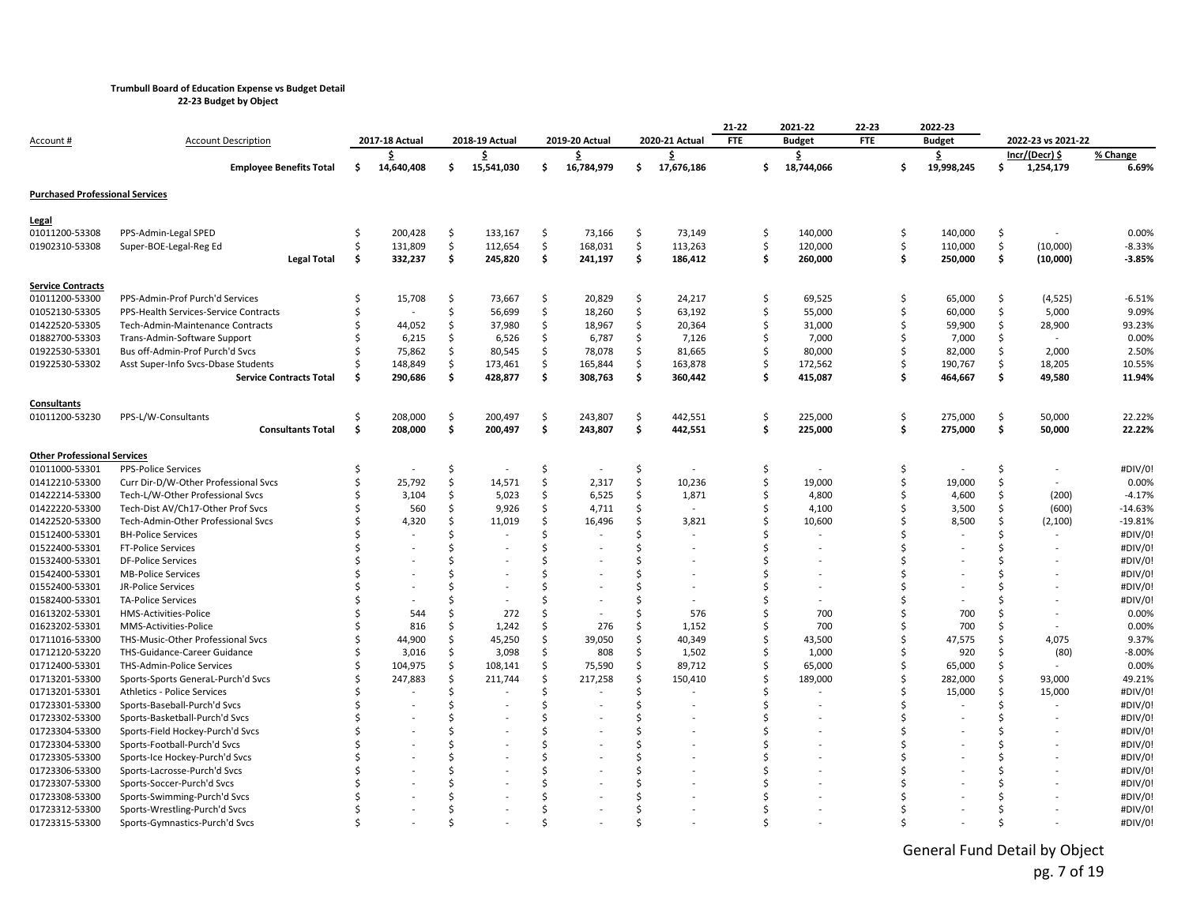**22-23 Budget by Object**

| <u>Account #</u>                       | <b>Account Description</b>            |     | 2017-18 Actual |    | 2018-19 Actual |                     | 2019-20 Actual |    | 2020-21 Actual | 21-22<br><b>FTE</b> | 2021-22<br><b>Budget</b> | 22-23<br><b>FTE</b> |     | 2022-23<br><b>Budget</b> |    | 2022-23 vs 2021-22 |           |
|----------------------------------------|---------------------------------------|-----|----------------|----|----------------|---------------------|----------------|----|----------------|---------------------|--------------------------|---------------------|-----|--------------------------|----|--------------------|-----------|
|                                        |                                       |     | \$             |    | .\$            |                     | \$.            |    | S              |                     | \$                       |                     |     | Ş.                       |    | $Incr/(Decr)$ \$   | % Change  |
|                                        | <b>Employee Benefits Total</b>        | \$  | 14,640,408     | \$ | 15,541,030     | \$                  | 16,784,979     | \$ | 17,676,186     | \$                  | 18,744,066               |                     | \$. | 19,998,245               | \$ | 1,254,179          | 6.69%     |
| <b>Purchased Professional Services</b> |                                       |     |                |    |                |                     |                |    |                |                     |                          |                     |     |                          |    |                    |           |
| <b>Legal</b>                           |                                       |     |                |    |                |                     |                |    |                |                     |                          |                     |     |                          |    |                    |           |
| 01011200-53308                         | PPS-Admin-Legal SPED                  | Ś   | 200,428        | \$ | 133,167        | \$                  | 73,166         | \$ | 73,149         | \$                  | 140,000                  |                     | \$  | 140,000                  | \$ |                    | 0.00%     |
| 01902310-53308                         | Super-BOE-Legal-Reg Ed                | Ś   | 131,809        | \$ | 112,654        | $\ddot{\mathsf{S}}$ | 168,031        | \$ | 113,263        | \$                  | 120,000                  |                     | \$  | 110,000                  | \$ | (10,000)           | $-8.33%$  |
|                                        | <b>Legal Total</b>                    | -\$ | 332,237        | \$ | 245,820        | \$                  | 241,197        | \$ | 186,412        | Ŝ.                  | 260,000                  |                     | \$  | 250,000                  | \$ | (10,000)           | $-3.85%$  |
| <b>Service Contracts</b>               |                                       |     |                |    |                |                     |                |    |                |                     |                          |                     |     |                          |    |                    |           |
| 01011200-53300                         | PPS-Admin-Prof Purch'd Services       |     | 15,708         | \$ | 73,667         | \$                  | 20,829         | \$ | 24,217         | Ŝ.                  | 69,525                   |                     | \$  | 65,000                   | \$ | (4, 525)           | $-6.51%$  |
| 01052130-53305                         | PPS-Health Services-Service Contracts |     |                | Ś  | 56,699         | Ś.                  | 18,260         | \$ | 63,192         | Ŝ.                  | 55,000                   |                     | \$  | 60,000                   | \$ | 5,000              | 9.09%     |
| 01422520-53305                         | Tech-Admin-Maintenance Contracts      |     | 44,052         | \$ | 37,980         | $\zeta$             | 18,967         | \$ | 20,364         | Ś                   | 31,000                   |                     | \$  | 59,900                   | \$ | 28,900             | 93.23%    |
| 01882700-53303                         | Trans-Admin-Software Support          |     | 6,215          | Ś  | 6,526          | Ś                   | 6,787          | Ŝ. | 7,126          | Ŝ                   | 7,000                    |                     | Ś   | 7,000                    | Ŝ. |                    | 0.00%     |
| 01922530-53301                         | Bus off-Admin-Prof Purch'd Svcs       |     | 75,862         | Ś  | 80,545         | Ŝ.                  | 78,078         | .s | 81,665         |                     | 80,000                   |                     | Ś   | 82,000                   | Ŝ. | 2,000              | 2.50%     |
| 01922530-53302                         | Asst Super-Info Svcs-Dbase Students   |     | 148,849        | \$ | 173,461        | \$                  | 165,844        | \$ | 163,878        |                     | 172,562                  |                     | \$  | 190,767                  | \$ | 18,205             | 10.55%    |
|                                        | <b>Service Contracts Total</b>        | Ś   | 290,686        | \$ | 428,877        | \$                  | 308,763        | \$ | 360,442        | Ŝ.                  | 415,087                  |                     | \$  | 464,667                  | \$ | 49,580             | 11.94%    |
| Consultants                            |                                       |     |                |    |                |                     |                |    |                |                     |                          |                     |     |                          |    |                    |           |
| 01011200-53230                         | PPS-L/W-Consultants                   | Ś   | 208,000        | \$ | 200,497        | \$                  | 243,807        | Ŝ. | 442,551        | \$                  | 225,000                  |                     | \$  | 275,000                  | \$ | 50,000             | 22.22%    |
|                                        | <b>Consultants Total</b>              | -\$ | 208,000        | \$ | 200,497        | \$                  | 243,807        | \$ | 442,551        | Ŝ.                  | 225,000                  |                     | \$  | 275,000                  | \$ | 50,000             | 22.22%    |
| <b>Other Professional Services</b>     |                                       |     |                |    |                |                     |                |    |                |                     |                          |                     |     |                          |    |                    |           |
| 01011000-53301                         | <b>PPS-Police Services</b>            | Ś   |                | Ś  |                | Ś                   |                | Ś  |                | Ŝ.                  |                          |                     | Ś   |                          | Ś  |                    | #DIV/0!   |
| 01412210-53300                         | Curr Dir-D/W-Other Professional Svcs  | Ś   | 25,792         | Ś  | 14,571         | Ś                   | 2,317          | Ŝ. | 10,236         | Ś                   | 19,000                   |                     | Ś   | 19,000                   | \$ |                    | 0.00%     |
| 01422214-53300                         | Tech-L/W-Other Professional Svcs      | Ś   | 3,104          | \$ | 5,023          | \$                  | 6,525          | \$ | 1,871          | Ŝ.                  | 4,800                    |                     | \$  | 4,600                    | \$ | (200)              | $-4.17%$  |
| 01422220-53300                         | Tech-Dist AV/Ch17-Other Prof Svcs     |     | 560            | Ś  | 9,926          | Ś                   | 4,711          | Ś  |                |                     | 4,100                    |                     | Ś   | 3,500                    | Ś. | (600)              | $-14.63%$ |
| 01422520-53300                         | Tech-Admin-Other Professional Svcs    |     | 4,320          | Ś  | 11,019         | Ŝ.                  | 16,496         | Ŝ  | 3,821          |                     | 10,600                   |                     | ς   | 8,500                    | Ŝ. | (2,100)            | $-19.81%$ |
| 01512400-53301                         | <b>BH-Police Services</b>             |     |                | ς  |                | ς                   |                |    |                |                     |                          |                     |     |                          | Ś  |                    | #DIV/0!   |
| 01522400-53301                         | <b>FT-Police Services</b>             |     |                |    |                |                     |                |    |                |                     |                          |                     | Ŝ   |                          | Ś  |                    | #DIV/0!   |
| 01532400-53301                         | <b>DF-Police Services</b>             |     |                |    |                |                     |                |    |                |                     |                          |                     |     |                          |    |                    | #DIV/0!   |
| 01542400-53301                         | <b>MB-Police Services</b>             |     |                |    |                |                     |                |    |                |                     |                          |                     |     |                          |    |                    | #DIV/0!   |
| 01552400-53301                         | JR-Police Services                    |     |                |    |                |                     |                |    |                |                     |                          |                     |     |                          | Ŝ  |                    | #DIV/0!   |
| 01582400-53301                         | <b>TA-Police Services</b>             |     |                |    |                |                     |                |    |                |                     |                          |                     | ς   |                          | Ś  |                    | #DIV/0!   |
| 01613202-53301                         | HMS-Activities-Police                 |     | 544            | Ś  | 272            | Ś                   |                |    | 576            |                     | 700                      |                     | Ś   | 700                      | Ś  |                    | 0.00%     |
| 01623202-53301                         | MMS-Activities-Police                 |     | 816            | Ś  | 1,242          | Ś                   | 276            | Ś  | 1,152          | Ś                   | 700                      |                     | Ś   | 700                      | Ś  |                    | 0.00%     |
| 01711016-53300                         | THS-Music-Other Professional Svcs     |     | 44,900         | Ś  | 45,250         | .s                  | 39,050         | Ŝ  | 40,349         | ς.                  | 43,500                   |                     | Ś   | 47,575                   | Ŝ. | 4,075              | 9.37%     |
| 01712120-53220                         | THS-Guidance-Career Guidance          |     | 3,016          | Ś  | 3,098          | Ŝ.                  | 808            | Ŝ  | 1,502          |                     | 1,000                    |                     | Ś   | 920                      | Ŝ. | (80)               | $-8.00%$  |
| 01712400-53301                         | THS-Admin-Police Services             |     | 104,975        | \$ | 108,141        | \$                  | 75,590         | \$ | 89,712         |                     | 65,000                   |                     | Ś   | 65,000                   | \$ |                    | 0.00%     |
| 01713201-53300                         | Sports-Sports General-Purch'd Svcs    |     | 247,883        | Ś  | 211,744        | Ś                   | 217,258        | Ś  | 150,410        |                     | 189,000                  |                     | Ś   | 282,000                  | \$ | 93,000             | 49.21%    |
| 01713201-53301                         | Athletics - Police Services           |     |                |    |                | Ś                   |                | Ś  |                |                     |                          |                     | ς.  | 15,000                   | Ś  | 15,000             | #DIV/0!   |
| 01723301-53300                         | Sports-Baseball-Purch'd Svcs          |     |                |    |                | ς                   |                |    |                |                     |                          |                     |     |                          | Ś  |                    | #DIV/0!   |
| 01723302-53300                         | Sports-Basketball-Purch'd Svcs        |     |                |    |                |                     |                |    |                |                     |                          |                     | ς   |                          | S  |                    | #DIV/0!   |
| 01723304-53300                         | Sports-Field Hockey-Purch'd Svcs      |     |                |    |                |                     |                |    |                |                     |                          |                     |     |                          |    |                    | #DIV/0!   |
| 01723304-53300                         | Sports-Football-Purch'd Svcs          |     |                |    |                |                     |                |    |                |                     |                          |                     |     |                          |    |                    | #DIV/0!   |
| 01723305-53300                         | Sports-Ice Hockey-Purch'd Svcs        |     |                |    |                |                     |                |    |                |                     |                          |                     |     |                          | S  |                    | #DIV/0!   |
| 01723306-53300                         | Sports-Lacrosse-Purch'd Svcs          |     |                |    |                |                     |                |    |                |                     |                          |                     |     |                          | Ś  |                    | #DIV/0!   |
| 01723307-53300                         | Sports-Soccer-Purch'd Svcs            |     |                |    |                |                     |                |    |                |                     |                          |                     |     |                          |    |                    | #DIV/0!   |
| 01723308-53300                         | Sports-Swimming-Purch'd Svcs          |     |                |    |                |                     |                |    |                |                     |                          |                     |     |                          |    |                    | #DIV/0!   |
| 01723312-53300                         | Sports-Wrestling-Purch'd Svcs         |     |                |    |                |                     |                |    |                |                     |                          |                     |     |                          |    |                    | #DIV/0!   |
| 01723315-53300                         | Sports-Gymnastics-Purch'd Svcs        |     |                |    |                |                     |                |    |                |                     |                          |                     |     |                          |    |                    | #DIV/0!   |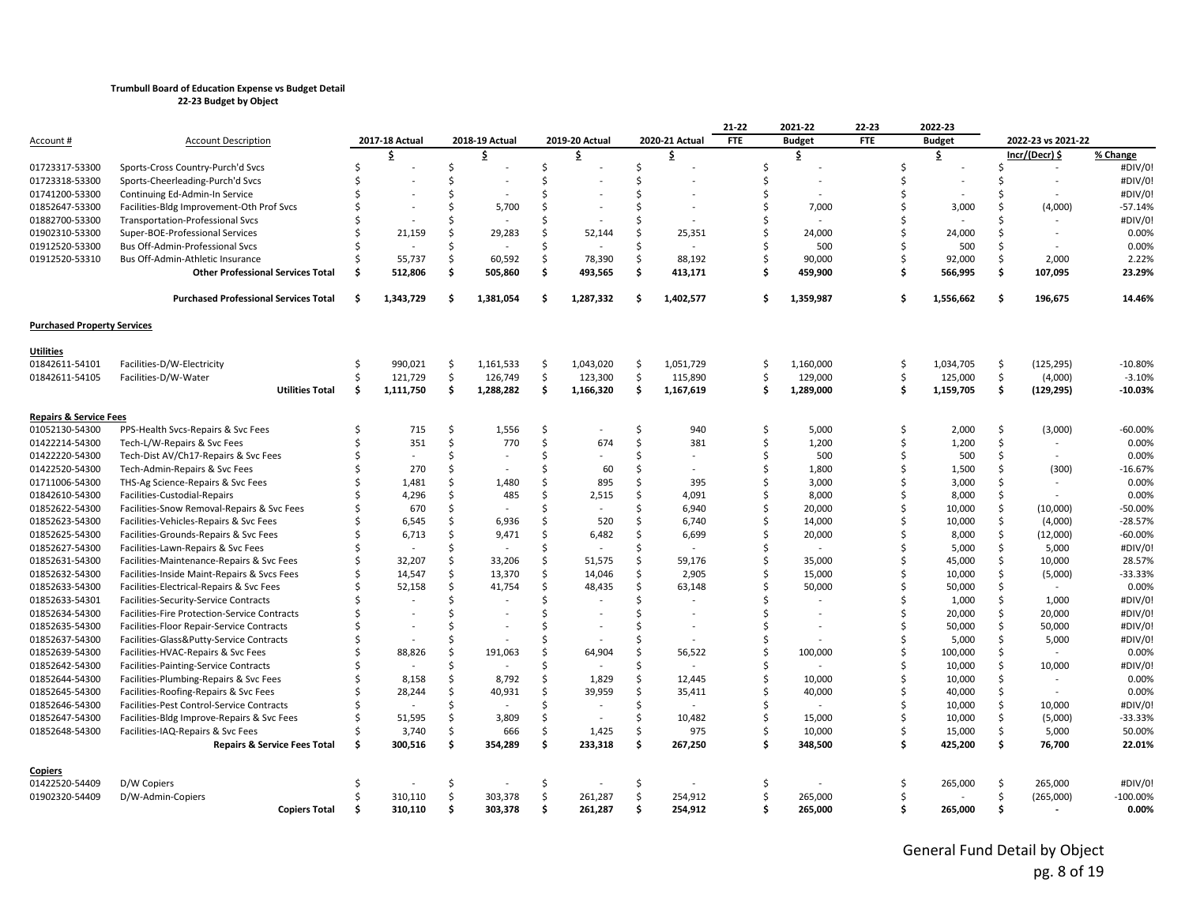|                                    |                                                                                 |    |                |     |                |               |                |         |                          | 21-22      | 2021-22          | 22-23      |     | 2022-23          |               |                          |            |
|------------------------------------|---------------------------------------------------------------------------------|----|----------------|-----|----------------|---------------|----------------|---------|--------------------------|------------|------------------|------------|-----|------------------|---------------|--------------------------|------------|
| Account #                          | <b>Account Description</b>                                                      |    | 2017-18 Actual |     | 2018-19 Actual |               | 2019-20 Actual |         | 2020-21 Actual           | <b>FTE</b> | <b>Budget</b>    | <b>FTE</b> |     | <b>Budget</b>    |               | 2022-23 vs 2021-22       |            |
|                                    |                                                                                 |    | \$             |     | \$             |               | s              |         | \$                       |            | \$               |            |     | \$               |               | Incr/(Decr) \$           | % Change   |
| 01723317-53300                     | Sports-Cross Country-Purch'd Svcs                                               | Ś  |                | Ś   |                | Ś.            |                | \$      |                          | Ś          |                  |            | Ś   |                  | S.            | $\sim$                   | #DIV/0!    |
| 01723318-53300                     | Sports-Cheerleading-Purch'd Svcs                                                |    |                | Ś   |                | $\zeta$       |                |         |                          | Ś          |                  |            | ς   |                  |               | $\overline{\phantom{0}}$ | #DIV/0!    |
| 01741200-53300                     | Continuing Ed-Admin-In Service                                                  |    |                | Ś   |                | ς.            |                |         |                          | Ś          |                  |            |     |                  |               |                          | #DIV/0!    |
| 01852647-53300                     | Facilities-Bldg Improvement-Oth Prof Svcs                                       |    |                | Ś   | 5,700          | Ŝ.            |                |         |                          | \$         | 7,000            |            |     | 3,000            |               | (4,000)                  | $-57.14%$  |
| 01882700-53300                     | <b>Transportation-Professional Svcs</b>                                         |    |                |     |                | $\zeta$       |                |         |                          | Ś          |                  |            |     |                  |               |                          | #DIV/0!    |
| 01902310-53300                     | Super-BOE-Professional Services                                                 |    | 21,159         | Ś   | 29,283         | Ŝ.            | 52,144         |         | 25,351                   | Ś          | 24,000           |            | ς   | 24,000           | Ŝ             |                          | 0.00%      |
| 01912520-53300                     | Bus Off-Admin-Professional Svcs                                                 |    |                | ς   |                | $\zeta$       |                |         |                          | Ś          | 500              |            |     | 500              |               |                          | 0.00%      |
| 01912520-53310                     | Bus Off-Admin-Athletic Insurance                                                |    | 55,737         | Ś   | 60,592         | \$            | 78,390         | Ŝ       | 88,192                   | Ś          | 90,000           |            | ς   | 92,000           | Ŝ.            | 2,000                    | 2.22%      |
|                                    | <b>Other Professional Services Total</b>                                        | S  | 512,806        | \$  | 505,860        | \$            | 493,565        | \$      | 413,171                  | Ś          | 459,900          |            | Ŝ   | 566,995          | \$            | 107,095                  | 23.29%     |
|                                    | <b>Purchased Professional Services Total</b>                                    | Ŝ  | 1,343,729      | .\$ | 1,381,054      | Ŝ.            | 1,287,332      | Ŝ.      | 1,402,577                | \$         | 1,359,987        |            |     | 1,556,662        | \$            | 196,675                  | 14.46%     |
| <b>Purchased Property Services</b> |                                                                                 |    |                |     |                |               |                |         |                          |            |                  |            |     |                  |               |                          |            |
| Utilities                          |                                                                                 |    |                |     |                |               |                |         |                          |            |                  |            |     |                  |               |                          |            |
| 01842611-54101                     | Facilities-D/W-Electricity                                                      | Ś  | 990,021        | Ŝ.  | 1,161,533      | \$            | 1,043,020      | Ŝ.      | 1,051,729                | \$         | 1,160,000        |            | Ś   | 1,034,705        | Ŝ.            | (125, 295)               | $-10.80%$  |
| 01842611-54105                     | Facilities-D/W-Water                                                            | ς  | 121,729        | \$  | 126,749        | \$            | 123,300        | \$      | 115,890                  | Ś          | 129,000          |            | \$  | 125,000          | \$            | (4,000)                  | $-3.10%$   |
|                                    | <b>Utilities Total</b>                                                          | Ŝ. | 1,111,750      | Ŝ.  | 1,288,282      | Ŝ.            | 1,166,320      | \$      | 1,167,619                | Ś          | 1,289,000        |            | \$. | 1,159,705        | \$            | (129, 295)               | $-10.03%$  |
| <b>Repairs &amp; Service Fees</b>  |                                                                                 |    |                |     |                |               |                |         |                          |            |                  |            |     |                  |               |                          |            |
| 01052130-54300                     | PPS-Health Svcs-Repairs & Svc Fees                                              |    | 715            | Ś   | 1,556          | Ś.            |                | Ŝ.      | 940                      | Ś          | 5,000            |            | Ś   | 2,000            | Ŝ.            | (3,000)                  | $-60.00%$  |
| 01422214-54300                     | Tech-L/W-Repairs & Svc Fees                                                     | Ś  | 351            | \$  | 770            | Ś.            | 674            | Ŝ.      | 381                      | Ś.         | 1,200            |            | Ś   | 1,200            | \$            |                          | 0.00%      |
| 01422220-54300                     | Tech-Dist AV/Ch17-Repairs & Svc Fees                                            | \$ |                | Ś   |                | $\zeta$       |                | ς.      |                          | Ś          | 500              |            | \$  | 500              | <sup>\$</sup> |                          | 0.00%      |
| 01422520-54300                     | Tech-Admin-Repairs & Svc Fees                                                   |    | 270            | Ś   |                | ς.            | 60             |         | $\sim$                   | \$         | 1,800            |            | ς   | 1,500            | Ŝ             | (300)                    | $-16.67%$  |
| 01711006-54300                     | THS-Ag Science-Repairs & Svc Fees                                               |    | 1,481          | Ś   | 1,480          | Ŝ.            | 895            | .S      | 395                      | Ś          | 3,000            |            | Ś   | 3,000            | Ŝ             |                          | 0.00%      |
| 01842610-54300                     | Facilities-Custodial-Repairs                                                    |    | 4,296          | Ś   | 485            | <sup>\$</sup> | 2,515          | \$      | 4,091                    | \$         | 8,000            |            | Ś   | 8,000            | Ŝ.            |                          | 0.00%      |
| 01852622-54300                     | Facilities-Snow Removal-Repairs & Svc Fees                                      |    | 670            | Ś   |                | <sup>\$</sup> |                |         | 6,940                    | \$         | 20,000           |            | Ś   | 10,000           | Ŝ.            | (10,000)                 | $-50.00%$  |
| 01852623-54300                     | Facilities-Vehicles-Repairs & Svc Fees                                          |    | 6,545          | Ś   | 6,936          | Ŝ.            | 520            | S.      | 6,740                    | \$         | 14,000           |            | ς   | 10,000           | \$            | (4,000)                  | $-28.57%$  |
| 01852625-54300                     | Facilities-Grounds-Repairs & Svc Fees                                           | \$ | 6,713          | Ś   | 9,471          | Ŝ.            | 6,482          |         | 6,699                    | Ś          | 20,000           |            | ς   | 8,000            | Ŝ.            | (12,000)                 | $-60.00%$  |
| 01852627-54300                     | Facilities-Lawn-Repairs & Svc Fees                                              | S  |                | Ś   |                | Ŝ.            |                | Ŝ       |                          | Ś          |                  |            | Ś   | 5,000            | \$            | 5,000                    | #DIV/0!    |
| 01852631-54300                     | Facilities-Maintenance-Repairs & Svc Fees                                       | Ś  | 32,207         | Ś   | 33,206         | Ś.            | 51,575         | Ŝ.      | 59,176                   | \$         | 35,000           |            | Ś   | 45,000           | \$            | 10,000                   | 28.57%     |
| 01852632-54300                     | Facilities-Inside Maint-Repairs & Svcs Fees                                     |    | 14,547         | Ś   | 13,370         | \$            | 14,046         | Ŝ.      | 2,905                    | \$         | 15,000           |            | Ś   | 10,000           | \$            | (5,000)                  | -33.33%    |
| 01852633-54300                     | Facilities-Electrical-Repairs & Svc Fees                                        |    | 52,158         | Ś   | 41,754         | $\zeta$       | 48,435         | $\zeta$ | 63,148                   | Ś          | 50,000           |            | ς   | 50,000           | \$            |                          | 0.00%      |
| 01852633-54301                     | Facilities-Security-Service Contracts                                           |    |                |     |                | $\zeta$       |                | S.      |                          | \$         |                  |            |     | 1,000            | Ŝ             | 1,000                    | #DIV/0!    |
| 01852634-54300                     | Facilities-Fire Protection-Service Contracts                                    |    |                |     |                | $\zeta$       |                |         |                          | Ś          |                  |            |     | 20,000           | <sup>\$</sup> | 20,000                   | #DIV/0!    |
| 01852635-54300                     | Facilities-Floor Repair-Service Contracts                                       |    |                |     |                | ς.            |                |         |                          | Ś          |                  |            | Ś   | 50,000           | Ŝ             | 50,000                   | #DIV/0!    |
| 01852637-54300                     | Facilities-Glass&Putty-Service Contracts                                        |    |                |     |                | <sup>\$</sup> |                |         |                          | Ś          |                  |            |     | 5,000            | \$            | 5,000                    | #DIV/0!    |
| 01852639-54300                     | Facilities-HVAC-Repairs & Svc Fees                                              |    | 88,826         | Ś   | 191,063        | $\zeta$       | 64,904         | ¢.      | 56,522                   | Ś          | 100,000          |            | Ś   | 100,000          | \$            |                          | 0.00%      |
| 01852642-54300                     | Facilities-Painting-Service Contracts                                           |    |                | ς   |                | ς.            |                |         |                          | Ś          |                  |            |     | 10,000           | Ŝ             | 10,000                   | #DIV/0!    |
| 01852644-54300                     | Facilities-Plumbing-Repairs & Svc Fees                                          |    | 8,158          | Ś   | 8,792          | Ś.            | 1,829          | Ŝ.      | 12,445                   | \$         | 10,000           |            | ς   | 10,000           | \$            |                          | 0.00%      |
| 01852645-54300                     | Facilities-Roofing-Repairs & Svc Fees                                           |    | 28,244         | Ś   | 40,931         | Ś.            | 39,959         | Ŝ.      | 35,411                   | \$         | 40,000           |            | Ś   | 40,000           | Ŝ.            | $\overline{\phantom{a}}$ | 0.00%      |
| 01852646-54300                     | Facilities-Pest Control-Service Contracts                                       |    |                | Ś   |                | Ś.            |                | Ŝ       | $\overline{\phantom{a}}$ | \$         |                  |            | Ś   | 10,000           | \$            | 10,000                   | #DIV/0!    |
| 01852647-54300                     |                                                                                 | \$ | 51,595         | Ś   | 3,809          | \$            |                | \$      | 10,482                   | \$         |                  |            | ς   |                  | \$            | (5,000)                  | -33.33%    |
| 01852648-54300                     | Facilities-Bldg Improve-Repairs & Svc Fees<br>Facilities-IAQ-Repairs & Svc Fees |    | 3,740          | \$  | 666            | Ŝ.            | 1,425          | Ŝ.      | 975                      | Ś          | 15,000<br>10,000 |            | ς   | 10,000<br>15,000 | Ŝ             | 5,000                    | 50.00%     |
|                                    | <b>Repairs &amp; Service Fees Total</b>                                         | Ŝ. | 300,516        | Ŝ.  | 354,289        | \$            | 233,318        | \$      | 267,250                  | Ś          | 348,500          |            | \$. | 425,200          | \$            | 76,700                   | 22.01%     |
|                                    |                                                                                 |    |                |     |                |               |                |         |                          |            |                  |            |     |                  |               |                          |            |
| <u>Copiers</u><br>01422520-54409   | D/W Copiers                                                                     |    |                | \$  |                | \$            |                | Ŝ       |                          | Ś          |                  |            | ς   | 265,000          | Ŝ             | 265,000                  | #DIV/0!    |
| 01902320-54409                     | D/W-Admin-Copiers                                                               |    | 310.110        | Ś   | 303,378        | Ŝ.            | 261,287        | Ŝ.      | 254,912                  | Ś          | 265,000          |            | Ś   |                  | <sup>\$</sup> | (265,000)                | $-100.00%$ |
|                                    | <b>Copiers Total</b>                                                            | Ŝ  | 310,110        | \$  | 303,378        | \$            | 261,287        | \$      | 254,912                  | Ś.         | 265,000          |            | .\$ | 265,000          | \$            |                          | 0.00%      |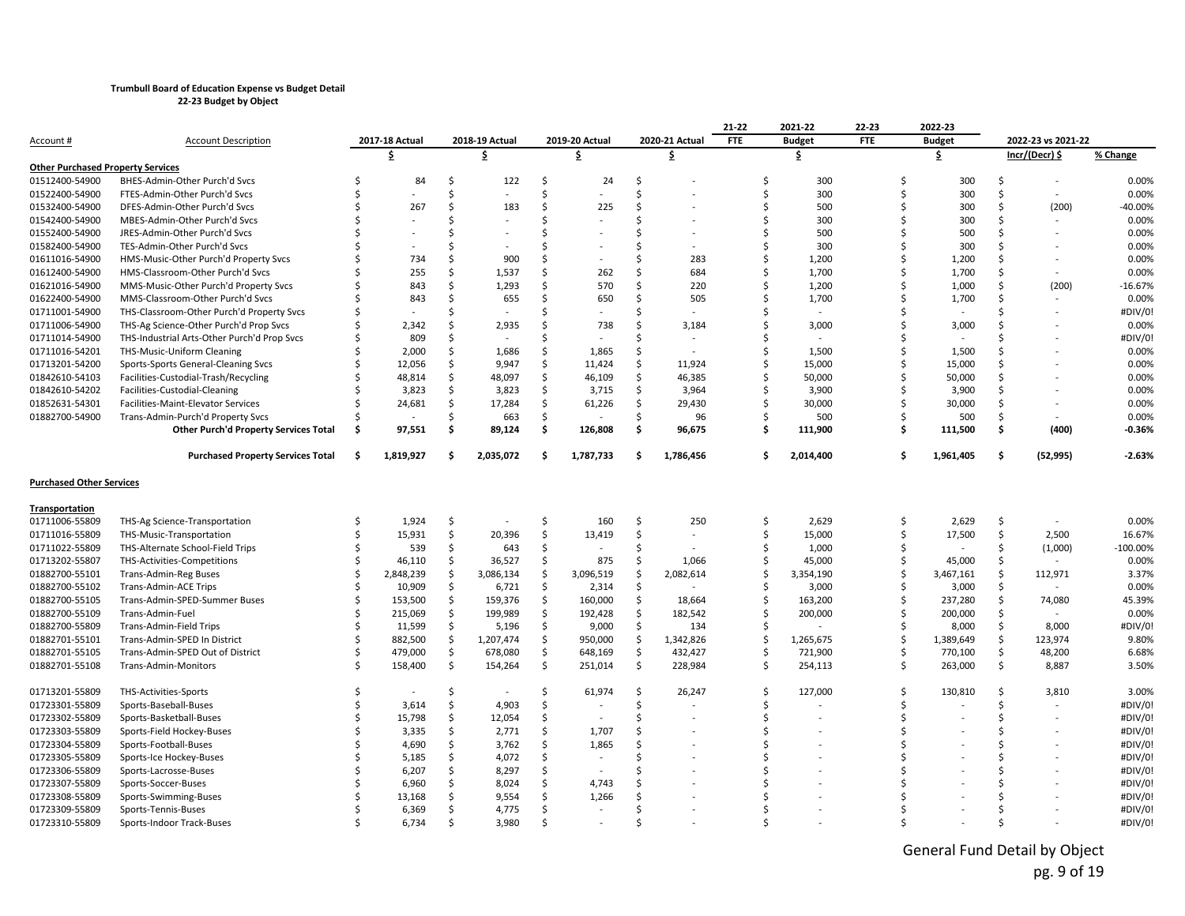|                                          |                                              |    |                |               |                |               |                |    |                          | 21-22      | 2021-22       | 22-23      |    | 2022-23       |               |                    |            |
|------------------------------------------|----------------------------------------------|----|----------------|---------------|----------------|---------------|----------------|----|--------------------------|------------|---------------|------------|----|---------------|---------------|--------------------|------------|
| <u>Account #</u>                         | <b>Account Description</b>                   |    | 2017-18 Actual |               | 2018-19 Actual |               | 2019-20 Actual |    | 2020-21 Actual           | <b>FTE</b> | <b>Budget</b> | <b>FTE</b> |    | <b>Budget</b> |               | 2022-23 vs 2021-22 |            |
|                                          |                                              |    | \$             |               | \$             |               | \$             |    | \$                       |            | \$            |            |    | \$            |               | Incr/(Decr) \$     | % Change   |
| <b>Other Purchased Property Services</b> |                                              |    |                |               |                |               |                |    |                          |            |               |            |    |               |               |                    |            |
| 01512400-54900                           | BHES-Admin-Other Purch'd Svcs                | Ŝ. | 84             | Ŝ.            | 122            | S             | 24             | Ŝ  |                          | \$         | 300           |            | Ŝ. | 300           | Ŝ             |                    | 0.00%      |
| 01522400-54900                           | FTES-Admin-Other Purch'd Svcs                | Ś  |                | $\zeta$       |                | Ś.            |                | Ŝ. |                          | Ś          | 300           |            | \$ | 300           | <sup>\$</sup> | $\sim$             | 0.00%      |
| 01532400-54900                           | DFES-Admin-Other Purch'd Svcs                |    | 267            | ς.            | 183            | <sup>\$</sup> | 225            | Ś  |                          | Ś          | 500           |            | Ś, | 300           | Ŝ             | (200)              | $-40.00%$  |
| 01542400-54900                           | MBES-Admin-Other Purch'd Svcs                |    |                |               |                | Ŝ.            |                |    |                          | Ś          | 300           |            |    | 300           |               |                    | 0.00%      |
| 01552400-54900                           | JRES-Admin-Other Purch'd Svcs                |    |                |               |                | ς.            |                |    |                          | Ś          | 500           |            |    | 500           |               |                    | 0.00%      |
| 01582400-54900                           | TES-Admin-Other Purch'd Svcs                 |    |                |               |                |               |                |    |                          | Ś          | 300           |            |    | 300           |               |                    | 0.00%      |
| 01611016-54900                           | HMS-Music-Other Purch'd Property Svcs        |    | 734            | ς.            | 900            | ς.            |                |    | 283                      | \$         | 1,200         |            |    | 1,200         |               |                    | 0.00%      |
| 01612400-54900                           | HMS-Classroom-Other Purch'd Svcs             |    | 255            | Ŝ.            | 1,537          | Ŝ.            | 262            | Ŝ  | 684                      | Ś          | 1,700         |            | ¢, | 1,700         |               |                    | 0.00%      |
| 01621016-54900                           | MMS-Music-Other Purch'd Property Svcs        |    | 843            | Ŝ.            | 1,293          | Ŝ.            | 570            | Ŝ. | 220                      | Ś          | 1,200         |            |    | 1,000         |               | (200)              | $-16.67%$  |
| 01622400-54900                           | MMS-Classroom-Other Purch'd Svcs             |    | 843            | Ŝ.            | 655            | Ŝ.            | 650            | Ŝ. | 505                      | Ś          | 1,700         |            |    | 1,700         | Ŝ             |                    | 0.00%      |
| 01711001-54900                           | THS-Classroom-Other Purch'd Property Svcs    |    |                | ¢.            |                | ς.            |                |    |                          | Ś          |               |            |    |               |               |                    | #DIV/0!    |
| 01711006-54900                           | THS-Ag Science-Other Purch'd Prop Svcs       |    | 2,342          | ς.            | 2,935          | ς.            | 738            |    | 3,184                    | Ś          | 3,000         |            |    | 3,000         |               |                    | 0.00%      |
| 01711014-54900                           | THS-Industrial Arts-Other Purch'd Prop Svcs  |    | 809            | Ŝ.            |                | Ŝ.            |                |    |                          | Ś          |               |            |    |               |               |                    | #DIV/0!    |
| 01711016-54201                           | THS-Music-Uniform Cleaning                   |    | 2,000          | Ŝ             | 1,686          | Ŝ.            | 1,865          | Ŝ  |                          | Ś          | 1,500         |            |    | 1,500         |               |                    | 0.00%      |
| 01713201-54200                           | Sports-Sports General-Cleaning Svcs          |    | 12,056         | Ŝ.            | 9.947          | Ś.            | 11,424         | Ŝ. | 11.924                   | Ś          | 15,000        |            | \$ | 15.000        |               |                    | 0.00%      |
| 01842610-54103                           | Facilities-Custodial-Trash/Recycling         |    | 48,814         | Ŝ.            | 48,097         | Ŝ             | 46,109         | \$ | 46,385                   | \$         | 50,000        |            | Ś. | 50,000        |               |                    | 0.00%      |
| 01842610-54202                           | Facilities-Custodial-Cleaning                |    | 3,823          | Ŝ.            | 3,823          | Ś.            | 3,715          | \$ | 3,964                    | Ś          | 3,900         |            |    | 3,900         | Ŝ             |                    | 0.00%      |
| 01852631-54301                           | Facilities-Maint-Elevator Services           |    | 24,681         | Ŝ.            | 17,284         | Ś.            | 61,226         | \$ | 29,430                   | Ś          | 30,000        |            | \$ | 30,000        | Ŝ             |                    | 0.00%      |
| 01882700-54900                           | Trans-Admin-Purch'd Property Svcs            |    |                | Ŝ.            | 663            | Ś.            |                | Ŝ  | 96                       | Ś          | 500           |            |    | 500           | Ŝ             |                    | 0.00%      |
|                                          | <b>Other Purch'd Property Services Total</b> | Ŝ  | 97,551         | Ś.            | 89,124         | \$            | 126,808        | \$ | 96,675                   | Ŝ.         | 111,900       |            | Š. | 111,500       | \$            | (400)              | $-0.36%$   |
|                                          | <b>Purchased Property Services Total</b>     | -Ś | 1,819,927      |               | 2,035,072      | \$.           | 1,787,733      | Ŝ  | 1,786,456                | Ś.         | 2,014,400     |            |    | 1,961,405     | Ŝ             | (52, 995)          | $-2.63%$   |
| <b>Purchased Other Services</b>          |                                              |    |                |               |                |               |                |    |                          |            |               |            |    |               |               |                    |            |
| Transportation                           |                                              |    |                |               |                |               |                |    |                          |            |               |            |    |               |               |                    |            |
| 01711006-55809                           | THS-Ag Science-Transportation                | Ś  | 1,924          | Ŝ.            |                | Ŝ.            | 160            | Ŝ. | 250                      | \$         | 2,629         |            | Ŝ. | 2,629         | Ŝ             |                    | 0.00%      |
| 01711016-55809                           | THS-Music-Transportation                     |    | 15,931         | \$            | 20,396         | \$            | 13,419         | \$ | $\overline{\phantom{a}}$ | \$         | 15,000        |            | Ś  | 17,500        | \$            | 2,500              | 16.67%     |
| 01711022-55809                           | THS-Alternate School-Field Trips             |    | 539            | Ŝ.            | 643            | Ś.            |                | Ŝ  |                          | Ś          | 1,000         |            | \$ |               | Ś             | (1,000)            | $-100.00%$ |
| 01713202-55807                           | THS-Activities-Competitions                  |    | 46,110         | <sup>\$</sup> | 36,527         | Ś.            | 875            | Ŝ  | 1,066                    | Ś          | 45,000        |            | Ś, | 45,000        | Ŝ             |                    | 0.00%      |
| 01882700-55101                           | Trans-Admin-Reg Buses                        |    | 2,848,239      | Ŝ.            | 3,086,134      | Ś.            | 3,096,519      | \$ | 2,082,614                | Ś          | 3,354,190     |            | Ś, | 3,467,161     | Ŝ             | 112,971            | 3.37%      |
| 01882700-55102                           | Trans-Admin-ACE Trips                        |    | 10,909         | Ŝ.            | 6,721          | Ŝ.            | 2,314          | Ŝ  |                          | Ś          | 3,000         |            |    | 3,000         | Ŝ             |                    | 0.00%      |
| 01882700-55105                           | Trans-Admin-SPED-Summer Buses                |    | 153,500        | Ŝ.            | 159,376        | Ś.            | 160,000        | Ŝ  | 18.664                   | Ś          | 163,200       |            | Ś, | 237,280       | Ŝ.            | 74,080             | 45.39%     |
| 01882700-55109                           | Trans-Admin-Fuel                             |    | 215,069        | $\zeta$       | 199,989        | Ś.            | 192,428        | Ś. | 182,542                  | Ś          | 200,000       |            |    | 200,000       | Ŝ.            |                    | 0.00%      |
| 01882700-55809                           | Trans-Admin-Field Trips                      |    | 11,599         | Ŝ.            | 5,196          | Ś.            | 9,000          | \$ | 134                      | Ś          |               |            |    | 8,000         | Ŝ             | 8,000              | #DIV/0!    |
| 01882701-55101                           | Trans-Admin-SPED In District                 |    | 882,500        | Ŝ.            | 1,207,474      | \$            | 950,000        | \$ | 1,342,826                | \$         | 1,265,675     |            | Ŝ. | 1,389,649     | Ŝ             | 123,974            | 9.80%      |
| 01882701-55105                           | Trans-Admin-SPED Out of District             |    | 479,000        | Ŝ.            | 678,080        | \$            | 648,169        | \$ | 432,427                  | Ś          | 721,900       |            |    | 770,100       | Ŝ.            | 48,200             | 6.68%      |
| 01882701-55108                           | Trans-Admin-Monitors                         |    | 158,400        | Ŝ.            | 154,264        | Ś             | 251,014        | Ś  | 228,984                  | Ś          | 254,113       |            | \$ | 263,000       | \$            | 8,887              | 3.50%      |
| 01713201-55809                           | THS-Activities-Sports                        | ς. |                | Ŝ.            |                | Ś.            | 61,974         | Ŝ. | 26,247                   | Ś          | 127,000       |            | Ś, | 130,810       | Ŝ             | 3,810              | 3.00%      |
| 01723301-55809                           | Sports-Baseball-Buses                        |    | 3,614          | Ŝ.            | 4,903          | Ś.            |                | Ŝ  |                          | Ś          |               |            | Ś, |               | Ŝ             |                    | #DIV/0!    |
| 01723302-55809                           | Sports-Basketball-Buses                      |    | 15,798         | Ŝ.            | 12,054         | Ś.            |                | ς. |                          | Ś          |               |            |    |               |               |                    | #DIV/0!    |
| 01723303-55809                           | Sports-Field Hockey-Buses                    |    | 3,335          | \$            | 2,771          | Ś.            | 1,707          | ς. |                          | Ś          |               |            |    |               |               |                    | #DIV/0!    |
| 01723304-55809                           | Sports-Football-Buses                        |    | 4,690          | \$            | 3,762          | Ś.            | 1,865          | Ŝ  |                          | Ś          |               |            |    |               |               |                    | #DIV/0!    |
| 01723305-55809                           | Sports-Ice Hockey-Buses                      |    | 5,185          | Ŝ.            | 4,072          | Ś.            |                | .S |                          |            |               |            |    |               |               |                    | #DIV/0!    |
| 01723306-55809                           | Sports-Lacrosse-Buses                        |    | 6,207          | Ŝ.            | 8,297          | \$            |                |    |                          |            |               |            |    |               |               |                    | #DIV/0!    |
| 01723307-55809                           | Sports-Soccer-Buses                          |    | 6,960          | Ś             | 8,024          | Ś.            | 4,743          |    |                          |            |               |            |    |               |               |                    | #DIV/0!    |
| 01723308-55809                           | Sports-Swimming-Buses                        |    | 13,168         | Ŝ.            | 9,554          | Ś.            | 1,266          |    |                          |            |               |            |    |               |               |                    | #DIV/0!    |
| 01723309-55809                           | Sports-Tennis-Buses                          |    | 6,369          | Ŝ.            | 4,775          | Ŝ             |                |    |                          |            |               |            |    |               |               |                    | #DIV/0!    |
| 01723310-55809                           | Sports-Indoor Track-Buses                    |    | 6,734          | Ś.            | 3.980          | Ŝ.            |                |    |                          |            |               |            |    |               |               |                    | #DIV/0!    |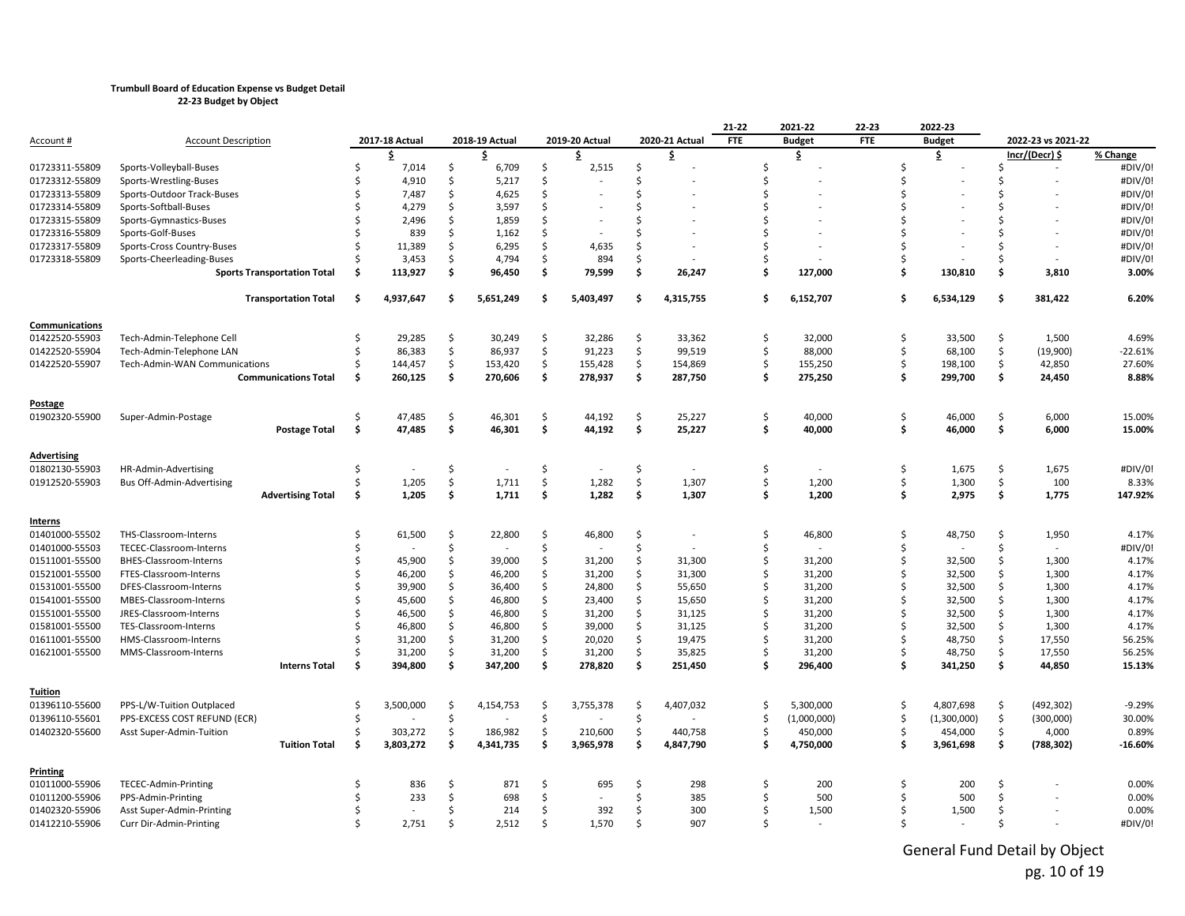|                    |                                    |     |                |         |                |     |                |    |                | 21-22      | 2021-22       | 22-23      | 2022-23       |             |         |                          |           |
|--------------------|------------------------------------|-----|----------------|---------|----------------|-----|----------------|----|----------------|------------|---------------|------------|---------------|-------------|---------|--------------------------|-----------|
| Account #          | <b>Account Description</b>         |     | 2017-18 Actual |         | 2018-19 Actual |     | 2019-20 Actual |    | 2020-21 Actual | <b>FTE</b> | <b>Budget</b> | <b>FTE</b> | <b>Budget</b> |             |         | 2022-23 vs 2021-22       |           |
|                    |                                    |     | \$             |         | \$.            |     | \$             |    | \$             |            | \$            |            | \$.           |             |         | <u>Incr/(Decr) \$</u>    | % Change  |
| 01723311-55809     | Sports-Volleyball-Buses            | Ś   | 7,014          | Ŝ.      | 6,709          | Ŝ.  | 2,515          | Ŝ  |                | \$         |               | Ś          |               |             | Ŝ.      | $\overline{\phantom{a}}$ | #DIV/0!   |
| 01723312-55809     | Sports-Wrestling-Buses             |     | 4,910          | Ŝ.      | 5,217          | Ŝ   |                | Ŝ  |                | Ś          |               | ς          |               |             |         |                          | #DIV/0!   |
| 01723313-55809     | Sports-Outdoor Track-Buses         |     | 7,487          | Ŝ.      | 4,625          | Ŝ.  |                | Ŝ  |                | Ś          |               |            |               |             |         |                          | #DIV/0!   |
| 01723314-55809     | Sports-Softball-Buses              |     | 4,279          | Ŝ.      | 3,597          | Ŝ.  |                | Ŝ. |                | Ś          |               |            |               |             | ς.      |                          | #DIV/0!   |
| 01723315-55809     | Sports-Gymnastics-Buses            |     | 2,496          | Ŝ.      | 1,859          | Ŝ   |                | Ŝ. |                | Ś          |               |            |               |             | ς.      |                          | #DIV/0!   |
| 01723316-55809     | Sports-Golf-Buses                  |     | 839            | Ŝ.      | 1,162          | Ŝ.  |                | Ŝ. |                | Ś          |               |            |               |             | \$      |                          | #DIV/0!   |
| 01723317-55809     | Sports-Cross Country-Buses         |     | 11,389         | Ŝ.      | 6,295          | Ś.  | 4,635          | Ŝ  |                | Ś          |               |            |               |             | Ś       |                          | #DIV/0!   |
| 01723318-55809     | Sports-Cheerleading-Buses          |     | 3,453          | Ŝ.      | 4,794          | \$  | 894            | Ŝ  |                | Ś          |               |            |               |             | .S      |                          | #DIV/0!   |
|                    | <b>Sports Transportation Total</b> | \$. | 113,927        | Ś.      | 96,450         | \$  | 79,599         | \$ | 26,247         | \$         | 127,000       | Ś.         |               | 130,810     | Ś.      | 3,810                    | 3.00%     |
|                    | <b>Transportation Total</b>        | \$. | 4,937,647      | Ŝ.      | 5,651,249      | \$. | 5,403,497      | \$ | 4,315,755      | \$         | 6,152,707     | Ś.         |               | 6,534,129   | \$      | 381,422                  | 6.20%     |
| Communications     |                                    |     |                |         |                |     |                |    |                |            |               |            |               |             |         |                          |           |
| 01422520-55903     | Tech-Admin-Telephone Cell          | Ś   | 29,285         | \$      | 30,249         | \$  | 32,286         | \$ | 33,362         | \$         | 32,000        | \$         |               | 33,500      | \$      | 1,500                    | 4.69%     |
| 01422520-55904     | Tech-Admin-Telephone LAN           | Ś   | 86,383         | \$      | 86,937         | Ŝ.  | 91,223         | Ŝ  | 99,519         | \$         | 88,000        | Ś          |               | 68,100      | \$      | (19,900)                 | $-22.61%$ |
| 01422520-55907     | Tech-Admin-WAN Communications      | Ś   | 144,457        | $\zeta$ | 153,420        | \$  | 155,428        | \$ | 154,869        | \$         | 155,250       | Ŝ.         |               | 198,100     | $\zeta$ | 42,850                   | 27.60%    |
|                    | <b>Communications Total</b>        | \$. | 260,125        | \$      | 270,606        | \$  | 278,937        | \$ | 287,750        | Ś          | 275,250       | Ś.         |               | 299,700     | \$      | 24,450                   | 8.88%     |
| Postage            |                                    |     |                |         |                |     |                |    |                |            |               |            |               |             |         |                          |           |
| 01902320-55900     | Super-Admin-Postage                | Ś   | 47,485         | $\zeta$ | 46,301         | \$  | 44,192         | \$ | 25,227         | \$         | 40,000        | Ś          |               | 46,000      | $\zeta$ | 6,000                    | 15.00%    |
|                    | <b>Postage Total</b>               | \$  | 47,485         | Ś       | 46,301         | \$  | 44,192         | \$ | 25,227         | \$         | 40,000        | \$         |               | 46,000      | \$      | 6,000                    | 15.00%    |
| <b>Advertising</b> |                                    |     |                |         |                |     |                |    |                |            |               |            |               |             |         |                          |           |
| 01802130-55903     | HR-Admin-Advertising               | Ś   |                | \$      |                | \$  |                | \$ |                | \$         |               | \$         |               | 1,675       | \$      | 1,675                    | #DIV/0!   |
| 01912520-55903     |                                    | Ś   | 1,205          | \$      | 1,711          | \$  | 1,282          | \$ | 1,307          | \$         | 1,200         | Ŝ.         |               | 1,300       | \$      | 100                      | 8.33%     |
|                    | Bus Off-Admin-Advertising          | \$  | 1,205          | \$      | 1,711          | \$  | 1,282          | \$ | 1,307          | \$         | 1,200         | Ś.         |               | 2,975       | \$      |                          | 147.92%   |
|                    | <b>Advertising Total</b>           |     |                |         |                |     |                |    |                |            |               |            |               |             |         | 1,775                    |           |
| <b>Interns</b>     |                                    |     |                |         |                |     |                |    |                |            |               |            |               |             |         |                          |           |
| 01401000-55502     | THS-Classroom-Interns              | Ś   | 61,500         | Ŝ.      | 22,800         | Ŝ.  | 46,800         | \$ |                | \$         | 46,800        | \$         |               | 48,750      | Ŝ.      | 1,950                    | 4.17%     |
| 01401000-55503     | TECEC-Classroom-Interns            | Ś   |                | Ś       |                | Ŝ.  |                | Ś. |                | \$         |               | Ś          |               |             | Ś       |                          | #DIV/0!   |
| 01511001-55500     | BHES-Classroom-Interns             | Ś   | 45,900         | \$      | 39,000         | \$  | 31,200         | \$ | 31,300         | \$         | 31,200        | Ś          |               | 32,500      | Ŝ.      | 1,300                    | 4.17%     |
| 01521001-55500     | FTES-Classroom-Interns             |     | 46,200         | Ŝ.      | 46,200         | \$  | 31,200         | \$ | 31,300         | \$         | 31,200        | Ś          |               | 32,500      | Ŝ.      | 1,300                    | 4.17%     |
| 01531001-55500     | DFES-Classroom-Interns             | Ś   | 39,900         | \$      | 36,400         | Ŝ.  | 24,800         | Ś. | 55,650         | \$         | 31,200        | Ś          |               | 32,500      | Ŝ.      | 1,300                    | 4.17%     |
| 01541001-55500     | MBES-Classroom-Interns             |     | 45,600         | Ŝ.      | 46,800         | Ŝ.  | 23,400         | \$ | 15,650         | \$         | 31,200        | Ś          |               | 32,500      | Ŝ.      | 1,300                    | 4.17%     |
| 01551001-55500     | JRES-Classroom-Interns             | Ś   | 46,500         | Ŝ.      | 46,800         | Ś.  | 31,200         | Ś. | 31,125         | \$         | 31,200        | Ś          |               | 32,500      | Ŝ.      | 1,300                    | 4.17%     |
| 01581001-55500     | TES-Classroom-Interns              | ς   | 46,800         | \$      | 46,800         | \$  | 39,000         | \$ | 31,125         | \$         | 31,200        | ς.         |               | 32,500      | Ŝ.      | 1,300                    | 4.17%     |
| 01611001-55500     | HMS-Classroom-Interns              | Ś   | 31,200         | \$      | 31,200         | \$  | 20,020         | \$ | 19,475         | \$         | 31,200        | Ś          |               | 48,750      | Ŝ.      | 17,550                   | 56.25%    |
| 01621001-55500     | MMS-Classroom-Interns              |     | 31,200         | \$      | 31,200         | Ŝ.  | 31,200         | \$ | 35,825         | Ś          | 31,200        | Ś          |               | 48,750      | Ś       | 17,550                   | 56.25%    |
|                    | <b>Interns Total</b>               | \$  | 394,800        | \$      | 347,200        | \$  | 278,820        | \$ | 251,450        | \$         | 296,400       | Ŝ.         |               | 341,250     | \$      | 44,850                   | 15.13%    |
| <b>Tuition</b>     |                                    |     |                |         |                |     |                |    |                |            |               |            |               |             |         |                          |           |
| 01396110-55600     | PPS-L/W-Tuition Outplaced          | Ś   | 3,500,000      | \$      | 4,154,753      | \$  | 3,755,378      | \$ | 4,407,032      | \$         | 5,300,000     | \$         |               | 4,807,698   | \$      | (492, 302)               | $-9.29%$  |
| 01396110-55601     | PPS-EXCESS COST REFUND (ECR)       | Ś   |                | \$      |                | Ŝ.  |                | Ś. |                | Ś.         | (1,000,000)   | Ŝ.         |               | (1,300,000) | \$      | (300,000)                | 30.00%    |
| 01402320-55600     | Asst Super-Admin-Tuition           | Ś   | 303,272        | \$      | 186,982        | \$  | 210,600        | \$ | 440,758        | \$         | 450,000       | Ŝ.         |               | 454,000     | \$      | 4,000                    | 0.89%     |
|                    | <b>Tuition Total</b>               | Ŝ   | 3,803,272      | Ŝ.      | 4,341,735      | \$  | 3,965,978      | Ś  | 4,847,790      | \$         | 4,750,000     | Ŝ          |               | 3,961,698   | Ś.      | (788, 302)               | $-16.60%$ |
| <b>Printing</b>    |                                    |     |                |         |                |     |                |    |                |            |               |            |               |             |         |                          |           |
| 01011000-55906     | TECEC-Admin-Printing               | Ś   | 836            | .s      | 871            | Ŝ   | 695            | Ŝ  | 298            | Ś          | 200           | Ŝ.         |               | 200         | -Ŝ      |                          | 0.00%     |
| 01011200-55906     | PPS-Admin-Printing                 | Ś   | 233            | Ŝ.      | 698            | Ŝ.  |                | Ŝ  | 385            | Ś.         | 500           | Ŝ.         |               | 500         | Ŝ.      |                          | 0.00%     |
| 01402320-55906     | Asst Super-Admin-Printing          | Ś   |                | Ŝ.      | 214            | Ŝ.  | 392            | Ŝ  | 300            | \$         | 1,500         | Ś          |               | 1,500       | Ŝ.      |                          | 0.00%     |
| 01412210-55906     | Curr Dir-Admin-Printing            | ς.  | 2,751          | Ŝ.      | 2,512          | Ŝ   | 1,570          | Ŝ. | 907            | Ś          |               | ς.         |               |             | Ŝ.      |                          | #DIV/0!   |
|                    |                                    |     |                |         |                |     |                |    |                |            |               |            |               |             |         |                          |           |

General Fund Detail by Object pg. 10 of 19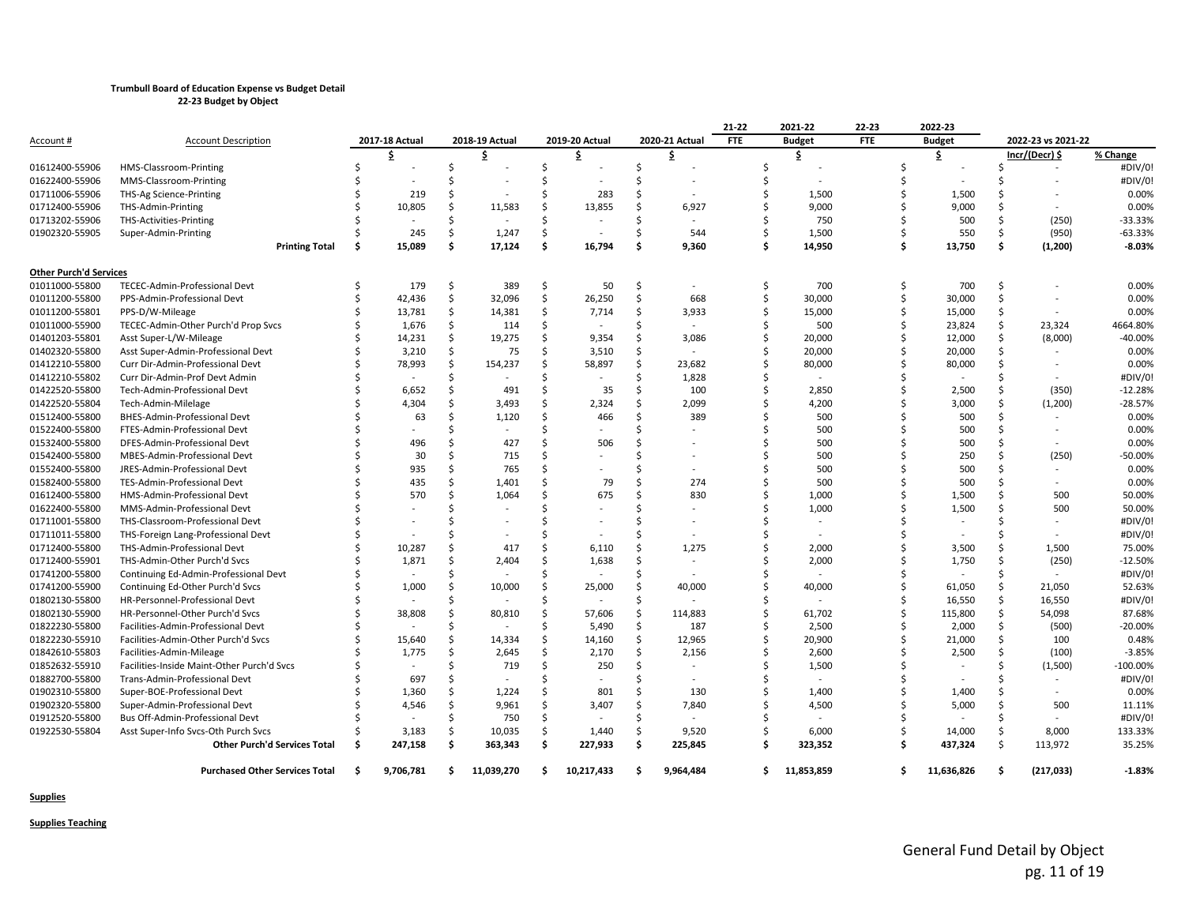|                                  |                                            |     |                  |    |                   |    |                |    |                          | 21-22      | 2021-22       | 22-23      |   | 2022-23       |               |                    |             |
|----------------------------------|--------------------------------------------|-----|------------------|----|-------------------|----|----------------|----|--------------------------|------------|---------------|------------|---|---------------|---------------|--------------------|-------------|
| <u>Account #</u>                 | <b>Account Description</b>                 |     | 2017-18 Actual   |    | 2018-19 Actual    |    | 2019-20 Actual |    | 2020-21 Actual           | <b>FTE</b> | <b>Budget</b> | <b>FTE</b> |   | <b>Budget</b> |               | 2022-23 vs 2021-22 |             |
|                                  |                                            |     | \$               |    | \$                |    | \$             |    | \$                       |            | \$            |            |   | \$            |               | Incr/(Decr) \$     | % Change    |
| 01612400-55906                   | HMS-Classroom-Printing                     |     |                  | \$ |                   | \$ |                | \$ |                          |            |               |            |   |               |               |                    | #DIV/0!     |
| 01622400-55906                   | MMS-Classroom-Printing                     |     |                  | Ś  |                   |    |                | Ś  |                          |            |               |            |   |               |               |                    | #DIV/0!     |
| 01711006-55906                   | THS-Ag Science-Printing                    |     | 219              | Ś  |                   |    | 283            | Ś  |                          |            | 1,500         |            |   | 1,500         |               |                    | 0.00%       |
| 01712400-55906                   | THS-Admin-Printing                         |     | 10,805           | Ś  | 11,583            |    | 13,855         | Ś  | 6,927                    |            | 9,000         |            |   | 9,000         |               |                    | 0.00%       |
| 01713202-55906                   | THS-Activities-Printing                    |     |                  | Ś  |                   |    |                |    |                          |            | 750           |            |   | 500           |               | (250)              | $-33.33%$   |
| 01902320-55905                   | Super-Admin-Printing                       |     | 245              | Ŝ. | 1,247             | Ŝ  |                | Ś  | 544                      |            | 1,500         |            |   | 550           | Ŝ             | (950)              | $-63.33%$   |
|                                  | <b>Printing Total</b>                      | \$. | 15,089           | \$ | 17,124            | \$ | 16,794         | \$ | 9,360                    | Ŝ          | 14,950        |            | Ŝ | 13,750        | \$            | (1, 200)           | $-8.03%$    |
| <b>Other Purch'd Services</b>    |                                            |     |                  |    |                   |    |                |    |                          |            |               |            |   |               |               |                    |             |
| 01011000-55800                   | TECEC-Admin-Professional Devt              | Ŝ   | 179              | \$ | 389               | Ŝ. | 50             | Ŝ. | $\overline{\phantom{a}}$ |            | 700           |            | Ŝ | 700           | Ŝ             |                    | 0.00%       |
| 01011200-55800                   | PPS-Admin-Professional Devt                |     | 42,436           | \$ | 32,096            | Ś  | 26,250         | \$ | 668                      |            | 30,000        |            |   | 30,000        | <sup>\$</sup> |                    | 0.00%       |
| 01011200-55801                   | PPS-D/W-Mileage                            |     | 13,781           | \$ | 14,381            | Ś  | 7,714          | Ŝ. | 3,933                    | Ś          | 15,000        |            |   | 15,000        | Ŝ             |                    | 0.00%       |
| 01011000-55900                   | TECEC-Admin-Other Purch'd Prop Svcs        |     | 1,676            | \$ | 114               |    |                | Ś  |                          |            | 500           |            |   | 23,824        | Ŝ.            | 23,324             | 4664.80%    |
| 01401203-55801                   | Asst Super-L/W-Mileage                     |     | 14,231           | \$ | 19,275            |    | 9,354          | Ś  | 3,086                    |            | 20,000        |            |   | 12,000        | Ŝ             | (8,000)            | $-40.00%$   |
| 01402320-55800                   | Asst Super-Admin-Professional Devt         |     | 3,210            | \$ | 75                |    | 3,510          | Ś  |                          |            | 20,000        |            |   | 20,000        | Ŝ             |                    | 0.00%       |
| 01412210-55800                   | Curr Dir-Admin-Professional Devt           |     | 78,993           | \$ | 154,237           |    | 58,897         | \$ | 23,682                   | Ś          | 80,000        |            |   | 80,000        |               |                    | 0.00%       |
| 01412210-55802                   | Curr Dir-Admin-Prof Devt Admin             |     |                  | Ś  |                   |    |                | Ś  | 1,828                    |            |               |            |   |               |               |                    | #DIV/0!     |
| 01422520-55800                   | Tech-Admin-Professional Devt               |     | 6,652            | \$ | 491               |    | 35             | Ś  | 100                      |            | 2,850         |            |   | 2,500         |               | (350)              | $-12.28%$   |
| 01422520-55804                   | Tech-Admin-Milelage                        |     | 4,304            | Ś  | 3,493             |    | 2,324          | Ś  | 2,099                    |            | 4,200         |            |   | 3,000         |               | (1,200)            | $-28.57%$   |
| 01512400-55800                   | BHES-Admin-Professional Devt               |     | 63               | Ś  | 1,120             |    | 466            | Ś  | 389                      |            | 500           |            |   | 500           |               |                    | 0.00%       |
| 01522400-55800                   | FTES-Admin-Professional Devt               |     |                  | Ś  |                   |    |                |    |                          |            | 500           |            |   | 500           |               |                    | 0.00%       |
| 01532400-55800                   | DFES-Admin-Professional Devt               |     | 496              | Ś  | 427               |    | 506            |    |                          |            | 500           |            |   | 500           |               |                    | 0.00%       |
| 01542400-55800                   | MBES-Admin-Professional Devt               |     | 30               | Ś  | 715               |    |                |    |                          |            | 500           |            |   | 250           |               | (250)              | $-50.00%$   |
| 01552400-55800                   | JRES-Admin-Professional Devt               |     | 935              | Ś  | 765               |    |                |    |                          |            | 500           |            |   | 500           |               |                    | 0.00%       |
| 01582400-55800                   | TES-Admin-Professional Devt                |     | 435              | Ś  | 1,401             |    | 79             |    | 274                      |            | 500           |            |   | 500           |               |                    | 0.00%       |
| 01612400-55800                   | HMS-Admin-Professional Devt                |     | 570              | Ś  | 1,064             |    | 675            |    | 830                      |            | 1,000         |            |   | 1,500         |               | 500                | 50.00%      |
| 01622400-55800                   | MMS-Admin-Professional Devt                |     |                  |    |                   |    |                |    |                          |            | 1,000         |            |   | 1,500         |               | 500                | 50.00%      |
| 01711001-55800                   | THS-Classroom-Professional Devt            |     |                  |    |                   |    |                |    |                          |            |               |            |   |               |               |                    | #DIV/0!     |
| 01711011-55800                   | THS-Foreign Lang-Professional Devt         |     |                  |    |                   |    |                |    |                          |            |               |            |   |               |               |                    | #DIV/0!     |
| 01712400-55800                   | THS-Admin-Professional Devt                |     | 10,287           | Ś  | 417               |    | 6,110          | Ś  | 1,275                    |            | 2,000         |            |   | 3,500         |               | 1,500              | 75.00%      |
| 01712400-55901                   | THS-Admin-Other Purch'd Svcs               |     | 1,871            | Ś  | 2,404             |    | 1,638          | Ŝ. | $\overline{\phantom{a}}$ |            | 2,000         |            |   | 1,750         | Ŝ             | (250)              | $-12.50%$   |
| 01741200-55800                   | Continuing Ed-Admin-Professional Devt      |     |                  | Ś  |                   |    |                |    | $\overline{\phantom{a}}$ |            |               |            |   |               |               |                    | #DIV/0!     |
| 01741200-55900                   | Continuing Ed-Other Purch'd Svcs           |     | 1,000            | Ś. | 10,000            |    | 25,000         | Ś  | 40,000                   |            | 40,000        |            |   | 61,050        |               | 21,050             | 52.63%      |
| 01802130-55800                   | HR-Personnel-Professional Devt             |     |                  | Ś  |                   |    |                | Ś  |                          |            |               |            |   | 16,550        | Ŝ             | 16,550             | #DIV/0!     |
| 01802130-55900                   | HR-Personnel-Other Purch'd Svcs            |     | 38,808           | Ś  | 80,810            | Ś  | 57,606         | Ŝ. | 114,883                  |            | 61,702        |            |   | 115,800       | Ŝ             | 54,098             | 87.68%      |
| 01822230-55800                   | Facilities-Admin-Professional Devt         |     |                  | Ś  |                   |    | 5,490          | \$ | 187                      |            | 2,500         |            |   | 2,000         | Ŝ             | (500)              | $-20.00%$   |
| 01822230-55910                   | Facilities-Admin-Other Purch'd Svcs        |     | 15,640           | \$ | 14,334            |    | 14,160         | \$ | 12,965                   |            | 20,900        |            |   | 21,000        | Ŝ             | 100                | 0.48%       |
| 01842610-55803                   | Facilities-Admin-Mileage                   |     | 1,775            | Ś  | 2,645             | Ś  | 2,170          | Ś  | 2,156                    |            | 2,600         |            |   | 2,500         | Ŝ             | (100)              | $-3.85%$    |
| 01852632-55910                   | Facilities-Inside Maint-Other Purch'd Svcs |     |                  | Ś  | 719               | Ś  | 250            | Ś  |                          |            | 1,500         |            |   |               |               | (1,500)            | $-100.00\%$ |
| 01882700-55800                   | Trans-Admin-Professional Devt              |     | 697              | Ś  |                   |    |                |    |                          |            |               |            |   |               |               |                    | #DIV/0!     |
| 01902310-55800                   | Super-BOE-Professional Devt                |     | 1,360            | \$ | 1,224             |    | 801            |    | 130                      |            | 1,400         |            |   | 1,400         |               |                    | 0.00%       |
| 01902320-55800                   | Super-Admin-Professional Devt              |     | 4,546            | Ś  | 9,961             |    | 3,407          | Ś  | 7,840                    |            | 4,500         |            |   | 5,000         |               | 500                | 11.11%      |
|                                  |                                            |     |                  | Ś  |                   | Ś  |                | Ś  |                          |            |               |            |   |               |               |                    | #DIV/0!     |
| 01912520-55800<br>01922530-55804 | Bus Off-Admin-Professional Devt            |     |                  | Ś. | 750               | Ś  | 1,440          | Ś  | 9,520                    |            | 6,000         |            |   | 14,000        | Ŝ             | 8,000              | 133.33%     |
|                                  | Asst Super-Info Svcs-Oth Purch Svcs        |     | 3,183<br>247,158 | Ś  | 10,035<br>363,343 | Ś. | 227,933        | Ŝ. | 225,845                  |            | 323,352       |            |   | 437,324       | Ŝ             | 113,972            | 35.25%      |
|                                  | <b>Other Purch'd Services Total</b>        |     |                  |    |                   |    |                |    |                          |            |               |            |   |               |               |                    |             |
|                                  | <b>Purchased Other Services Total</b>      | \$  | 9,706,781        | \$ | 11,039,270        | Ŝ  | 10,217,433     | Ŝ  | 9,964,484                | \$.        | 11,853,859    |            | Ŝ | 11,636,826    | \$.           | (217, 033)         | $-1.83%$    |

**Supplies**

**Supplies Teaching**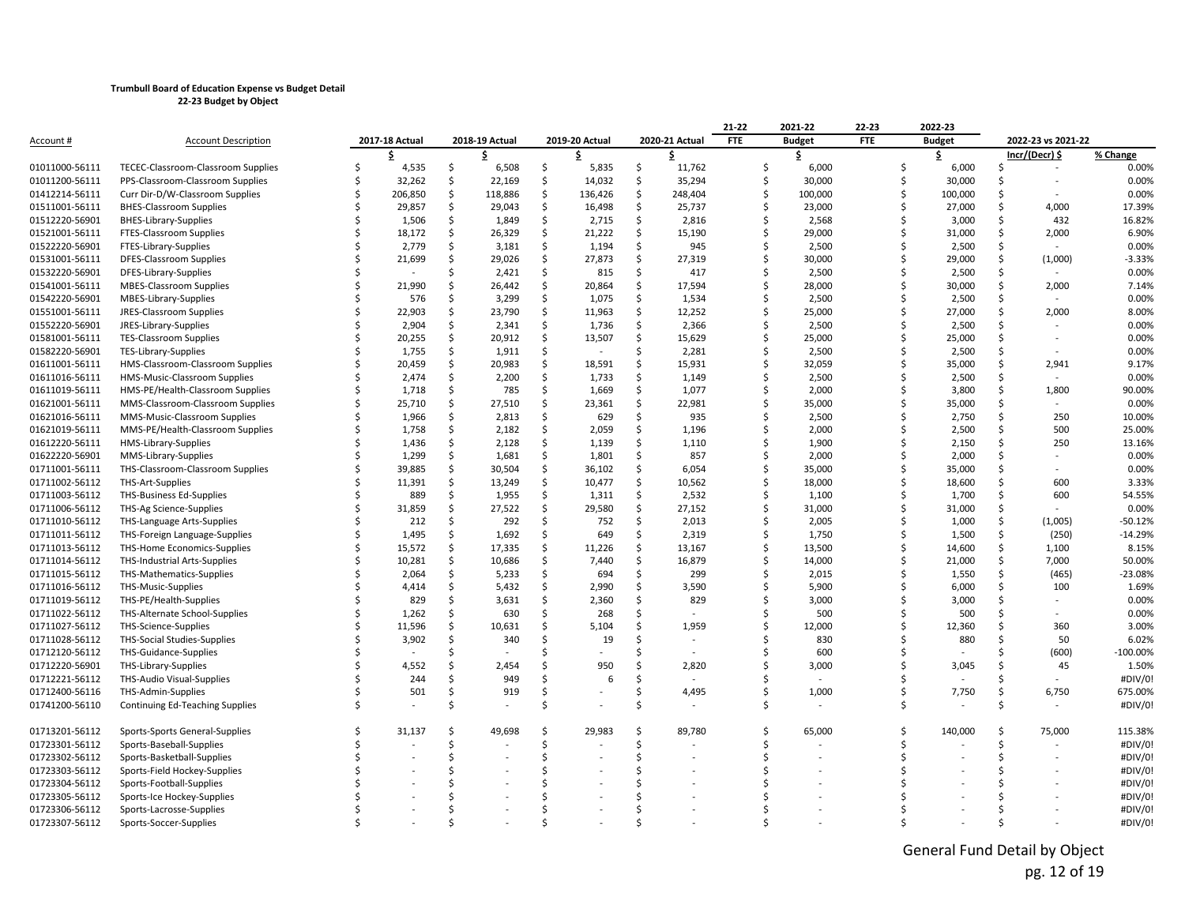|                |                                           |                |               |                |     |                |    |                | 21-22      | 2021-22       | 22-23      |   | 2022-23       |     |                          |           |
|----------------|-------------------------------------------|----------------|---------------|----------------|-----|----------------|----|----------------|------------|---------------|------------|---|---------------|-----|--------------------------|-----------|
| Account #      | <b>Account Description</b>                | 2017-18 Actual |               | 2018-19 Actual |     | 2019-20 Actual |    | 2020-21 Actual | <b>FTE</b> | <b>Budget</b> | <b>FTE</b> |   | <b>Budget</b> |     | 2022-23 vs 2021-22       |           |
|                |                                           |                |               | s              |     |                |    | \$             |            | \$            |            |   | \$            |     | Incr/(Decr) \$           | % Change  |
| 01011000-56111 | <b>TECEC-Classroom-Classroom Supplies</b> | 4,535          | Ŝ             | 6,508          | \$  | 5,835          | \$ | 11,762         | Ś          | 6,000         |            | Ś | 6,000         | Ŝ   |                          | 0.00%     |
| 01011200-56111 | PPS-Classroom-Classroom Supplies          | 32,262         | Ŝ             | 22,169         | Ŝ.  | 14,032         | Ŝ  | 35,294         | Ŝ.         | 30,000        |            |   | 30,000        | Ŝ   |                          | 0.00%     |
| 01412214-56111 | Curr Dir-D/W-Classroom Supplies           | 206,850        | Ŝ             | 118,886        | \$  | 136,426        | S  | 248,404        | Ś          | 100,000       |            |   | 100,000       | Ŝ   |                          | 0.00%     |
| 01511001-56111 | <b>BHES-Classroom Supplies</b>            | 29,857         | Ŝ             | 29,043         | Ŝ.  | 16,498         | \$ | 25,737         | Ś          | 23,000        |            |   | 27,000        | Ŝ   | 4,000                    | 17.39%    |
| 01512220-56901 | <b>BHES-Library-Supplies</b>              | 1,506          | Ŝ             | 1,849          | \$  | 2,715          | \$ | 2,816          | Ś          | 2,568         |            |   | 3,000         | Ŝ   | 432                      | 16.82%    |
| 01521001-56111 | FTES-Classroom Supplies                   | 18,172         | Ŝ.            | 26,329         | \$  | 21,222         | Ŝ  | 15,190         | Ś          | 29,000        |            |   | 31,000        | Ŝ.  | 2,000                    | 6.90%     |
| 01522220-56901 | FTES-Library-Supplies                     | 2,779          | Ŝ.            | 3,181          | Ŝ.  | 1,194          | Ŝ  | 945            | Ś          | 2,500         |            |   | 2,500         | Ŝ   |                          | 0.00%     |
| 01531001-56111 | DFES-Classroom Supplies                   | 21,699         | Ŝ.            | 29,026         | \$  | 27,873         | \$ | 27,319         | Ś          | 30,000        |            |   | 29,000        | Ŝ   | (1,000)                  | $-3.33%$  |
| 01532220-56901 | DFES-Library-Supplies                     |                | Ś             | 2,421          | \$  | 815            | S  | 417            | Ś          | 2,500         |            |   | 2,500         | \$  |                          | 0.00%     |
| 01541001-56111 | <b>MBES-Classroom Supplies</b>            | 21,990         |               | 26,442         | \$  | 20,864         | Ŝ  | 17,594         | Ś          | 28,000        |            |   | 30,000        | Ŝ   | 2,000                    | 7.14%     |
| 01542220-56901 | MBES-Library-Supplies                     | 576            | Ŝ             | 3,299          | \$  | 1,075          | \$ | 1,534          | Ś          | 2,500         |            |   | 2,500         | \$  |                          | 0.00%     |
| 01551001-56111 | <b>JRES-Classroom Supplies</b>            | 22,903         | Ś.            | 23,790         | Ŝ.  | 11,963         | Ŝ  | 12,252         | Ś          | 25,000        |            |   | 27,000        | Ŝ   | 2,000                    | 8.00%     |
| 01552220-56901 | JRES-Library-Supplies                     | 2,904          | Ŝ             | 2,341          | Ŝ.  | 1,736          | \$ | 2,366          | Ś          | 2,500         |            |   | 2,500         | Ŝ   |                          | 0.00%     |
| 01581001-56111 | <b>TES-Classroom Supplies</b>             | 20,255         | \$            | 20,912         | \$  | 13,507         | \$ | 15,629         | Ś          | 25,000        |            |   | 25,000        | .s  |                          | 0.00%     |
| 01582220-56901 | TES-Library-Supplies                      | 1,755          | Ŝ             | 1,911          | \$  |                | Ŝ  | 2,281          | Ś          | 2,500         |            |   | 2,500         | .s  |                          | 0.00%     |
| 01611001-56111 | HMS-Classroom-Classroom Supplies          | 20,459         | \$            | 20,983         | \$  | 18,591         | Ŝ  | 15,931         | Ś          | 32,059        |            |   | 35,000        | Ŝ   | 2,941                    | 9.17%     |
| 01611016-56111 | HMS-Music-Classroom Supplies              | 2,474          | Ŝ             | 2,200          | Ŝ.  | 1,733          | Ŝ  | 1,149          | Ś          | 2,500         |            |   | 2,500         | Ŝ   |                          | 0.00%     |
| 01611019-56111 | HMS-PE/Health-Classroom Supplies          | 1,718          | Ŝ             | 785            | \$  | 1,669          | \$ | 1,077          | Ŝ.         | 2,000         |            |   | 3,800         | Ŝ   | 1,800                    | 90.00%    |
| 01621001-56111 | MMS-Classroom-Classroom Supplies          | 25,710         | Ŝ.            | 27,510         | \$  | 23,361         | Ŝ  | 22,981         | Ŝ.         | 35,000        |            |   | 35,000        | Ŝ   |                          | 0.00%     |
| 01621016-56111 | MMS-Music-Classroom Supplies              | 1,966          | Ŝ             | 2,813          | Ŝ.  | 629            | Ŝ  | 935            | Ś          | 2,500         |            |   | 2,750         | Ŝ   | 250                      | 10.00%    |
| 01621019-56111 | MMS-PE/Health-Classroom Supplies          | 1,758          | Ŝ.            | 2,182          | \$  | 2,059          | Ś. | 1,196          | Ś          | 2,000         |            |   | 2,500         | Ŝ   | 500                      | 25.00%    |
| 01612220-56111 | HMS-Library-Supplies                      | 1,436          | Ŝ             | 2,128          | Ŝ.  | 1,139          | Ŝ  | 1,110          | Ś          | 1,900         |            |   | 2,150         | Ŝ.  | 250                      | 13.16%    |
| 01622220-56901 | MMS-Library-Supplies                      | 1,299          | Ŝ             | 1,681          | Ŝ.  | 1,801          | S  | 857            | Ś          | 2,000         |            |   | 2,000         |     | $\overline{\phantom{a}}$ | 0.00%     |
| 01711001-56111 | THS-Classroom-Classroom Supplies          | 39,885         | Ŝ             | 30,504         | \$  | 36,102         | \$ | 6,054          | \$         | 35,000        |            |   | 35,000        | .S  |                          | 0.00%     |
| 01711002-56112 | <b>THS-Art-Supplies</b>                   | 11,391         | Ś.            | 13,249         | \$  | 10,477         | Ŝ  | 10,562         | Ś          | 18,000        |            |   | 18,600        |     | 600                      | 3.33%     |
| 01711003-56112 | <b>THS-Business Ed-Supplies</b>           | 889            | Ŝ             | 1,955          | \$  | 1,311          | Ŝ  | 2,532          | Ś          | 1,100         |            |   | 1,700         | Ŝ   | 600                      | 54.55%    |
| 01711006-56112 | THS-Ag Science-Supplies                   | 31,859         | Ŝ.            | 27,522         | \$  | 29,580         | Ŝ  | 27,152         | Ŝ.         | 31,000        |            |   | 31,000        | \$  |                          | 0.00%     |
| 01711010-56112 | THS-Language Arts-Supplies                | 212            | Ŝ             | 292            | \$  | 752            | S  | 2,013          | \$         | 2,005         |            |   | 1,000         | \$. | (1,005)                  | $-50.12%$ |
| 01711011-56112 | THS-Foreign Language-Supplies             | 1,495          | \$            | 1,692          | \$  | 649            | Ŝ  | 2,319          | Ś          | 1,750         |            |   | 1,500         | \$  | (250)                    | $-14.29%$ |
| 01711013-56112 | THS-Home Economics-Supplies               | 15,572         | Ŝ.            | 17,335         | \$  | 11,226         | Ŝ  | 13,167         | \$         | 13,500        |            |   | 14,600        | Ŝ   | 1,100                    | 8.15%     |
| 01711014-56112 | <b>THS-Industrial Arts-Supplies</b>       | 10,281         | Ŝ.            | 10,686         | \$  | 7,440          | Ŝ  | 16,879         | Ś          | 14,000        |            |   | 21,000        | Ŝ   | 7,000                    | 50.00%    |
| 01711015-56112 | THS-Mathematics-Supplies                  | 2,064          | <sup>\$</sup> | 5,233          | \$  | 694            | Ŝ  | 299            | Ś          | 2,015         |            |   | 1,550         | Ŝ   | (465)                    | $-23.08%$ |
| 01711016-56112 | THS-Music-Supplies                        | 4,414          | Ŝ             | 5,432          | \$  | 2,990          | Ŝ  | 3,590          | Ś          | 5,900         |            |   | 6,000         | .S  | 100                      | 1.69%     |
| 01711019-56112 | THS-PE/Health-Supplies                    | 829            | <sup>\$</sup> | 3,631          | Ŝ.  | 2,360          | Ŝ  | 829            | Ś          | 3,000         |            |   | 3,000         | Ŝ.  |                          | 0.00%     |
| 01711022-56112 | THS-Alternate School-Supplies             | 1,262          | Ŝ.            | 630            | \$  | 268            | Ŝ  |                | Ś          | 500           |            |   | 500           |     |                          | 0.00%     |
| 01711027-56112 | THS-Science-Supplies                      | 11,596         | Ŝ             | 10,631         | Ŝ.  | 5,104          | S  | 1,959          | Ś          | 12,000        |            |   | 12,360        |     | 360                      | 3.00%     |
| 01711028-56112 | <b>THS-Social Studies-Supplies</b>        | 3,902          | Ŝ             | 340            | Ŝ.  | 19             | Ŝ  |                | ς          | 830           |            |   | 880           | Ŝ.  | 50                       | 6.02%     |
| 01712120-56112 | THS-Guidance-Supplies                     |                |               |                |     |                |    |                | \$         | 600           |            |   |               |     | (600)                    | -100.00%  |
| 01712220-56901 | THS-Library-Supplies                      | 4,552          |               | 2,454          | Ŝ.  | 950            | Ŝ. | 2,820          | Ś          | 3,000         |            |   | 3,045         | Ŝ   | 45                       | 1.50%     |
| 01712221-56112 | THS-Audio Visual-Supplies                 | 244            | Ŝ             | 949            | Ŝ.  | 6              | Ś  |                | Ś          |               |            |   |               |     |                          | #DIV/0!   |
| 01712400-56116 | THS-Admin-Supplies                        | 501            | Ŝ             | 919            | Ŝ   |                |    | 4,495          | Ś          | 1,000         |            |   | 7,750         | .S  | 6,750                    | 675.00%   |
| 01741200-56110 | Continuing Ed-Teaching Supplies           |                |               |                | Ŝ.  |                |    |                | Ś          |               |            |   |               | Ś   |                          | #DIV/0!   |
| 01713201-56112 | Sports-Sports General-Supplies            | 31,137         | Ŝ             | 49,698         | Ŝ.  | 29,983         | S  | 89,780         | Ŝ          | 65,000        |            | Ś | 140,000       | .S  | 75,000                   | 115.38%   |
| 01723301-56112 | Sports-Baseball-Supplies                  |                |               |                | Ŝ.  |                | Ŝ  |                | Ś          |               |            | Ś |               | Ŝ.  |                          | #DIV/0!   |
| 01723302-56112 | Sports-Basketball-Supplies                |                |               |                | \$. |                |    |                | Ś          |               |            |   |               | Ŝ   |                          | #DIV/0!   |
| 01723303-56112 | Sports-Field Hockey-Supplies              |                |               |                | Ŝ.  |                |    |                |            |               |            |   |               |     |                          | #DIV/0!   |
| 01723304-56112 | Sports-Football-Supplies                  |                |               |                |     |                |    |                |            |               |            |   |               |     |                          | #DIV/0!   |
| 01723305-56112 | Sports-Ice Hockey-Supplies                |                |               |                |     |                |    |                |            |               |            |   |               |     |                          | #DIV/0!   |
| 01723306-56112 | Sports-Lacrosse-Supplies                  |                |               |                |     |                |    |                |            |               |            |   |               |     |                          | #DIV/0!   |
| 01723307-56112 | Sports-Soccer-Supplies                    |                |               |                |     |                |    |                |            |               |            |   |               |     |                          | #DIV/0!   |

General Fund Detail by Object pg. 12 of 19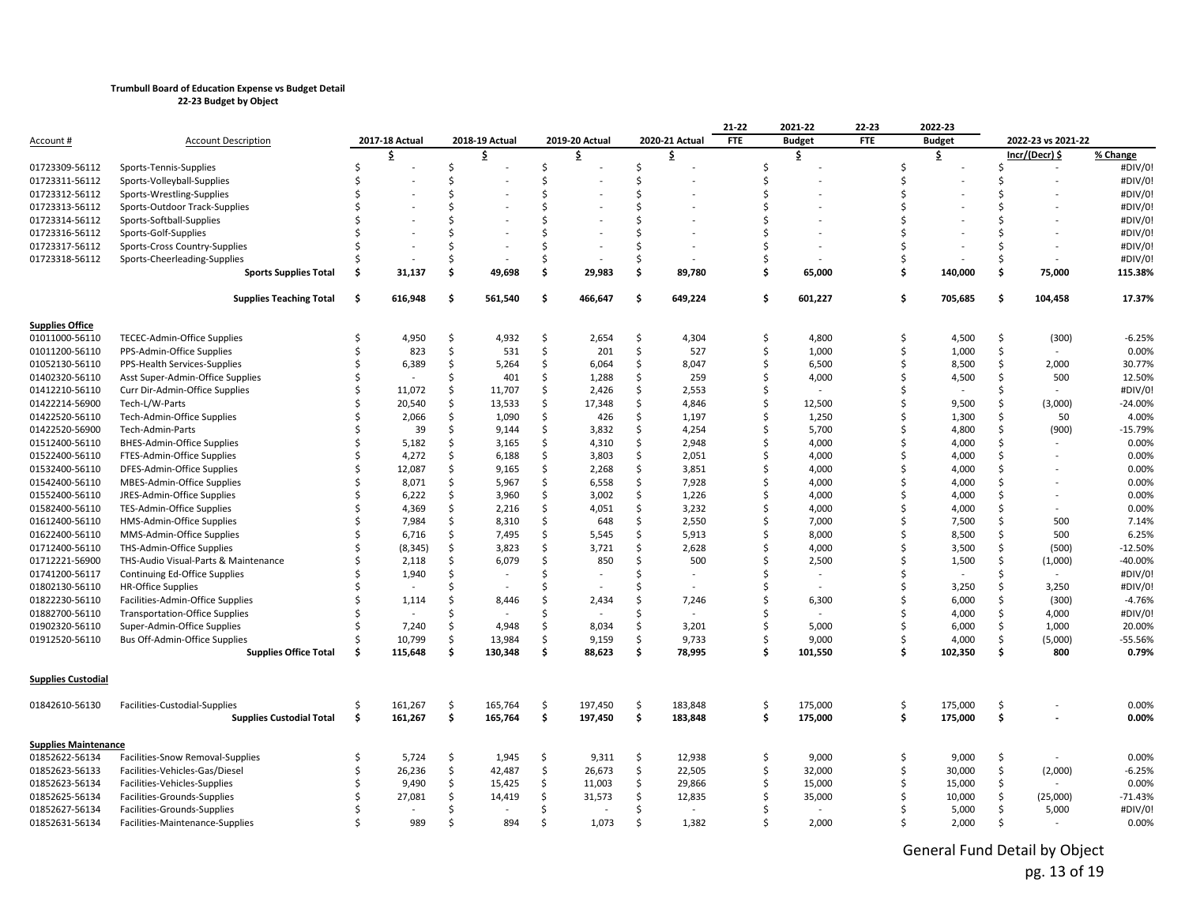|                             |                                                        |        |                |     |                |                     |                |          |                | 21-22      | 2021-22                  | 22-23      |    | 2022-23       |               |                    |           |
|-----------------------------|--------------------------------------------------------|--------|----------------|-----|----------------|---------------------|----------------|----------|----------------|------------|--------------------------|------------|----|---------------|---------------|--------------------|-----------|
| Account #                   | <b>Account Description</b>                             |        | 2017-18 Actual |     | 2018-19 Actual |                     | 2019-20 Actual |          | 2020-21 Actual | <b>FTE</b> | <b>Budget</b>            | <b>FTE</b> |    | <b>Budget</b> |               | 2022-23 vs 2021-22 |           |
|                             |                                                        |        | \$             |     | \$             |                     | \$             |          | \$             |            | \$                       |            |    | \$            |               | Incr/(Decr) \$     | % Change  |
| 01723309-56112              | Sports-Tennis-Supplies                                 |        |                | Ś   |                | Ś.                  |                | Ŝ        |                | Ś          |                          |            | Ś  |               |               |                    | #DIV/0!   |
| 01723311-56112              | Sports-Volleyball-Supplies                             |        |                | Ś   |                | Ś                   |                |          |                | Ś          |                          |            | Ś  |               |               |                    | #DIV/0!   |
| 01723312-56112              | Sports-Wrestling-Supplies                              |        |                |     |                | $\zeta$             |                |          |                | Ś          |                          |            | ς  |               |               |                    | #DIV/0!   |
| 01723313-56112              | Sports-Outdoor Track-Supplies                          |        |                |     |                |                     |                |          |                | Ś          |                          |            |    |               |               |                    | #DIV/0!   |
| 01723314-56112              | Sports-Softball-Supplies                               |        |                |     |                | Ś.                  |                |          |                | Ś          |                          |            |    |               |               |                    | #DIV/0!   |
| 01723316-56112              | Sports-Golf-Supplies                                   |        |                |     |                | ς.                  |                |          |                | Ś          |                          |            |    |               |               |                    | #DIV/0!   |
| 01723317-56112              | Sports-Cross Country-Supplies                          |        |                |     |                |                     |                |          |                | Ś          |                          |            |    |               |               |                    | #DIV/0!   |
| 01723318-56112              | Sports-Cheerleading-Supplies                           |        |                | Ś   |                | Ŝ.                  |                |          |                | Ś          |                          |            | Ś  |               |               |                    | #DIV/0!   |
|                             | <b>Sports Supplies Total</b>                           | Ŝ.     | 31,137         | \$  | 49,698         | \$                  | 29,983         | \$       | 89,780         | \$         | 65,000                   |            | Š. | 140,000       | \$            | 75,000             | 115.38%   |
|                             | <b>Supplies Teaching Total</b>                         | \$     | 616,948        | Ŝ.  | 561,540        | Ś                   | 466,647        | Ś.       | 649,224        | Ś          | 601,227                  |            | Ŝ  | 705,685       | \$            | 104,458            | 17.37%    |
| <b>Supplies Office</b>      |                                                        |        |                |     |                |                     |                |          |                |            |                          |            |    |               |               |                    |           |
| 01011000-56110              | <b>TECEC-Admin-Office Supplies</b>                     | Ś      | 4,950          | Ŝ.  | 4,932          | Ś.                  | 2,654          | Ŝ.       | 4,304          | \$         | 4,800                    |            | Ś  | 4,500         | Ŝ             | (300)              | $-6.25%$  |
| 01011200-56110              | PPS-Admin-Office Supplies                              | Ś      | 823            | Ś   | 531            | Ś.                  | 201            | Ŝ.       | 527            | \$         | 1,000                    |            | Ś  | 1,000         | Ŝ.            |                    | 0.00%     |
| 01052130-56110              | PPS-Health Services-Supplies                           | Ś      | 6,389          | Ś   | 5,264          | Ŝ.                  | 6,064          | Ŝ.       | 8,047          | \$         | 6,500                    |            | Ś  | 8,500         | <sup>\$</sup> | 2,000              | 30.77%    |
| 01402320-56110              | Asst Super-Admin-Office Supplies                       | Ś      |                | Ś   | 401            | Ś.                  | 1,288          | \$       | 259            | \$         | 4,000                    |            | Ś  | 4,500         | Ŝ             | 500                | 12.50%    |
| 01412210-56110              | Curr Dir-Admin-Office Supplies                         |        | 11,072         | Ś   | 11,707         | <sup>\$</sup>       | 2,426          | Ŝ.       | 2,553          | Ś          |                          |            |    |               |               |                    | #DIV/0!   |
| 01422214-56900              | Tech-L/W-Parts                                         |        | 20,540         | \$  | 13,533         | Ś.                  | 17,348         | Ŝ        | 4,846          | Ś          | 12,500                   |            | Ś  | 9,500         | Ŝ             | (3,000)            | $-24.00%$ |
| 01422520-56110              | Tech-Admin-Office Supplies                             |        | 2,066          | Ś   | 1,090          | <sup>\$</sup>       | 426            | Ŝ        | 1,197          | \$         | 1,250                    |            | Ś  | 1,300         | Ŝ             | 50                 | 4.00%     |
| 01422520-56900              | Tech-Admin-Parts                                       |        | 39             | Ś   | 9,144          | Ś.                  | 3,832          | Ŝ        | 4,254          | \$         | 5,700                    |            | Ś  | 4,800         | Ŝ             | (900)              | $-15.79%$ |
| 01512400-56110              | <b>BHES-Admin-Office Supplies</b>                      | Ś      | 5,182          | Ś   | 3,165          | Ś.                  | 4,310          | Ŝ.       | 2,948          | \$         | 4,000                    |            | Ś  | 4,000         | <sup>\$</sup> |                    | 0.00%     |
| 01522400-56110              | FTES-Admin-Office Supplies                             |        | 4,272          | Ś   | 6,188          | Ŝ.                  | 3,803          | Ŝ        | 2,051          | Ś          | 4,000                    |            | Ś  | 4,000         | Ŝ             |                    | 0.00%     |
| 01532400-56110              | DFES-Admin-Office Supplies                             |        | 12,087         | Ś   | 9,165          | Ś                   | 2,268          | \$       | 3,851          | \$         | 4,000                    |            | Ś  | 4,000         | Ś             |                    | 0.00%     |
| 01542400-56110              | MBES-Admin-Office Supplies                             |        | 8,071          | Ś   | 5,967          | Ś.                  | 6,558          | \$       | 7,928          | \$         | 4,000                    |            | Ś  | 4,000         | Ŝ             |                    | 0.00%     |
| 01552400-56110              | JRES-Admin-Office Supplies                             |        | 6,222          | Ś   | 3,960          | Ŝ.                  | 3,002          | Ŝ.       | 1,226          | Ś          | 4,000                    |            | ς  | 4,000         | Ŝ             |                    | 0.00%     |
|                             |                                                        |        |                | Ś   |                | \$                  |                | Ŝ        |                | Ś          |                          |            | Ś  |               | Ŝ             |                    | 0.00%     |
| 01582400-56110              | TES-Admin-Office Supplies<br>HMS-Admin-Office Supplies |        | 4,369<br>7,984 | Ś   | 2,216          | Ś.                  | 4,051<br>648   | \$       | 3,232<br>2,550 | \$         | 4,000                    |            | Ś  | 4,000         | Ś             | 500                | 7.14%     |
| 01612400-56110              |                                                        |        |                | Ś   | 8,310          |                     |                |          |                |            | 7,000                    |            | Ś  | 7,500         |               |                    |           |
| 01622400-56110              | MMS-Admin-Office Supplies                              | Ś<br>Ś | 6,716          | \$  | 7,495          | \$<br><sup>\$</sup> | 5,545          | Ŝ.<br>Ŝ. | 5,913          | \$<br>\$   | 8,000                    |            | ς  | 8,500         | Ŝ.            | 500                | 6.25%     |
| 01712400-56110              | THS-Admin-Office Supplies                              |        | (8, 345)       |     | 3,823          |                     | 3,721          |          | 2,628          |            | 4,000                    |            |    | 3,500         | Ŝ.            | (500)              | $-12.50%$ |
| 01712221-56900              | THS-Audio Visual-Parts & Maintenance                   |        | 2,118          | Ś   | 6,079          | Ŝ.                  | 850            | Ŝ.       | 500            | \$         | 2,500                    |            | ς  | 1,500         | Ŝ             | (1,000)            | $-40.00%$ |
| 01741200-56117              | Continuing Ed-Office Supplies                          |        | 1,940          | Ś   |                | Ś                   |                |          |                | Ś          |                          |            |    |               | Ś.            |                    | #DIV/0!   |
| 01802130-56110              | <b>HR-Office Supplies</b>                              |        |                | ς   |                | $\zeta$             |                |          |                | \$         | $\overline{\phantom{a}}$ |            | Ś  | 3,250         | Ŝ.            | 3,250              | #DIV/0!   |
| 01822230-56110              | Facilities-Admin-Office Supplies                       |        | 1,114          | ς   | 8,446          |                     | 2,434          |          | 7,246          | \$         | 6,300                    |            | ς  | 6,000         | Ŝ             | (300)              | $-4.76%$  |
| 01882700-56110              | <b>Transportation-Office Supplies</b>                  |        |                | Ś   |                | Ŝ.                  |                |          |                | Ś          |                          |            | Ś  | 4,000         | Ŝ.            | 4,000              | #DIV/0!   |
| 01902320-56110              | Super-Admin-Office Supplies                            |        | 7,240          | Ś   | 4,948          | Ś.                  | 8,034          | Ŝ.       | 3,201          | \$         | 5,000                    |            | Ś  | 6,000         | \$            | 1,000              | 20.00%    |
| 01912520-56110              | Bus Off-Admin-Office Supplies                          |        | 10,799         | Ś   | 13,984         | Ś.                  | 9,159          | Ŝ.       | 9,733          | \$         | 9,000                    |            | Ś  | 4,000         | \$            | (5,000)            | -55.56%   |
|                             | <b>Supplies Office Total</b>                           | Ś      | 115,648        | Ŝ.  | 130,348        | Ŝ.                  | 88,623         | Ś.       | 78,995         | Ś          | 101,550                  |            | Ŝ  | 102,350       | \$            | 800                | 0.79%     |
| <b>Supplies Custodial</b>   |                                                        |        |                |     |                |                     |                |          |                |            |                          |            |    |               |               |                    |           |
| 01842610-56130              | Facilities-Custodial-Supplies                          | .S     | 161,267        | Ŝ.  | 165,764        | Ś.                  | 197,450        | Ŝ        | 183,848        | Ś          | 175,000                  |            | Ś  | 175,000       | Ŝ             |                    | 0.00%     |
|                             | <b>Supplies Custodial Total</b>                        | \$     | 161,267        | \$. | 165,764        | \$                  | 197,450        | \$       | 183,848        | \$         | 175,000                  |            | \$ | 175,000       | Ś             |                    | 0.00%     |
| <b>Supplies Maintenance</b> |                                                        |        |                |     |                |                     |                |          |                |            |                          |            |    |               |               |                    |           |
| 01852622-56134              | Facilities-Snow Removal-Supplies                       | Ś      | 5,724          | \$  | 1,945          | \$                  | 9,311          | \$       | 12,938         | \$         | 9,000                    |            | Ś  | 9,000         | \$            |                    | 0.00%     |
| 01852623-56133              | Facilities-Vehicles-Gas/Diesel                         | Ś      | 26,236         | \$  | 42,487         | Ś.                  | 26,673         | Ŝ.       | 22,505         | \$         | 32,000                   |            | Ś  | 30,000        | Ŝ.            | (2,000)            | $-6.25%$  |
| 01852623-56134              | Facilities-Vehicles-Supplies                           |        | 9,490          | \$  | 15,425         | \$                  | 11,003         | \$       | 29,866         | Ś          | 15,000                   |            | Ś  | 15,000        | \$            |                    | 0.00%     |
| 01852625-56134              | Facilities-Grounds-Supplies                            |        | 27,081         | Ś   | 14,419         | Ś.                  | 31,573         | Ŝ.       | 12,835         | Ś          | 35,000                   |            | Ś  | 10,000        | \$            | (25,000)           | $-71.43%$ |
| 01852627-56134              | Facilities-Grounds-Supplies                            |        |                | Ś   |                | Ŝ.                  |                | Ŝ        |                | Ś          |                          |            |    | 5,000         | \$            | 5,000              | #DIV/0!   |
| 01852631-56134              | Facilities-Maintenance-Supplies                        | \$     | 989            | \$. | 894            | Ś.                  | 1,073          | Ŝ.       | 1,382          | \$         | 2,000                    |            | \$ | 2,000         | Ŝ.            |                    | 0.00%     |
|                             |                                                        |        |                |     |                |                     |                |          |                |            |                          |            |    |               |               |                    |           |

General Fund Detail by Object pg. 13 of 19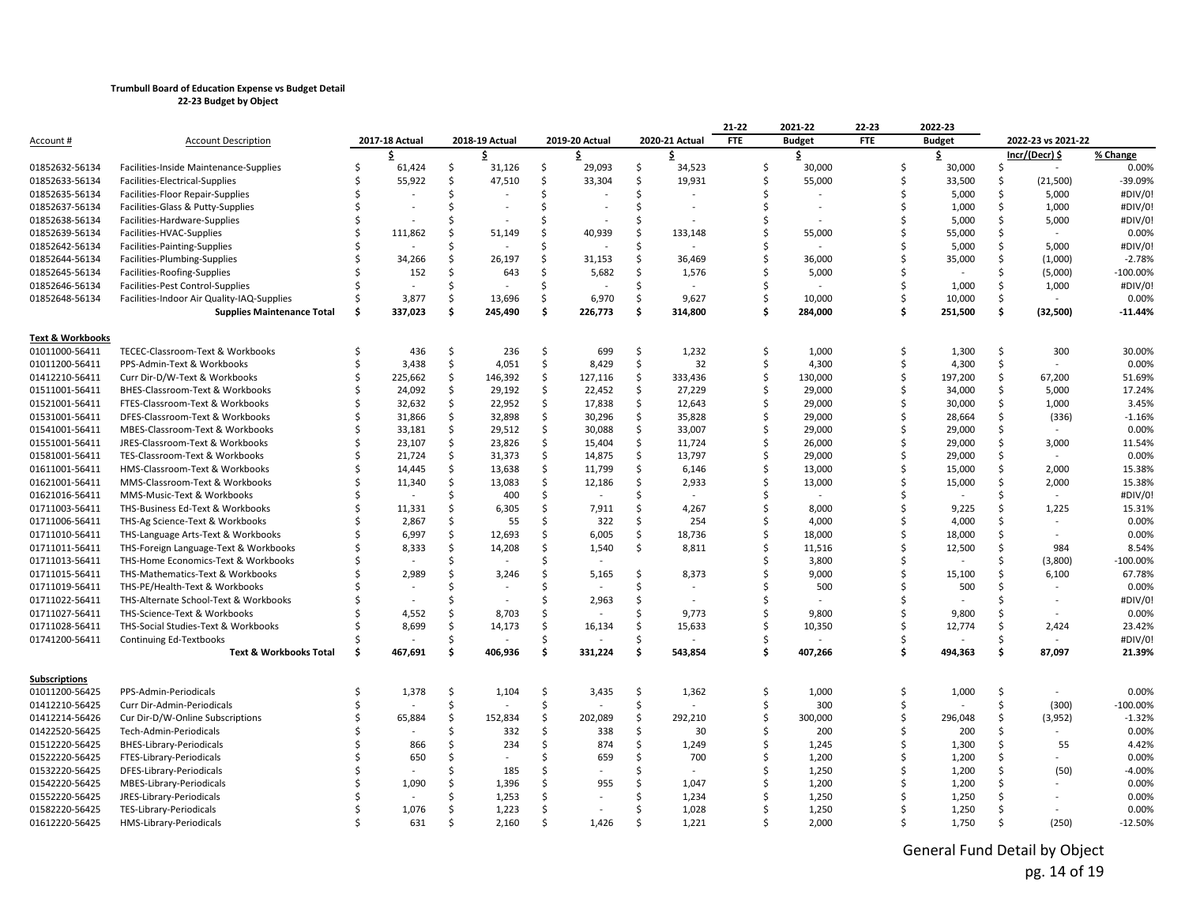|                             |                                            |    |                |     |                          |     |                |    |                          | 21-22      | 2021-22       | 22-23      |    | 2022-23       |              |                    |            |
|-----------------------------|--------------------------------------------|----|----------------|-----|--------------------------|-----|----------------|----|--------------------------|------------|---------------|------------|----|---------------|--------------|--------------------|------------|
| Account #                   | <b>Account Description</b>                 |    | 2017-18 Actual |     | 2018-19 Actual           |     | 2019-20 Actual |    | 2020-21 Actual           | <b>FTE</b> | <b>Budget</b> | <b>FTE</b> |    | <b>Budget</b> |              | 2022-23 vs 2021-22 |            |
|                             |                                            |    |                |     | \$                       |     |                |    | \$                       |            | \$            |            |    | \$            |              | Incr/(Decr) \$     | % Change   |
| 01852632-56134              | Facilities-Inside Maintenance-Supplies     |    | 61,424         | Ŝ   | 31,126                   | \$  | 29,093         | \$ | 34,523                   | Ś          | 30,000        |            |    | 30,000        | Ŝ            |                    | 0.00%      |
| 01852633-56134              | Facilities-Electrical-Supplies             |    | 55,922         | -Ŝ  | 47,510                   | Ś.  | 33,304         | \$ | 19,931                   | Ś          | 55,000        |            |    | 33,500        | Ŝ            | (21,500)           | -39.09%    |
| 01852635-56134              | Facilities-Floor Repair-Supplies           |    |                | Ŝ   |                          | \$  |                | Ś. |                          | Ś          |               |            |    | 5,000         | \$           | 5,000              | #DIV/0!    |
| 01852637-56134              | Facilities-Glass & Putty-Supplies          |    |                |     | $\overline{\phantom{a}}$ | \$  |                | Ś  | $\overline{a}$           | Ś          |               |            |    | 1,000         | Ŝ            | 1,000              | #DIV/0!    |
| 01852638-56134              | Facilities-Hardware-Supplies               |    |                |     |                          | Ś   |                | Ŝ  |                          |            |               |            |    | 5,000         | Ŝ            | 5,000              | #DIV/0!    |
| 01852639-56134              | Facilities-HVAC-Supplies                   |    | 111,862        | Ŝ   | 51,149                   | Ś   | 40,939         | S  | 133.148                  | Ś          | 55,000        |            |    | 55,000        | Ŝ            |                    | 0.00%      |
| 01852642-56134              | Facilities-Painting-Supplies               |    |                | ς.  |                          | Ś   |                | S  |                          |            |               |            |    | 5,000         | \$.          | 5,000              | #DIV/0!    |
| 01852644-56134              | Facilities-Plumbing-Supplies               |    | 34,266         | Ŝ.  | 26,197                   | \$  | 31,153         | Ś  | 36,469                   | Ś          | 36,000        |            |    | 35,000        | Ŝ            | (1,000)            | $-2.78%$   |
| 01852645-56134              | Facilities-Roofing-Supplies                |    | 152            | \$. | 643                      | \$  | 5,682          | Ś  | 1,576                    | Ś          | 5,000         |            |    |               | Ŝ            | (5,000)            | $-100.00%$ |
| 01852646-56134              | Facilities-Pest Control-Supplies           |    |                | ς.  |                          | Ś   |                | Ŝ  |                          |            |               |            |    | 1,000         | Ŝ            | 1,000              | #DIV/0!    |
| 01852648-56134              | Facilities-Indoor Air Quality-IAQ-Supplies |    | 3,877          | \$  | 13,696                   | \$  | 6,970          | Ŝ  | 9,627                    | Ś          | 10,000        |            |    | 10,000        | Ŝ            |                    | 0.00%      |
|                             | <b>Supplies Maintenance Total</b>          | Ŝ. | 337,023        | Ś   | 245,490                  | \$  | 226,773        | Ŝ. | 314,800                  | Ś          | 284,000       |            | Ŝ. | 251,500       | \$           | (32,500)           | $-11.44%$  |
|                             |                                            |    |                |     |                          |     |                |    |                          |            |               |            |    |               |              |                    |            |
| <b>Text &amp; Workbooks</b> |                                            |    |                |     |                          |     |                |    |                          |            |               |            |    |               |              |                    |            |
| 01011000-56411              | TECEC-Classroom-Text & Workbooks           | Ŝ. | 436            | \$  | 236                      | \$  | 699            | \$ | 1,232                    | Ŝ          | 1,000         |            | Ŝ. | 1,300         | Ŝ            | 300                | 30.00%     |
| 01011200-56411              | PPS-Admin-Text & Workbooks                 |    | 3,438          | \$  | 4,051                    | \$  | 8,429          | \$ | 32                       | \$         | 4,300         |            |    | 4,300         | \$           |                    | 0.00%      |
| 01412210-56411              | Curr Dir-D/W-Text & Workbooks              |    | 225,662        | Ŝ.  | 146,392                  | \$  | 127,116        | \$ | 333,436                  | \$         | 130,000       |            |    | 197,200       | Ŝ            | 67,200             | 51.69%     |
| 01511001-56411              | BHES-Classroom-Text & Workbooks            |    | 24,092         | \$  | 29,192                   | \$  | 22,452         | Ś. | 27,229                   | Ś          | 29,000        |            |    | 34,000        | Ŝ.           | 5,000              | 17.24%     |
| 01521001-56411              | FTES-Classroom-Text & Workbooks            |    | 32,632         | \$  | 22,952                   | \$  | 17,838         | \$ | 12,643                   | Ś          | 29,000        |            |    | 30,000        | Ŝ            | 1,000              | 3.45%      |
| 01531001-56411              | DFES-Classroom-Text & Workbooks            |    | 31,866         | Ŝ.  | 32,898                   | Ś.  | 30,296         | Ŝ. | 35,828                   | Ś          | 29,000        |            |    | 28,664        | Ŝ            | (336)              | $-1.16%$   |
| 01541001-56411              | MBES-Classroom-Text & Workbooks            |    | 33,181         | \$  | 29,512                   | \$  | 30,088         | \$ | 33,007                   | Ś          | 29,000        |            |    | 29,000        | \$           |                    | 0.00%      |
| 01551001-56411              | JRES-Classroom-Text & Workbooks            |    | 23,107         | \$. | 23,826                   | Ś.  | 15,404         | Ś. | 11,724                   | Ś          | 26,000        |            |    | 29,000        | Ŝ.           | 3,000              | 11.54%     |
| 01581001-56411              | TES-Classroom-Text & Workbooks             |    | 21,724         | \$  | 31,373                   | \$  | 14,875         | \$ | 13,797                   | Ś          | 29,000        |            |    | 29,000        | Ŝ            |                    | 0.00%      |
| 01611001-56411              | HMS-Classroom-Text & Workbooks             |    | 14,445         | Ŝ.  | 13,638                   | Ś.  | 11,799         | \$ | 6,146                    | Ś          | 13,000        |            |    | 15,000        | Ŝ            | 2,000              | 15.38%     |
| 01621001-56411              | MMS-Classroom-Text & Workbooks             |    | 11,340         | Ŝ.  | 13,083                   | \$  | 12,186         | \$ | 2,933                    | Ś          | 13,000        |            |    | 15,000        | Ŝ            | 2,000              | 15.38%     |
| 01621016-56411              | MMS-Music-Text & Workbooks                 |    |                | \$  | 400                      | Ś.  |                | Ś. |                          |            |               |            |    |               |              |                    | #DIV/0!    |
| 01711003-56411              | THS-Business Ed-Text & Workbooks           |    | 11,331         | Ŝ.  | 6,305                    | \$  | 7,911          | Ŝ. | 4,267                    | Ś          | 8,000         |            |    | 9,225         | Ŝ            | 1,225              | 15.31%     |
| 01711006-56411              | THS-Ag Science-Text & Workbooks            |    | 2,867          | Ś.  | 55                       | \$  | 322            | S  | 254                      | Ś          | 4,000         |            |    | 4,000         | -S           |                    | 0.00%      |
| 01711010-56411              | THS-Language Arts-Text & Workbooks         |    | 6,997          | Ŝ.  | 12,693                   | Ś.  | 6,005          | Ŝ. | 18,736                   | Ś          | 18,000        |            |    | 18,000        | Ŝ            |                    | 0.00%      |
| 01711011-56411              | THS-Foreign Language-Text & Workbooks      |    | 8,333          | Ś.  | 14,208                   | Ś.  | 1,540          | Ŝ. | 8,811                    |            | 11,516        |            |    | 12,500        | .S           | 984                | 8.54%      |
| 01711013-56411              | THS-Home Economics-Text & Workbooks        |    |                | \$  |                          | Ś.  |                |    |                          |            | 3,800         |            |    |               |              | (3,800)            | $-100.00%$ |
| 01711015-56411              | THS-Mathematics-Text & Workbooks           |    | 2,989          | \$  | 3,246                    | Ś   | 5,165          | Ś  | 8,373                    |            | 9,000         |            |    | 15,100        | Ŝ            | 6,100              | 67.78%     |
| 01711019-56411              | THS-PE/Health-Text & Workbooks             |    |                |     |                          | Ś.  |                | S  |                          |            | 500           |            |    | 500           | S            |                    | 0.00%      |
| 01711022-56411              | THS-Alternate School-Text & Workbooks      |    |                |     |                          | \$. | 2,963          | Ś. | $\overline{\phantom{a}}$ |            |               |            |    |               | S,           |                    | #DIV/0!    |
| 01711027-56411              | THS-Science-Text & Workbooks               |    | 4,552          | Ŝ.  | 8,703                    | Ś.  |                | Ś. | 9,773                    | Ś          | 9,800         |            |    | 9,800         |              |                    | 0.00%      |
| 01711028-56411              | THS-Social Studies-Text & Workbooks        |    | 8,699          | \$  | 14,173                   | Ś.  | 16,134         | Ś. | 15,633                   | Ś          | 10,350        |            |    | 12,774        | Ŝ            | 2,424              | 23.42%     |
| 01741200-56411              | <b>Continuing Ed-Textbooks</b>             |    |                | \$  |                          | Ś.  |                | Ś. |                          | Ś          |               |            |    |               | <sub>S</sub> |                    | #DIV/0!    |
|                             | <b>Text &amp; Workbooks Total</b>          | Ŝ  | 467,691        | \$  | 406,936                  | \$  | 331,224        | Ŝ. | 543,854                  | Ś          | 407,266       |            | .s | 494,363       | Ŝ            | 87,097             | 21.39%     |
|                             |                                            |    |                |     |                          |     |                |    |                          |            |               |            |    |               |              |                    |            |
| <u>Subscriptions</u>        |                                            |    |                |     |                          |     |                |    |                          |            |               |            |    |               |              |                    |            |
| 01011200-56425              | PPS-Admin-Periodicals                      |    | 1,378          | Ŝ.  | 1,104                    | \$  | 3,435          | \$ | 1,362                    | Ś          | 1,000         |            | Ŝ. | 1,000         | Ŝ            |                    | 0.00%      |
| 01412210-56425              | Curr Dir-Admin-Periodicals                 |    |                | Ŝ   |                          | Ś.  |                | Ŝ. |                          | Ś          | 300           |            |    |               | Ŝ            | (300)              | $-100.00%$ |
| 01412214-56426              | Cur Dir-D/W-Online Subscriptions           |    | 65,884         | \$  | 152,834                  | \$  | 202,089        | \$ | 292.210                  | Ś          | 300,000       |            |    | 296.048       | Ŝ            | (3,952)            | $-1.32%$   |
| 01422520-56425              | Tech-Admin-Periodicals                     |    |                | ς.  | 332                      | Ś.  | 338            | \$ | 30                       |            | 200           |            |    | 200           | Ŝ            |                    | 0.00%      |
| 01512220-56425              | <b>BHES-Library-Periodicals</b>            |    | 866            | Ŝ   | 234                      | \$  | 874            | Ś. | 1,249                    | Ś          | 1,245         |            |    | 1,300         | Ŝ            | 55                 | 4.42%      |
| 01522220-56425              | FTES-Library-Periodicals                   |    | 650            | \$  |                          | Ś.  | 659            | Ś. | 700                      | Ś          | 1,200         |            |    | 1,200         | Ŝ            |                    | 0.00%      |
| 01532220-56425              | DFES-Library-Periodicals                   |    |                | Ŝ   | 185                      | \$. |                | Ś  |                          |            | 1,250         |            |    | 1,200         | Ŝ            | (50)               | $-4.00%$   |
| 01542220-56425              | MBES-Library-Periodicals                   |    | 1,090          | ς.  | 1,396                    | Ś.  | 955            | ς  | 1,047                    | ς          | 1,200         |            |    | 1,200         |              |                    | 0.00%      |
| 01552220-56425              | JRES-Library-Periodicals                   |    |                |     | 1,253                    | Ś   |                |    | 1,234                    |            | 1,250         |            |    | 1,250         |              |                    | 0.00%      |
| 01582220-56425              | TES-Library-Periodicals                    |    | 1,076          | Ŝ   | 1,223                    | Ś.  |                |    | 1,028                    |            | 1,250         |            |    | 1,250         | Ŝ            |                    | 0.00%      |
| 01612220-56425              | HMS-Library-Periodicals                    |    | 631            | ς   | 2,160                    | \$  | 1.426          | ς  | 1,221                    |            | 2,000         |            |    | 1.750         |              | (250)              | $-12.50%$  |

General Fund Detail by Object pg. 14 of 19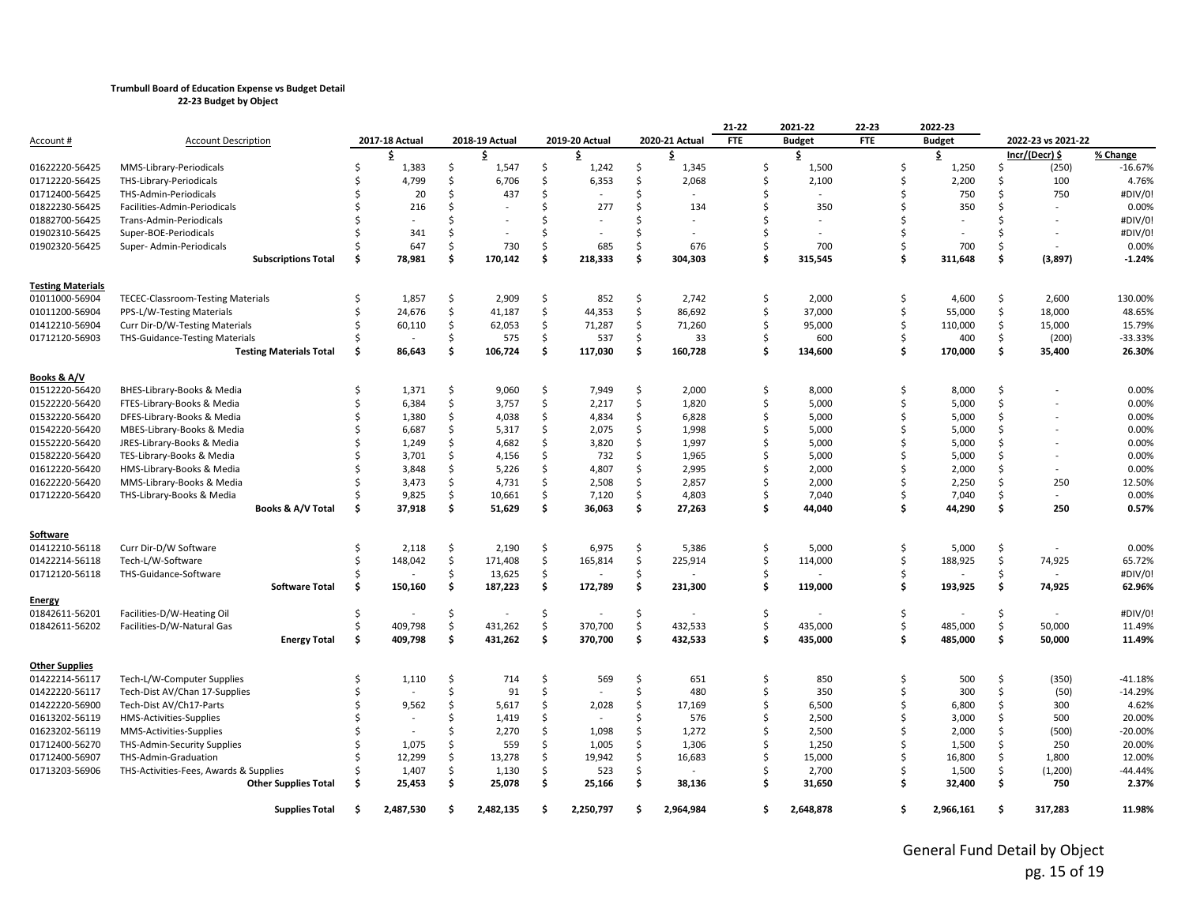|                          |                                          |     |                |               |                |               |                |     |                | 21-22      | 2021-22       | 22-23      |     | 2022-23       |               |                          |           |
|--------------------------|------------------------------------------|-----|----------------|---------------|----------------|---------------|----------------|-----|----------------|------------|---------------|------------|-----|---------------|---------------|--------------------------|-----------|
| Account #                | <b>Account Description</b>               |     | 2017-18 Actual |               | 2018-19 Actual |               | 2019-20 Actual |     | 2020-21 Actual | <b>FTE</b> | <b>Budget</b> | <b>FTE</b> |     | <b>Budget</b> |               | 2022-23 vs 2021-22       |           |
|                          |                                          |     | Ŝ              |               | Ŝ              |               | Ŝ              |     | \$             |            | \$            |            |     | \$            |               | Incr/(Decr) \$           | % Change  |
| 01622220-56425           | MMS-Library-Periodicals                  |     | 1,383          | \$            | 1,547          | \$            | 1,242          | \$  | 1,345          | \$         | 1,500         |            | Ś   | 1,250         | Ś.            | (250)                    | $-16.67%$ |
| 01712220-56425           | THS-Library-Periodicals                  |     | 4,799          | \$            | 6,706          | Ś.            | 6,353          | Ŝ   | 2,068          | Ś.         | 2,100         |            | \$  | 2,200         | Ŝ             | 100                      | 4.76%     |
| 01712400-56425           | THS-Admin-Periodicals                    |     | 20             | <sup>\$</sup> | 437            | Ŝ.            |                |     |                | Ŝ          |               |            | ς.  | 750           | Ŝ             | 750                      | #DIV/0!   |
| 01822230-56425           | Facilities-Admin-Periodicals             |     | 216            | Ś.            |                | Ŝ.            | 277            | Ŝ   | 134            | Ś          | 350           |            |     | 350           | Ŝ             |                          | 0.00%     |
| 01882700-56425           | Trans-Admin-Periodicals                  |     |                | Ś             |                | <sup>\$</sup> |                |     |                | Ś          |               |            |     |               | Ś             |                          | #DIV/0!   |
| 01902310-56425           | Super-BOE-Periodicals                    |     | 341            | Ś             |                | Ŝ.            |                | ς.  |                | Ś          |               |            |     |               | Ś             | $\overline{\phantom{a}}$ | #DIV/0!   |
| 01902320-56425           | Super-Admin-Periodicals                  |     | 647            | <sup>\$</sup> | 730            | Ŝ.            | 685            | Ŝ.  | 676            | Ś          | 700           |            |     | 700           | Ŝ             |                          | 0.00%     |
|                          | <b>Subscriptions Total</b>               | Ŝ   | 78,981         | Ŝ.            | 170,142        | Ś             | 218,333        | Ś.  | 304,303        | Ś          | 315,545       |            | Ś   | 311,648       | \$            | (3,897)                  | $-1.24%$  |
| <b>Testing Materials</b> |                                          |     |                |               |                |               |                |     |                |            |               |            |     |               |               |                          |           |
| 01011000-56904           | <b>TECEC-Classroom-Testing Materials</b> |     | 1,857          | Ś             | 2,909          | $\zeta$       | 852            | Ŝ.  | 2,742          | \$         | 2,000         |            | Ś.  | 4,600         | Ś             | 2,600                    | 130.00%   |
| 01011200-56904           | PPS-L/W-Testing Materials                |     | 24,676         | \$            | 41,187         | \$            | 44,353         | \$  | 86,692         | \$         | 37,000        |            | \$  | 55,000        | \$            | 18,000                   | 48.65%    |
| 01412210-56904           | Curr Dir-D/W-Testing Materials           |     | 60,110         | \$            | 62,053         | \$            | 71,287         | \$  | 71,260         | Ś.         | 95,000        |            | \$  | 110,000       | \$            | 15,000                   | 15.79%    |
| 01712120-56903           | <b>THS-Guidance-Testing Materials</b>    |     |                | Ś             | 575            | Ś.            | 537            | Ŝ   | 33             | Ś          | 600           |            |     | 400           | Ŝ             | (200)                    | -33.33%   |
|                          | <b>Testing Materials Total</b>           | Ś   | 86,643         | \$            | 106,724        | \$            | 117,030        | Ś.  | 160,728        | \$         | 134,600       |            | Ŝ   | 170,000       | \$            | 35,400                   | 26.30%    |
| Books & A/V              |                                          |     |                |               |                |               |                |     |                |            |               |            |     |               |               |                          |           |
| 01512220-56420           | BHES-Library-Books & Media               |     | 1,371          | Ŝ.            | 9,060          | Ś.            | 7,949          | Ŝ.  | 2,000          | Ś.         | 8,000         |            | Ŝ.  | 8,000         | Ŝ             |                          | 0.00%     |
| 01522220-56420           | FTES-Library-Books & Media               |     | 6,384          | Ś             | 3,757          | Ś.            | 2,217          | Ŝ   | 1,820          | Ś.         | 5,000         |            | Ś   | 5,000         | Ŝ             |                          | 0.00%     |
| 01532220-56420           | DFES-Library-Books & Media               |     | 1,380          | Ś             | 4,038          | Ś.            | 4,834          | Ŝ   | 6,828          | Ŝ.         | 5,000         |            | Ś   | 5,000         | Ŝ             |                          | 0.00%     |
| 01542220-56420           | MBES-Library-Books & Media               |     | 6,687          | Ś             | 5,317          | \$            | 2,075          | \$  | 1,998          | \$         | 5,000         |            | Ś   | 5,000         | Ś.            |                          | 0.00%     |
| 01552220-56420           | JRES-Library-Books & Media               |     | 1,249          | Ś             | 4,682          | Ś.            | 3,820          | Ŝ.  | 1,997          | Ś          | 5,000         |            | Ś   | 5,000         | Ŝ.            |                          | 0.00%     |
| 01582220-56420           | TES-Library-Books & Media                |     | 3,701          | Ś.            | 4,156          | Ŝ.            | 732            | Ŝ.  | 1,965          | \$         | 5,000         |            | ς   | 5,000         | Ŝ             |                          | 0.00%     |
| 01612220-56420           | HMS-Library-Books & Media                |     | 3,848          | Ś             | 5,226          | Ś.            | 4,807          | Ŝ   | 2,995          | Ś.         | 2,000         |            |     | 2,000         | Ŝ             |                          | 0.00%     |
| 01622220-56420           | MMS-Library-Books & Media                |     | 3,473          | \$            | 4,731          | Ś.            | 2,508          | Ŝ   | 2,857          | Ś.         | 2,000         |            | ς.  | 2,250         | Ŝ             | 250                      | 12.50%    |
| 01712220-56420           | THS-Library-Books & Media                |     | 9,825          | \$            | 10,661         | $\zeta$       | 7,120          | \$  | 4,803          | \$         | 7,040         |            | Ś   | 7,040         | Ŝ             | $\sim$                   | 0.00%     |
|                          | Books & A/V Total                        | Ś.  | 37,918         | \$            | 51,629         | \$            | 36,063         | \$  | 27,263         | \$         | 44,040        |            | Ś   | 44,290        | \$            | 250                      | 0.57%     |
| <u>Software</u>          |                                          |     |                |               |                |               |                |     |                |            |               |            |     |               |               |                          |           |
| 01412210-56118           | Curr Dir-D/W Software                    | Ś   | 2,118          | \$            | 2,190          | \$            | 6,975          | \$  | 5,386          | \$         | 5,000         |            | Ś.  | 5,000         | \$            |                          | 0.00%     |
| 01422214-56118           | Tech-L/W-Software                        | Ś   | 148,042        | Ś             | 171,408        | \$            | 165,814        | Ś   | 225,914        | \$         | 114,000       |            | Ś   | 188,925       | Ś             | 74,925                   | 65.72%    |
| 01712120-56118           | THS-Guidance-Software                    |     |                | \$            | 13,625         | \$            |                | Ŝ.  |                | \$         |               |            | Ś.  |               | Ŝ             |                          | #DIV/0!   |
|                          | <b>Software Total</b>                    | \$  | 150,160        | \$            | 187,223        | \$            | 172,789        | \$  | 231,300        | \$         | 119,000       |            | \$  | 193,925       | \$            | 74,925                   | 62.96%    |
| Energy                   |                                          |     |                |               |                |               |                |     |                |            |               |            |     |               |               |                          |           |
| 01842611-56201           | Facilities-D/W-Heating Oil               | Ś   |                | \$            |                | \$            |                | Ś   |                | \$         |               |            | Ś   |               | Ś             |                          | #DIV/0!   |
| 01842611-56202           | Facilities-D/W-Natural Gas               |     | 409,798        | \$            | 431,262        | Ś.            | 370,700        | Ś   | 432,533        | Ś          | 435,000       |            | Ś   | 485,000       | Ś             | 50,000                   | 11.49%    |
|                          | <b>Energy Total</b>                      | \$. | 409,798        | \$            | 431,262        | \$            | 370,700        | \$  | 432,533        | \$         | 435,000       |            | \$  | 485,000       | \$            | 50,000                   | 11.49%    |
| Other Supplies           |                                          |     |                |               |                |               |                |     |                |            |               |            |     |               |               |                          |           |
| 01422214-56117           | Tech-L/W-Computer Supplies               |     | 1,110          | Ŝ.            | 714            | Ŝ.            | 569            | Ŝ   | 651            | Ś.         | 850           |            | Ŝ.  | 500           | Ŝ.            | (350)                    | $-41.18%$ |
| 01422220-56117           | Tech-Dist AV/Chan 17-Supplies            |     |                | Ś             | 91             | Ś.            |                | Ŝ.  | 480            | Ŝ.         | 350           |            | Ś   | 300           | \$            | (50)                     | $-14.29%$ |
| 01422220-56900           | Tech-Dist AV/Ch17-Parts                  |     | 9,562          | Ŝ.            | 5,617          | Ś.            | 2,028          | Ŝ   | 17,169         | \$         | 6,500         |            | Ś   | 6,800         | Ŝ.            | 300                      | 4.62%     |
| 01613202-56119           | HMS-Activities-Supplies                  |     |                | Ś             | 1,419          | \$            |                | Ś   | 576            | \$         | 2,500         |            | Ś   | 3,000         | Ŝ             | 500                      | 20.00%    |
| 01623202-56119           | MMS-Activities-Supplies                  |     |                | Ś             | 2,270          | Ś.            | 1.098          | Ŝ.  | 1,272          | Ś          | 2,500         |            | ς   | 2.000         | <sup>\$</sup> | (500)                    | $-20.00%$ |
| 01712400-56270           | THS-Admin-Security Supplies              |     | 1,075          | \$            | 559            | Ś.            | 1,005          | Ŝ   | 1,306          | \$         | 1,250         |            | ς   | 1,500         | Ŝ             | 250                      | 20.00%    |
| 01712400-56907           | THS-Admin-Graduation                     |     | 12,299         | Ś             | 13,278         | Ś.            | 19,942         | Ŝ   | 16,683         | Ś          | 15,000        |            | ς.  | 16,800        | Ŝ             | 1,800                    | 12.00%    |
| 01713203-56906           | THS-Activities-Fees, Awards & Supplies   |     | 1,407          | \$            | 1,130          | Ś.            | 523            | Ŝ.  |                | Ś          | 2,700         |            | Ś   | 1,500         | Ŝ.            | (1,200)                  | -44.44%   |
|                          | <b>Other Supplies Total</b>              | Ś.  | 25,453         | \$            | 25,078         | \$            | 25,166         | \$  | 38,136         | \$         | 31,650        |            | Ŝ   | 32,400        | \$            | 750                      | 2.37%     |
|                          | <b>Supplies Total</b>                    | Ŝ   | 2.487.530      | Ŝ.            | 2.482.135      | Ŝ.            | 2.250.797      | .\$ | 2,964,984      | Ś.         | 2,648,878     |            | \$. | 2,966,161     | Ŝ             | 317.283                  | 11.98%    |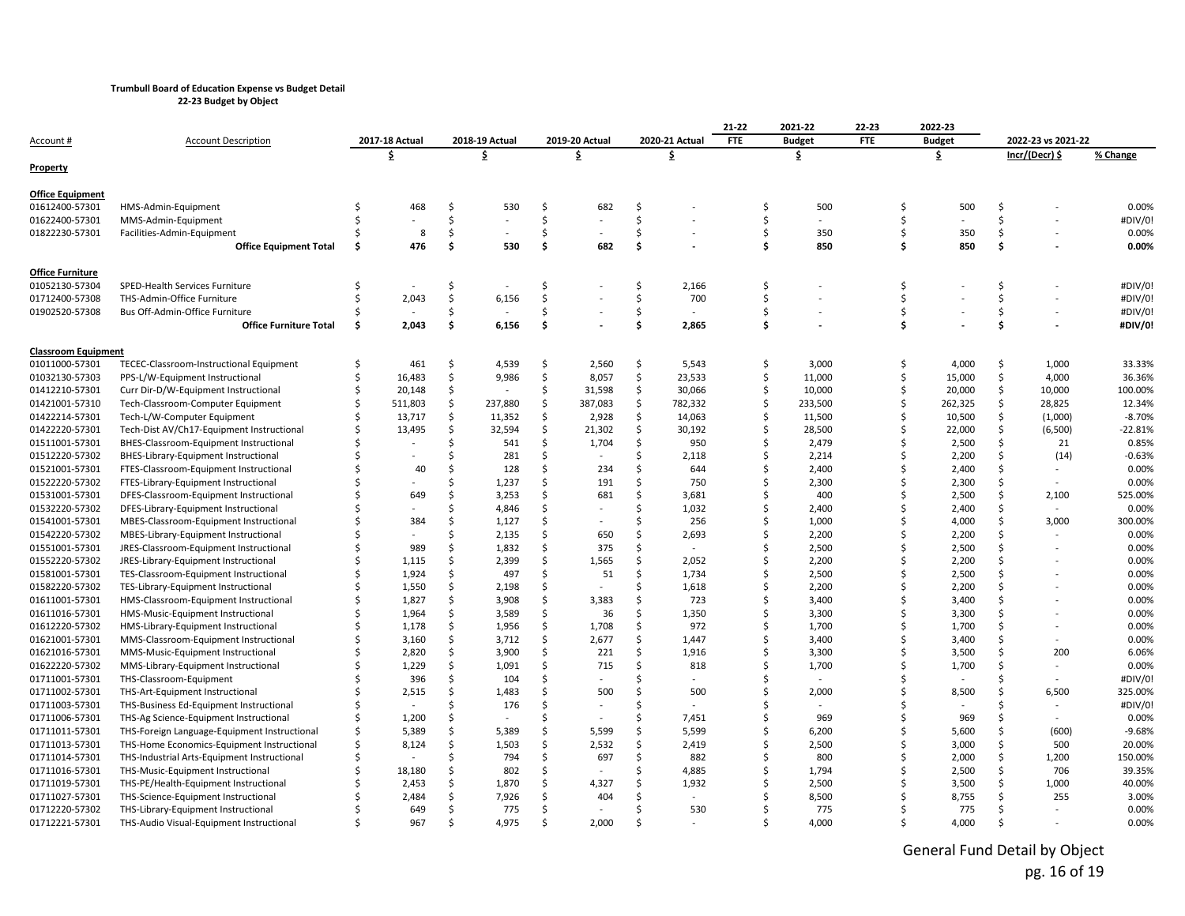**22-23 Budget by Object**

|                            |                                              |                |         |                |         |                |         |                |         | 21-22      | 2021-22       | 22-23      |         | 2022-23       |               |                          |           |
|----------------------------|----------------------------------------------|----------------|---------|----------------|---------|----------------|---------|----------------|---------|------------|---------------|------------|---------|---------------|---------------|--------------------------|-----------|
| Account #                  | <b>Account Description</b>                   | 2017-18 Actual |         | 2018-19 Actual |         | 2019-20 Actual |         | 2020-21 Actual |         | <b>FTE</b> | <b>Budget</b> | <b>FTE</b> |         | <b>Budget</b> |               | 2022-23 vs 2021-22       |           |
|                            |                                              |                | \$      |                | \$      |                | \$      |                | \$      |            | \$            |            |         | \$            |               | Incr/(Decr) \$           | % Change  |
| Property                   |                                              |                |         |                |         |                |         |                |         |            |               |            |         |               |               |                          |           |
| <b>Office Equipment</b>    |                                              |                |         |                |         |                |         |                |         |            |               |            |         |               |               |                          |           |
| 01612400-57301             | HMS-Admin-Equipment                          | Ś              | 468     | \$             | 530     | Ś              | 682     | \$             |         | Ś          | 500           |            | Ŝ       | 500           | Ŝ.            |                          | 0.00%     |
| 01622400-57301             | MMS-Admin-Equipment                          |                |         | Ś              |         | Ś.             |         | \$             |         | Ś          |               |            | Ŝ.      |               | Ŝ.            |                          | #DIV/0!   |
| 01822230-57301             | Facilities-Admin-Equipment                   | Ś              | 8       | \$             |         | \$             |         | \$             |         | Ś          | 350           |            | Ŝ.      | 350           | \$            |                          | 0.00%     |
|                            | <b>Office Equipment Total</b>                | \$             | 476     | \$             | 530     | \$             | 682     | \$             |         | \$         | 850           |            | Ś.      | 850           | \$            |                          | 0.00%     |
| Office Furniture           |                                              |                |         |                |         |                |         |                |         |            |               |            |         |               |               |                          |           |
| 01052130-57304             | SPED-Health Services Furniture               | S              |         | \$             |         | \$             |         | \$             | 2,166   | \$         |               |            | \$      |               | \$.           |                          | #DIV/0!   |
| 01712400-57308             | THS-Admin-Office Furniture                   | Ŝ              | 2,043   | \$             | 6,156   | \$             |         | \$             | 700     | Ś          |               |            | Ŝ.      |               | Ŝ.            |                          | #DIV/0!   |
| 01902520-57308             | Bus Off-Admin-Office Furniture               |                |         | \$             |         | \$             |         | \$             | $\sim$  | Ś          |               |            | Ś       |               | \$            |                          | #DIV/0!   |
|                            | <b>Office Furniture Total</b>                | Ś              | 2,043   | Ś              | 6,156   | Ś              |         | \$             | 2,865   | Ś          |               |            | \$      |               | Ś             |                          | #DIV/0!   |
| <b>Classroom Equipment</b> |                                              |                |         |                |         |                |         |                |         |            |               |            |         |               |               |                          |           |
| 01011000-57301             | TECEC-Classroom-Instructional Equipment      | \$             | 461     | \$             | 4,539   | \$             | 2,560   | \$             | 5,543   | \$         | 3,000         |            | \$      | 4,000         | \$            | 1,000                    | 33.33%    |
| 01032130-57303             | PPS-L/W-Equipment Instructional              | Ś              | 16,483  | \$             | 9,986   | \$             | 8,057   | \$             | 23,533  | Ś.         | 11,000        |            | Ŝ.      | 15,000        | Ś             | 4,000                    | 36.36%    |
| 01412210-57301             | Curr Dir-D/W-Equipment Instructional         |                | 20,148  | \$             |         | Ś              | 31,598  | \$             | 30,066  | Ś          | 10,000        |            | Ŝ       | 20,000        | Ŝ             | 10,000                   | 100.00%   |
| 01421001-57310             | Tech-Classroom-Computer Equipment            |                | 511,803 | \$             | 237,880 | \$             | 387,083 | \$             | 782,332 | \$         | 233,500       |            | Ŝ.      | 262,325       | \$            | 28,825                   | 12.34%    |
| 01422214-57301             | Tech-L/W-Computer Equipment                  |                | 13,717  | \$             | 11,352  | \$             | 2,928   | \$             | 14,063  |            | 11,500        |            | Ŝ       | 10,500        | Ŝ             | (1,000)                  | $-8.70%$  |
| 01422220-57301             | Tech-Dist AV/Ch17-Equipment Instructional    |                | 13,495  | \$             | 32,594  | \$             | 21,302  | \$             | 30,192  | Ś          | 28,500        |            | \$      | 22,000        | Ŝ.            | (6,500)                  | $-22.81%$ |
| 01511001-57301             | BHES-Classroom-Equipment Instructional       |                |         | Ś              | 541     | Ś.             | 1,704   | Ŝ.             | 950     | Ś          | 2,479         |            | Ŝ.      | 2,500         | Ŝ             | 21                       | 0.85%     |
| 01512220-57302             | BHES-Library-Equipment Instructional         |                |         | \$             | 281     | Ś              |         | Ś.             | 2,118   |            | 2,214         |            | ς.      | 2,200         | Ŝ             | (14)                     | $-0.63%$  |
| 01521001-57301             | FTES-Classroom-Equipment Instructional       | Ś              | 40      | Ś.             | 128     | Ś              | 234     | \$             | 644     | Ś          | 2,400         |            | Ŝ.      | 2,400         | Ŝ.            |                          | 0.00%     |
| 01522220-57302             | FTES-Library-Equipment Instructional         |                |         | \$             | 1,237   | Ś              | 191     | \$             | 750     | Ś          | 2,300         |            | Ŝ.      | 2,300         | Ŝ.            |                          | 0.00%     |
| 01531001-57301             | DFES-Classroom-Equipment Instructional       | Ŝ              | 649     | \$             | 3,253   | Ś.             | 681     | Ŝ.             | 3,681   | Ś          | 400           |            | ς.      | 2,500         | Ŝ             | 2,100                    | 525.00%   |
| 01532220-57302             | DFES-Library-Equipment Instructional         | Ś              |         | \$             | 4,846   | \$             |         | Ś              | 1,032   | Ś          | 2,400         |            | $\zeta$ | 2,400         | Ŝ             | $\sim$                   | 0.00%     |
| 01541001-57301             | MBES-Classroom-Equipment Instructional       | Ś              | 384     | Ś.             | 1,127   | Ś.             | $\sim$  | Ś              | 256     | Ś          | 1,000         |            | Ŝ.      | 4,000         | Ŝ             | 3,000                    | 300.00%   |
| 01542220-57302             | MBES-Library-Equipment Instructional         | Ś              |         | \$             | 2,135   | \$             | 650     | Ś              | 2,693   | Ś          | 2,200         |            | \$      | 2,200         | Ŝ.            |                          | 0.00%     |
| 01551001-57301             | JRES-Classroom-Equipment Instructional       |                | 989     | \$             | 1,832   | Ś              | 375     | Ś              |         |            | 2,500         |            |         | 2,500         | <sup>\$</sup> |                          | 0.00%     |
| 01552220-57302             | JRES-Library-Equipment Instructional         | Ŝ              | 1,115   | Ś              | 2,399   | Ś.             | 1,565   | Ŝ.             | 2,052   | Ś          | 2,200         |            |         | 2,200         | S.            |                          | 0.00%     |
| 01581001-57301             | TES-Classroom-Equipment Instructional        |                | 1,924   | \$             | 497     | Ś              | 51      | \$             | 1,734   | Ś          | 2,500         |            | \$      | 2,500         | Ŝ             |                          | 0.00%     |
| 01582220-57302             | TES-Library-Equipment Instructional          |                | 1,550   | \$             | 2,198   | \$             |         | Ś              | 1,618   | Ś          | 2,200         |            | Ŝ.      | 2,200         | Ŝ             |                          | 0.00%     |
| 01611001-57301             | HMS-Classroom-Equipment Instructional        |                | 1,827   | \$             | 3,908   | \$             | 3,383   | Ś              | 723     | Ś          | 3,400         |            | \$      | 3,400         | <sup>\$</sup> |                          | 0.00%     |
| 01611016-57301             | HMS-Music-Equipment Instructional            |                | 1,964   | \$             | 3,589   | Ś              | 36      | Ś.             | 1,350   | Ś          | 3,300         |            | ς.      | 3,300         |               |                          | 0.00%     |
| 01612220-57302             | HMS-Library-Equipment Instructional          |                | 1,178   | \$             | 1,956   | \$             | 1,708   | Ŝ.             | 972     |            | 1,700         |            |         | 1,700         | Ŝ             |                          | 0.00%     |
| 01621001-57301             | MMS-Classroom-Equipment Instructional        | Ś              | 3,160   | \$             | 3,712   | \$             | 2,677   | \$             | 1,447   | Ś          | 3,400         |            | Ŝ.      | 3,400         | Ŝ             |                          | 0.00%     |
| 01621016-57301             | MMS-Music-Equipment Instructional            |                | 2,820   | \$             | 3,900   | Ś              | 221     | \$.            | 1,916   |            | 3,300         |            | \$      | 3,500         | <sup>\$</sup> | 200                      | 6.06%     |
| 01622220-57302             | MMS-Library-Equipment Instructional          |                | 1,229   | \$             | 1,091   | Ś.             | 715     | Ŝ.             | 818     | Ś          | 1,700         |            | ς.      | 1,700         | Ŝ             | $\overline{\phantom{a}}$ | 0.00%     |
| 01711001-57301             | THS-Classroom-Equipment                      |                | 396     | \$             | 104     | Ś              |         | Ś              |         |            |               |            |         |               | S.            |                          | #DIV/0!   |
| 01711002-57301             | THS-Art-Equipment Instructional              |                | 2,515   | Ś.             | 1,483   | Ś.             | 500     | Ŝ.             | 500     | Ś          | 2,000         |            | Ŝ       | 8,500         | Ŝ             | 6,500                    | 325.00%   |
| 01711003-57301             | THS-Business Ed-Equipment Instructional      | Ś              |         | Ś              | 176     | \$             |         | \$             |         | Ś          |               |            |         |               | Ŝ             |                          | #DIV/0!   |
| 01711006-57301             | THS-Ag Science-Equipment Instructional       |                | 1,200   | Ś.             |         | Ś              |         | Ś.             | 7,451   | Ś          | 969           |            | ς.      | 969           | Ŝ             | $\overline{\phantom{a}}$ | 0.00%     |
| 01711011-57301             | THS-Foreign Language-Equipment Instructional | \$             | 5,389   | \$             | 5,389   | Ś              | 5,599   | \$             | 5,599   | Ś          | 6,200         |            | ς.      | 5,600         | Ŝ             | (600)                    | $-9.68%$  |
| 01711013-57301             | THS-Home Economics-Equipment Instructional   | Ś              | 8,124   | \$             | 1,503   | Ś.             | 2,532   | \$             | 2,419   | Ś          | 2,500         |            | Ŝ.      | 3,000         | Ŝ.            | 500                      | 20.00%    |
| 01711014-57301             | THS-Industrial Arts-Equipment Instructional  |                |         | \$             | 794     | Ś              | 697     | \$             | 882     |            | 800           |            | Ŝ       | 2,000         | Ŝ             | 1,200                    | 150.00%   |
| 01711016-57301             | THS-Music-Equipment Instructional            |                | 18,180  | \$             | 802     | Ś              |         | Ś              | 4,885   | Ś          | 1,794         |            |         | 2,500         | <sup>\$</sup> | 706                      | 39.35%    |
| 01711019-57301             | THS-PE/Health-Equipment Instructional        |                | 2,453   | Ś              | 1,870   | Ś              | 4,327   |                | 1,932   |            | 2,500         |            |         | 3,500         |               | 1,000                    | 40.00%    |
| 01711027-57301             | THS-Science-Equipment Instructional          |                | 2,484   | Ś              | 7,926   | Ś              | 404     |                |         |            | 8,500         |            |         | 8,755         |               | 255                      | 3.00%     |
| 01712220-57302             | THS-Library-Equipment Instructional          |                | 649     | \$             | 775     | Ś              |         | Ś              | 530     |            | 775           |            |         | 775           | Ŝ             |                          | 0.00%     |
| 01712221-57301             | THS-Audio Visual-Equipment Instructional     |                | 967     | \$             | 4.975   | \$             | 2.000   | ς.             |         |            | 4,000         |            | \$      | 4.000         | $\zeta$       |                          | 0.00%     |

General Fund Detail by Object pg. 16 of 19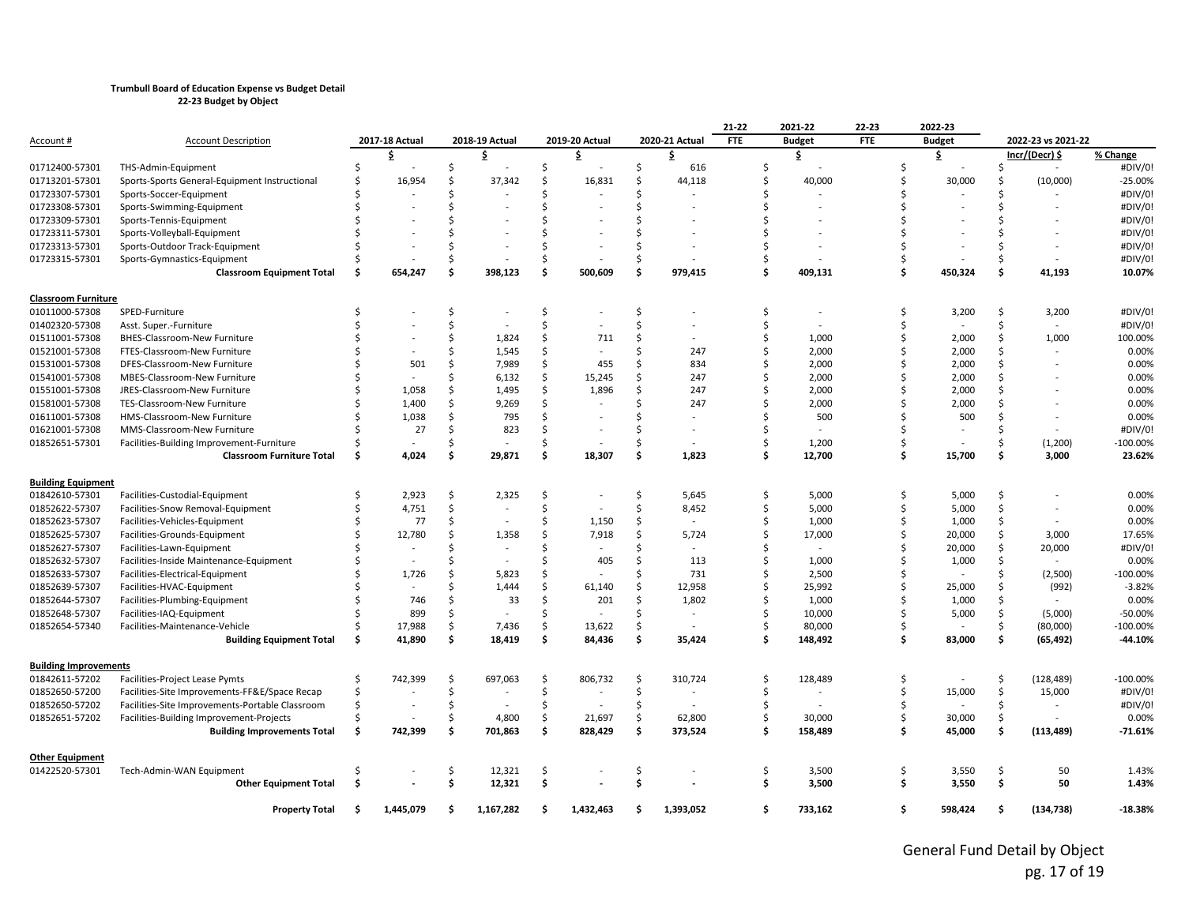|                              |                                                 |    |                |     |                          |    |                |    |                          | 21-22      | 2021-22       | 22-23      |    | 2022-23       |               |                          |             |
|------------------------------|-------------------------------------------------|----|----------------|-----|--------------------------|----|----------------|----|--------------------------|------------|---------------|------------|----|---------------|---------------|--------------------------|-------------|
| <u>Account</u> #             | <b>Account Description</b>                      |    | 2017-18 Actual |     | 2018-19 Actual           |    | 2019-20 Actual |    | 2020-21 Actual           | <b>FTE</b> | <b>Budget</b> | <b>FTE</b> |    | <b>Budget</b> |               | 2022-23 vs 2021-22       |             |
|                              |                                                 |    | \$             |     | s                        |    | \$             |    | Ş.                       |            | \$            |            |    | \$.           |               | Incr/(Decr) \$           | % Change    |
| 01712400-57301               | THS-Admin-Equipment                             |    |                | \$  |                          | \$ |                | \$ | 616                      | Ś          |               | Ŝ.         |    |               | Ŝ             | $\sim$                   | #DIV/0!     |
| 01713201-57301               | Sports-Sports General-Equipment Instructional   |    | 16,954         | Ś   | 37,342                   | Ś  | 16,831         | \$ | 44,118                   | Ś          | 40,000        |            |    | 30,000        | Ŝ             | (10,000)                 | $-25.00%$   |
| 01723307-57301               | Sports-Soccer-Equipment                         |    |                | Ś   |                          | Ś  |                | Ś  |                          |            |               |            |    |               | Ŝ             |                          | #DIV/0!     |
| 01723308-57301               | Sports-Swimming-Equipment                       |    |                | \$  |                          | ς  |                | Ś  |                          |            |               |            |    |               | S.            |                          | #DIV/0!     |
| 01723309-57301               | Sports-Tennis-Equipment                         |    |                |     |                          |    |                | Ś  |                          |            |               |            |    |               |               |                          | #DIV/0!     |
| 01723311-57301               | Sports-Volleyball-Equipment                     |    |                | ς.  |                          |    |                | Ś  |                          |            |               |            |    |               |               |                          | #DIV/0!     |
| 01723313-57301               | Sports-Outdoor Track-Equipment                  |    |                | \$  |                          | Ś  |                | Ś  |                          |            |               |            |    |               | <sub>S</sub>  |                          | #DIV/0!     |
| 01723315-57301               | Sports-Gymnastics-Equipment                     |    |                | \$  |                          | Ś  |                | \$ |                          | Ś          |               | Ŝ.         |    |               | <sup>\$</sup> |                          | #DIV/0!     |
|                              | <b>Classroom Equipment Total</b>                |    | 654,247        | Ś   | 398,123                  | \$ | 500,609        | \$ | 979,415                  |            | Ś<br>409,131  | Ś.         |    | 450,324       | \$            | 41,193                   | 10.07%      |
| <b>Classroom Furniture</b>   |                                                 |    |                |     |                          |    |                |    |                          |            |               |            |    |               |               |                          |             |
| 01011000-57308               | SPED-Furniture                                  | -S |                | Ŝ.  |                          | Ś  |                | Ś. |                          | Ś          |               | Ŝ          |    | 3,200         | \$            | 3,200                    | #DIV/0!     |
| 01402320-57308               | Asst. Super.-Furniture                          |    |                | Ś   |                          | Ś  |                | Ś  |                          | Ś          |               | $\zeta$    |    |               | <sup>\$</sup> |                          | #DIV/0!     |
| 01511001-57308               | BHES-Classroom-New Furniture                    |    |                | Ŝ   | 1,824                    | Ś  | 711            | Ś. | ٠                        | Ś          | 1,000         | Ŝ.         |    | 2,000         | Ŝ             | 1,000                    | 100.00%     |
| 01521001-57308               | FTES-Classroom-New Furniture                    |    |                | Ś   | 1,545                    | \$ |                | Ś  | 247                      | Ś          | 2,000         | Ŝ.         |    | 2,000         | Ŝ.            |                          | 0.00%       |
| 01531001-57308               | DFES-Classroom-New Furniture                    |    | 501            | Ś   | 7,989                    | \$ | 455            | Ś  | 834                      | Ś          | 2,000         | \$         |    | 2,000         | Ŝ             |                          | 0.00%       |
| 01541001-57308               | MBES-Classroom-New Furniture                    |    |                | Ś   | 6,132                    | \$ | 15,245         | Ś  | 247                      | Ś          | 2,000         |            |    | 2,000         | Ŝ.            |                          | 0.00%       |
| 01551001-57308               | JRES-Classroom-New Furniture                    |    | 1,058          | \$  | 1,495                    | \$ | 1,896          | Ś  | 247                      |            | 2,000         |            |    | 2,000         | Š,            |                          | 0.00%       |
| 01581001-57308               | TES-Classroom-New Furniture                     |    | 1,400          | \$. | 9,269                    | Ŝ. |                | Ś  | 247                      |            | 2,000         |            |    | 2,000         | Ŝ             |                          | 0.00%       |
| 01611001-57308               | HMS-Classroom-New Furniture                     |    | 1,038          | Ś.  | 795                      | Ś  |                | Ś  |                          |            | 500           |            |    | 500           | Ŝ             |                          | 0.00%       |
| 01621001-57308               | MMS-Classroom-New Furniture                     |    | 27             | Ś.  | 823                      | Ś  |                | Ś. |                          | Ś          |               | Š.         |    |               | Ŝ             |                          | #DIV/0!     |
| 01852651-57301               | Facilities-Building Improvement-Furniture       |    |                | Ś.  | $\overline{\phantom{a}}$ | \$ |                | Ś  | $\overline{\phantom{a}}$ | Ś          | 1,200         | Ŝ.         |    |               | Ŝ.            | (1,200)                  | $-100.00\%$ |
|                              | <b>Classroom Furniture Total</b>                | Ŝ. | 4,024          | \$  | 29,871                   | \$ | 18,307         | \$ | 1,823                    |            | \$<br>12,700  | Ś          |    | 15,700        | \$            | 3,000                    | 23.62%      |
| <b>Building Equipment</b>    |                                                 |    |                |     |                          |    |                |    |                          |            |               |            |    |               |               |                          |             |
| 01842610-57301               | Facilities-Custodial-Equipment                  |    | 2,923          | \$  | 2,325                    | \$ |                | \$ | 5,645                    |            | \$<br>5,000   | Ŝ          |    | 5,000         | Ŝ.            |                          | 0.00%       |
| 01852622-57307               | Facilities-Snow Removal-Equipment               |    | 4,751          | Ś.  |                          | \$ | $\overline{a}$ | Ś. | 8,452                    |            | Ś<br>5,000    | Ŝ.         |    | 5,000         | Ŝ.            | $\overline{\phantom{a}}$ | 0.00%       |
| 01852623-57307               | Facilities-Vehicles-Equipment                   |    | 77             | Ś.  |                          | Ś  | 1,150          | Ś. |                          | Ś          | 1,000         | Ŝ.         |    | 1,000         | Ŝ             | $\overline{\phantom{a}}$ | 0.00%       |
| 01852625-57307               | Facilities-Grounds-Equipment                    |    | 12,780         | \$  | 1,358                    | Ś  | 7,918          | Ś. | 5,724                    |            | Ś<br>17,000   |            |    | 20,000        | Ŝ             | 3,000                    | 17.65%      |
| 01852627-57307               | Facilities-Lawn-Equipment                       |    |                | Ś   |                          | Ś  |                | Ś  |                          |            |               | $\zeta$    |    | 20,000        | Ŝ.            | 20,000                   | #DIV/0!     |
| 01852632-57307               | Facilities-Inside Maintenance-Equipment         |    |                | Ś   |                          | Ś  | 405            | Ś. | 113                      | Ś          | 1,000         | Ŝ.         |    | 1,000         | Ŝ             |                          | 0.00%       |
| 01852633-57307               | Facilities-Electrical-Equipment                 |    | 1,726          | Ś   | 5,823                    | Ś  |                | Ś  | 731                      | Ś          | 2,500         | \$         |    |               | Ŝ.            | (2,500)                  | $-100.00\%$ |
| 01852639-57307               | Facilities-HVAC-Equipment                       |    |                | \$  | 1,444                    | Ś  | 61,140         | Ś  | 12,958                   |            | Ś<br>25,992   |            |    | 25,000        | Ŝ             | (992)                    | $-3.82%$    |
| 01852644-57307               | Facilities-Plumbing-Equipment                   |    | 746            | \$. | 33                       | Ś  | 201            | Ś  | 1,802                    |            | 1,000         |            |    | 1,000         | Ŝ             |                          | 0.00%       |
| 01852648-57307               | Facilities-IAQ-Equipment                        |    | 899            | Ś.  |                          | Ś  |                | Ś  |                          | Ś          | 10,000        | Š.         |    | 5,000         | Ŝ.            | (5,000)                  | $-50.00%$   |
| 01852654-57340               | Facilities-Maintenance-Vehicle                  |    | 17,988         | \$  | 7,436                    | Ś  | 13,622         | \$ |                          |            | 80,000        | Ŝ.         |    |               | Ŝ             | (80,000)                 | $-100.00\%$ |
|                              | <b>Building Equipment Total</b>                 |    | 41,890         | \$  | 18,419                   | \$ | 84,436         | \$ | 35,424                   |            | Ś<br>148,492  | \$         |    | 83,000        | \$            | (65, 492)                | -44.10%     |
| <b>Building Improvements</b> |                                                 |    |                |     |                          |    |                |    |                          |            |               |            |    |               |               |                          |             |
| 01842611-57202               | Facilities-Project Lease Pymts                  |    | 742,399        | \$  | 697,063                  | \$ | 806,732        | \$ | 310,724                  | Ś          | 128,489       | Ŝ.         |    |               | \$            | (128, 489)               | $-100.00\%$ |
| 01852650-57200               | Facilities-Site Improvements-FF&E/Space Recap   |    |                | Ś.  |                          | Ŝ. |                | \$ |                          | Ś          |               | Ŝ.         |    | 15,000        | Ŝ.            | 15,000                   | #DIV/0!     |
| 01852650-57202               | Facilities-Site Improvements-Portable Classroom |    |                | \$  |                          | Ś  |                | \$ |                          | Ś          |               | Ŝ          |    |               | Ŝ.            |                          | #DIV/0!     |
| 01852651-57202               | Facilities-Building Improvement-Projects        |    |                | Ś.  | 4,800                    | Ś. | 21,697         | \$ | 62,800                   |            | Ś.<br>30,000  | Ŝ.         |    | 30,000        | Ŝ             |                          | 0.00%       |
|                              | <b>Building Improvements Total</b>              | Ŝ  | 742,399        | \$  | 701,863                  | \$ | 828,429        | \$ | 373,524                  |            | 158,489       | Ŝ          |    | 45,000        | \$            | (113, 489)               | $-71.61%$   |
| <b>Other Equipment</b>       |                                                 |    |                |     |                          |    |                |    |                          |            |               |            |    |               |               |                          |             |
| 01422520-57301               | Tech-Admin-WAN Equipment                        |    |                | \$  | 12,321                   | \$ |                | \$ |                          | \$         | 3,500         | \$         |    | 3,550         | \$            | 50                       | 1.43%       |
|                              | <b>Other Equipment Total</b>                    | Ŝ  |                | \$  | 12,321                   | \$ |                | \$ |                          |            | Ś.<br>3,500   |            | Ŝ. | 3,550         | \$.           | 50                       | 1.43%       |
|                              | <b>Property Total</b>                           | S  | 1,445,079      | \$  | 1,167,282                | Ŝ  | 1,432,463      | Ŝ  | 1,393,052                |            | \$<br>733,162 |            | Ŝ. | 598,424       | \$.           | (134, 738)               | $-18.38%$   |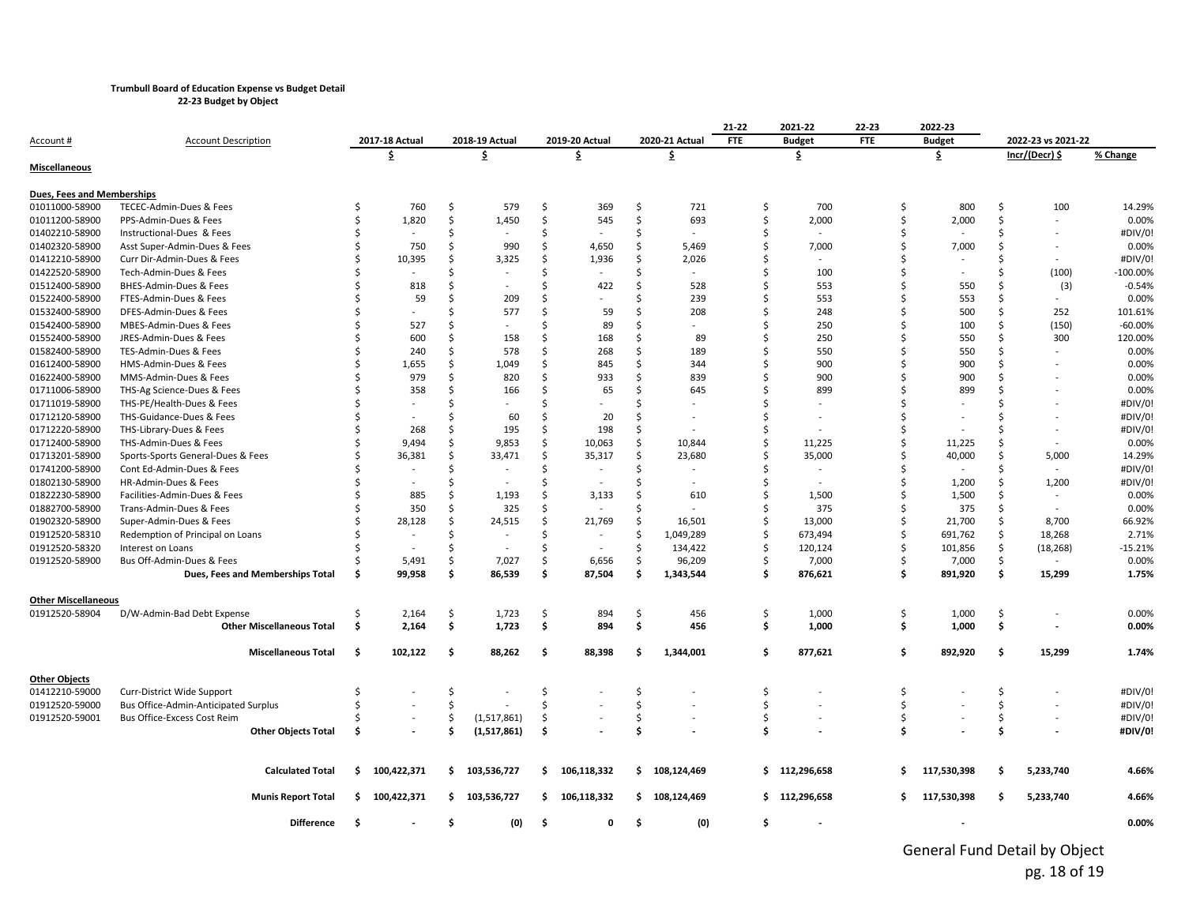**22-23 Budget by Object**

|                                              |                                      |     |                          |     |                          |     |                |    |                          | 21-22      | 2021-22                  | 22-23      |    | 2022-23       |    |                          |             |
|----------------------------------------------|--------------------------------------|-----|--------------------------|-----|--------------------------|-----|----------------|----|--------------------------|------------|--------------------------|------------|----|---------------|----|--------------------------|-------------|
| Account #                                    | <b>Account Description</b>           |     | 2017-18 Actual           |     | 2018-19 Actual           |     | 2019-20 Actual |    | 2020-21 Actual           | <b>FTE</b> | <b>Budget</b>            | <b>FTE</b> |    | <b>Budget</b> |    | 2022-23 vs 2021-22       |             |
|                                              |                                      |     | \$.                      |     | \$                       |     | \$             |    | \$                       |            | \$                       |            |    | \$.           |    | Incr/(Decr) \$           | % Change    |
| Miscellaneous                                |                                      |     |                          |     |                          |     |                |    |                          |            |                          |            |    |               |    |                          |             |
| Dues, Fees and Memberships                   |                                      |     |                          |     |                          |     |                |    |                          |            |                          |            |    |               |    |                          |             |
| 01011000-58900                               | TECEC-Admin-Dues & Fees              | Ś   | 760                      | Ŝ.  | 579                      | Ś.  | 369            | Ŝ. | 721                      | Ś.         | 700                      |            | Ś  | 800           | \$ | 100                      | 14.29%      |
| 01011200-58900                               | PPS-Admin-Dues & Fees                | Ś   | 1,820                    | Ś   | 1,450                    | Ś   | 545            | Ś  | 693                      | Ś          | 2,000                    |            | \$ | 2,000         | Ś  | $\overline{\phantom{a}}$ | 0.00%       |
| 01402210-58900                               | Instructional-Dues & Fees            | Ś   |                          | Ś   |                          | Ś   |                | Ś  |                          | Ŝ.         |                          |            | Ś. |               | Ś  |                          | #DIV/0!     |
| 01402320-58900                               | Asst Super-Admin-Dues & Fees         |     | 750                      | Ŝ.  | 990                      | Ŝ   | 4,650          | Ś  | 5,469                    | Ś          | 7,000                    |            | Ś  | 7,000         | Ś  |                          | 0.00%       |
| 01412210-58900                               | Curr Dir-Admin-Dues & Fees           |     | 10,395                   | Ś   | 3,325                    | Ś   | 1,936          | Ś  | 2,026                    |            | $\overline{\phantom{a}}$ |            | Ś  |               | Ś  |                          | #DIV/0!     |
| 01422520-58900                               | Tech-Admin-Dues & Fees               |     |                          | Ś   |                          | .S  |                | Ś  |                          |            | 100                      |            | Ŝ. |               | Ś. | (100)                    | $-100.00\%$ |
| 01512400-58900                               | BHES-Admin-Dues & Fees               |     | 818                      | Ś   |                          | Ś   | 422            | Ś  | 528                      |            | 553                      |            | Ś  | 550           | \$ | (3)                      | $-0.54%$    |
| 01522400-58900                               | FTES-Admin-Dues & Fees               |     | 59                       | Ś   | 209                      | ς.  |                | ς  | 239                      |            | 553                      |            | ς. | 553           | \$ | $\sim$                   | 0.00%       |
| 01532400-58900                               | DFES-Admin-Dues & Fees               |     |                          | Ś   | 577                      | Ś   | 59             | Ś  | 208                      |            | 248                      |            | Ś  | 500           | \$ | 252                      | 101.61%     |
| 01542400-58900                               | MBES-Admin-Dues & Fees               |     | 527                      | Ś   |                          | ς   | 89             | Ś  | $\sim$                   |            | 250                      |            | Ŝ. | 100           | \$ | (150)                    | $-60.00%$   |
| 01552400-58900                               | JRES-Admin-Dues & Fees               |     | 600                      | Ś   | 158                      | Ś   | 168            | Ś  | 89                       |            | 250                      |            | Ś  | 550           | Ś  | 300                      | 120.00%     |
| 01582400-58900                               | TES-Admin-Dues & Fees                |     | 240                      | Ŝ   | 578                      | ς.  | 268            | Ś  | 189                      |            | 550                      |            | \$ | 550           | ς. | $\overline{\phantom{a}}$ | 0.00%       |
| 01612400-58900                               | HMS-Admin-Dues & Fees                |     | 1,655                    | Ś   | 1,049                    | Ś   | 845            | Ś  | 344                      |            | 900                      |            | Ś  | 900           | Ś  |                          | 0.00%       |
| 01622400-58900                               | MMS-Admin-Dues & Fees                |     | 979                      | \$  | 820                      | Ŝ.  | 933            | \$ | 839                      |            | 900                      |            | Ś  | 900           | Ś  |                          | 0.00%       |
| 01711006-58900                               | THS-Ag Science-Dues & Fees           |     | 358                      | Ś   | 166                      | Ś   | 65             | Ś  | 645                      |            | 899                      |            | Ś  | 899           | Ś  |                          | 0.00%       |
| 01711019-58900                               | THS-PE/Health-Dues & Fees            |     |                          | \$  |                          | ς.  |                |    |                          |            |                          |            | ς. |               | ς. |                          | #DIV/0!     |
| 01712120-58900                               | THS-Guidance-Dues & Fees             |     |                          | Ś   | 60                       | Ś   | 20             | Ś  |                          |            |                          |            | Ś  |               | Ś  |                          | #DIV/0!     |
| 01712220-58900                               | THS-Library-Dues & Fees              |     | 268                      | Ś   | 195                      | Ś   | 198            | Ś  |                          | Ŝ          |                          |            | Ś  |               | Ś  |                          | #DIV/0!     |
| 01712400-58900                               | THS-Admin-Dues & Fees                |     | 9,494                    | Ś   | 9,853                    | Ś.  | 10,063         | Ś  | 10,844                   | Ś.         | 11,225                   |            | Ś  | 11,225        | Ś  | $\overline{\phantom{a}}$ | 0.00%       |
| 01713201-58900                               | Sports-Sports General-Dues & Fees    |     | 36,381                   | Ŝ.  | 33,471                   | Ś   | 35,317         | Ŝ  | 23,680                   | Ś.         | 35,000                   |            | Ś  | 40,000        | Ś. | 5,000                    | 14.29%      |
| 01741200-58900                               | Cont Ed-Admin-Dues & Fees            |     | $\overline{\phantom{a}}$ | Ś   |                          | Ś   |                | Ś  | $\overline{\phantom{a}}$ |            | $\sim$                   |            | Ś. | $\sim$        | Ś  | $\sim$                   | #DIV/0!     |
| 01802130-58900                               | HR-Admin-Dues & Fees                 |     |                          | Ś   |                          | Ś   |                | Ś  | $\overline{a}$           | Ś          | $\sim$                   |            | Ś  | 1,200         | \$ | 1,200                    | #DIV/0!     |
| 01822230-58900                               | Facilities-Admin-Dues & Fees         |     | 885                      | Ś   | 1,193                    | Ś   | 3,133          | Ś  | 610                      | Ś          | 1,500                    |            | Ś  | 1,500         | Ś  | $\sim$                   | 0.00%       |
| 01882700-58900                               | Trans-Admin-Dues & Fees              |     | 350                      | Ś   | 325                      | Ś   | $\overline{a}$ | Ś  |                          |            | 375                      |            | Ś. | 375           | Ś  | $\overline{\phantom{a}}$ | 0.00%       |
| 01902320-58900                               | Super-Admin-Dues & Fees              |     | 28,128                   | Ś   | 24,515                   | Ś.  | 21,769         | \$ | 16,501                   | Ś.         | 13,000                   |            | \$ | 21,700        | \$ | 8,700                    | 66.92%      |
| 01912520-58310                               | Redemption of Principal on Loans     |     | ÷                        | Ś   | $\overline{\phantom{a}}$ | Ś   |                | Ś  | 1,049,289                | Ś.         | 673,494                  |            | \$ | 691,762       | \$ | 18,268                   | 2.71%       |
| 01912520-58320                               | Interest on Loans                    |     |                          | Ś   | $\overline{\phantom{a}}$ | Ś   |                | Ŝ. | 134,422                  | Ś          | 120,124                  |            | Ś. | 101,856       | \$ | (18, 268)                | $-15.21%$   |
| 01912520-58900                               | Bus Off-Admin-Dues & Fees            |     | 5,491                    | \$  | 7,027                    | \$  | 6,656          | \$ | 96,209                   |            | 7,000                    |            | \$ | 7,000         | \$ |                          | 0.00%       |
|                                              | Dues, Fees and Memberships Total     | Ś   | 99,958                   | \$  | 86,539                   | Ŝ.  | 87,504         | Ś. | 1,343,544                | Ŝ.         | 876,621                  |            | \$ | 891,920       | \$ | 15,299                   | 1.75%       |
|                                              |                                      |     |                          |     |                          |     |                |    |                          |            |                          |            |    |               |    |                          |             |
| <b>Other Miscellaneous</b><br>01912520-58904 | D/W-Admin-Bad Debt Expense           | Ś   | 2,164                    | \$  | 1,723                    | \$  | 894            | \$ | 456                      | Ŝ.         | 1,000                    |            | \$ | 1,000         | \$ |                          | 0.00%       |
|                                              | <b>Other Miscellaneous Total</b>     | -\$ | 2,164                    | \$  | 1,723                    | \$  | 894            | \$ | 456                      | \$.        | 1,000                    |            | \$ | 1,000         | \$ |                          | 0.00%       |
|                                              |                                      |     |                          |     |                          |     |                |    |                          |            |                          |            |    |               |    |                          |             |
|                                              | <b>Miscellaneous Total</b>           | Ŝ.  | 102,122                  | \$. | 88,262                   | \$. | 88,398         | Ś  | 1,344,001                | Ŝ.         | 877,621                  |            | \$ | 892,920       | \$ | 15,299                   | 1.74%       |
| <b>Other Objects</b>                         |                                      |     |                          |     |                          |     |                |    |                          |            |                          |            |    |               |    |                          |             |
| 01412210-59000                               | Curr-District Wide Support           | Ś   |                          | \$  |                          | \$  |                | \$ |                          | Ŝ.         |                          |            | \$ |               | \$ |                          | #DIV/0!     |
| 01912520-59000                               | Bus Office-Admin-Anticipated Surplus | Ś   |                          | Ś   |                          | Ś   |                | Ś  |                          | Ŝ.         |                          |            | \$ |               | \$ |                          | #DIV/0!     |
| 01912520-59001                               | Bus Office-Excess Cost Reim          |     |                          | \$  | (1,517,861)              | \$  |                | \$ |                          | Ś          |                          |            | \$ |               | \$ |                          | #DIV/0!     |
|                                              | <b>Other Objects Total</b>           | Ś   |                          | Ś   | (1,517,861)              | Ś   |                | Ś  |                          | \$.        |                          |            | Ś  |               | Ś  |                          | #DIV/0!     |
|                                              |                                      |     |                          |     |                          |     |                |    |                          |            |                          |            |    |               |    |                          |             |
|                                              | <b>Calculated Total</b>              | \$  | 100,422,371              | \$  | 103,536,727              | \$  | 106,118,332    | \$ | 108,124,469              |            | \$112,296,658            |            | Ŝ. | 117,530,398   | \$ | 5,233,740                | 4.66%       |
|                                              | <b>Munis Report Total</b>            | Ŝ.  | 100,422,371              |     | \$103,536,727            | \$  | 106,118,332    | Ŝ. | 108,124,469              |            | \$112,296,658            |            | S. | 117,530,398   | Ś  | 5,233,740                | 4.66%       |
|                                              | <b>Difference</b>                    | -\$ |                          | \$  | (0)                      | \$  | 0              | Ś. | (0)                      | \$         |                          |            |    |               |    |                          | 0.00%       |